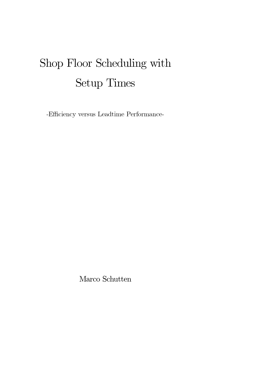# Shop Floor Scheduling with Setup Times

-Efficiency versus Leadtime Performance-

Marco Schutten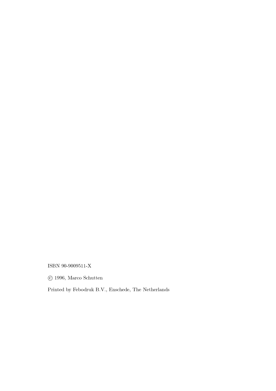ISBN 90-9009511-X

 $\odot$  1996, Marco Schutten

Printed by Febodruk B.V., Enschede, The Netherlands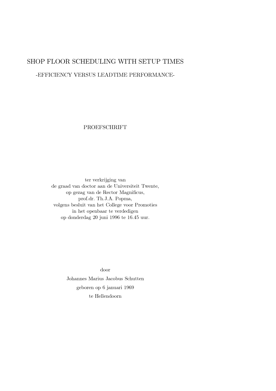# SHOP FLOOR SCHEDULING WITH SETUP TIMES

-EFFICIENCY VERSUS LEADTIME PERFORMANCE-

PROEFSCHRIFT

ter verkrijging van de graad van doctor aan de Universiteit Twente, op gezag van de Rector Magnificus, prof.dr. Th.J.A. Popma, volgens besluit van het College voor Promoties in het openbaar te verdedigen op donderdag 20 juni 1996 te 16.45 uur.

> door Johannes Marius Jacobus Schutten geboren op 6 januari 1969 te Hellendoorn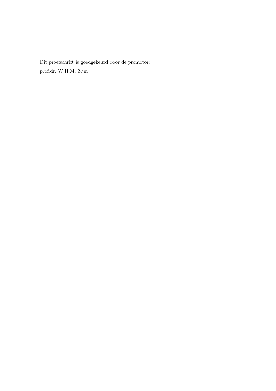Dit proefschrift is goedgekeurd door de promotor: prof.dr. W.H.M. Zijm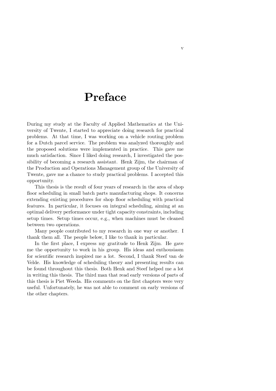# Preface

During my study at the Faculty of Applied Mathematics at the University of Twente, I started to appreciate doing research for practical problems. At that time, I was working on a vehicle routing problem for a Dutch parcel service. The problem was analyzed thoroughly and the proposed solutions were implemented in practice. This gave me much satisfaction. Since I liked doing research, I investigated the possibility of becoming a research assistant. Henk Zijm, the chairman of the Production and Operations Management group of the University of Twente, gave me a chance to study practical problems. I accepted this opportunity.

This thesis is the result of four years of research in the area of shop floor scheduling in small batch parts manufacturing shops. It concerns extending existing procedures for shop floor scheduling with practical features. In particular, it focuses on integral scheduling, aiming at an optimal delivery performance under tight capacity constraints, including setup times. Setup times occur, e.g., when machines must be cleaned between two operations.

Many people contributed to my research in one way or another. I thank them all. The people below, I like to thank in particular.

In the first place, I express my gratitude to Henk Zijm. He gave me the opportunity to work in his group. His ideas and enthousiasm for scientific research inspired me a lot. Second, I thank Steef van de Velde. His knowledge of scheduling theory and presenting results can be found throughout this thesis. Both Henk and Steef helped me a lot in writing this thesis. The third man that read early versions of parts of this thesis is Piet Weeda. His comments on the first chapters were very useful. Unfortunately, he was not able to comment on early versions of the other chapters.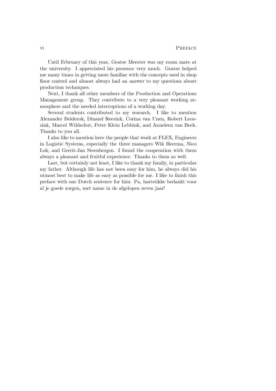Until February of this year, Geatse Meester was my room mate at the university. I appreciated his presence very much. Geatse helped me many times in getting more familiar with the concepts used in shop floor control and almost always had an answer to my questions about production techniques.

Next, I thank all other members of the Production and Operations Management group. They contribute to a very pleasant working atmosphere and the needed interruptions of a working day.

Several students contributed to my research. I like to mention Alexander Belderok, Dinand Reesink, Corina van Unen, Robert Leussink, Marcel Wildschut, Peter Klein Lebbink, and Anneleen van Beek. Thanks to you all.

I also like to mention here the people that work at FLEX, Engineers in Logistic Systems, especially the three managers Wik Heerma, Nico Lok, and Gerrit-Jan Steenbergen. I found the cooperation with them always a pleasant and fruitful experience. Thanks to them as well.

Last, but certainly not least, I like to thank my family, in particular my father. Although life has not been easy for him, he always did his utmost best to make life as easy as possible for me. I like to finish this preface with one Dutch sentence for him: Pa, hartstikke bedankt voor al je goede zorgen, met name in de afgelopen zeven jaar!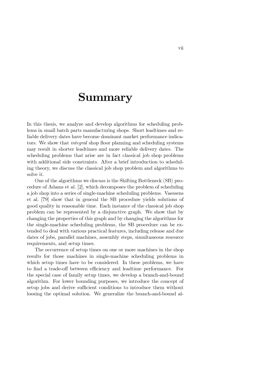# Summary

In this thesis, we analyze and develop algorithms for scheduling problems in small batch parts manufacturing shops. Short leadtimes and reliable delivery dates have become dominant market performance indicators. We show that *integral* shop floor planning and scheduling systems may result in shorter leadtimes and more reliable delivery dates. The scheduling problems that arise are in fact classical job shop problems with additional side constraints. After a brief introduction to scheduling theory, we discuss the classical job shop problem and algorithms to solve it.

One of the algorithms we discuss is the Shifting Bottleneck (SB) procedure of Adams et al. [2], which decomposes the problem of scheduling a job shop into a series of single-machine scheduling problems. Vaessens et al. [79] show that in general the SB procedure yields solutions of good quality in reasonable time. Each instance of the classical job shop problem can be represented by a disjunctive graph. We show that by changing the properties of this graph and by changing the algorithms for the single-machine scheduling problems, the SB procedure can be extended to deal with various practical features, including release and due dates of jobs, parallel machines, assembly steps, simultaneous resource requirements, and setup times.

The occurrence of setup times on one or more machines in the shop results for those machines in single-machine scheduling problems in which setup times have to be considered. In these problems, we have to find a trade-off between efficiency and leadtime performance. For the special case of family setup times, we develop a branch-and-bound algorithm. For lower bounding purposes, we introduce the concept of setup jobs and derive sufficient conditions to introduce them without loosing the optimal solution. We generalize the branch-and-bound al-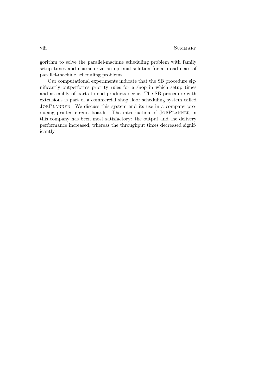gorithm to solve the parallel-machine scheduling problem with family setup times and characterize an optimal solution for a broad class of parallel-machine scheduling problems.

Our computational experiments indicate that the SB procedure significantly outperforms priority rules for a shop in which setup times and assembly of parts to end products occur. The SB procedure with extensions is part of a commercial shop floor scheduling system called JOBPLANNER. We discuss this system and its use in a company producing printed circuit boards. The introduction of JOBPLANNER in this company has been most satisfactory: the output and the delivery performance increased, whereas the throughput times decreased significantly.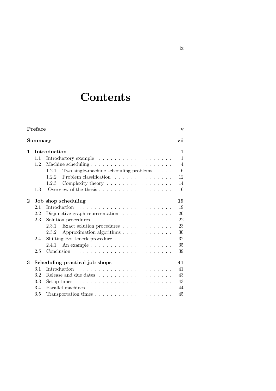# **Contents**

|                | Preface |                                                                              | v              |
|----------------|---------|------------------------------------------------------------------------------|----------------|
|                | Summary |                                                                              | vii            |
| $\mathbf{1}$   |         | Introduction                                                                 | $\mathbf{1}$   |
|                | 1.1     |                                                                              | $\mathbf{1}$   |
|                | 1.2     |                                                                              | $\overline{4}$ |
|                |         | Two single-machine scheduling problems<br>1.2.1                              | 6              |
|                |         | Problem classification<br>1.2.2                                              | 12             |
|                |         | Complexity theory<br>1.2.3                                                   | 14             |
|                | 1.3     |                                                                              | 16             |
| $\overline{2}$ |         | Job shop scheduling                                                          | 19             |
|                | 2.1     |                                                                              | 19             |
|                | 2.2     | Disjunctive graph representation $\ldots \ldots \ldots \ldots$               | 20             |
|                | 2.3     |                                                                              | 22             |
|                |         | Exact solution procedures<br>2.3.1                                           | 23             |
|                |         | Approximation algorithms<br>2.3.2                                            | 30             |
|                | 2.4     | Shifting Bottleneck procedure                                                | 32             |
|                |         | 2.4.1                                                                        | $35\,$         |
|                | 2.5     |                                                                              | 39             |
| 3              |         | Scheduling practical job shops                                               | 41             |
|                | 3.1     |                                                                              | 41             |
|                | 3.2     |                                                                              | 43             |
|                | 3.3     | Setup times $\ldots \ldots \ldots \ldots \ldots \ldots \ldots \ldots \ldots$ | 43             |
|                | 3.4     |                                                                              | 44             |
|                | 3.5     |                                                                              | 45             |
|                |         |                                                                              |                |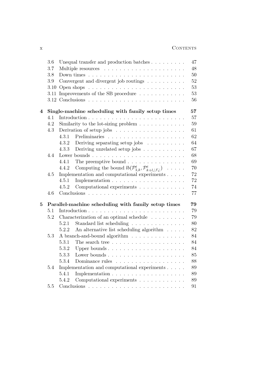|   | 3.6  | 47<br>Unequal transfer and production batches                                                     |
|---|------|---------------------------------------------------------------------------------------------------|
|   | 3.7  | 48                                                                                                |
|   | 3.8  | 50                                                                                                |
|   | 3.9  | 52<br>Convergent and divergent job routings $\hfill\ldots\ldots\ldots\ldots$                      |
|   | 3.10 | 53                                                                                                |
|   |      | 3.11 Improvements of the SB procedure<br>53                                                       |
|   |      | 56                                                                                                |
| 4 |      | Single-machine scheduling with family setup times<br>57                                           |
|   | 4.1  | 57                                                                                                |
|   | 4.2  | Similarity to the lot-sizing problem $\ldots \ldots \ldots \ldots$<br>59                          |
|   | 4.3  | 61<br>Derivation of setup jobs                                                                    |
|   |      | 62<br>4.3.1                                                                                       |
|   |      | 64<br>4.3.2                                                                                       |
|   |      | Deriving separating setup jobs $\ldots \ldots \ldots$                                             |
|   |      | 67<br>4.3.3<br>Deriving unrelated setup jobs $\hfill\ldots\ldots\ldots\ldots\ldots$               |
|   | 4.4  | 68                                                                                                |
|   |      | The preemptive bound<br>69<br>4.4.1                                                               |
|   |      | Computing the bound $lb(\mathcal{P}_{1,k}^i, \mathcal{P}_{k+l, \mathcal{F}_i }^i)$<br>70<br>4.4.2 |
|   | 4.5  | Implementation and computational experiments<br>72                                                |
|   |      | 72<br>4.5.1                                                                                       |
|   |      | 4.5.2<br>Computational experiments<br>74                                                          |
|   | 4.6  | 77                                                                                                |
| 5 |      | Parallel-machine scheduling with family setup times<br>79                                         |
|   | 5.1  | 79                                                                                                |
|   | 5.2  | Characterization of an optimal schedule<br>79                                                     |
|   |      | 80<br>Standard list scheduling<br>5.2.1                                                           |
|   |      | 5.2.2<br>An alternative list scheduling algorithm<br>82                                           |
|   | 5.3  | A branch-and-bound algorithm<br>84                                                                |
|   |      | 5.3.1<br>The search tree $\ldots \ldots \ldots \ldots \ldots \ldots$<br>84                        |
|   |      | 5.3.2<br>Upper bounds<br>84                                                                       |
|   |      | 5.3.3<br>85                                                                                       |
|   |      | $5.3.4\,$<br>88                                                                                   |
|   | 5.4  | Implementation and computational experiments<br>89                                                |
|   |      | 5.4.1<br>89                                                                                       |
|   |      | 5.4.2<br>Computational experiments<br>89                                                          |
|   | 5.5  | 91                                                                                                |
|   |      |                                                                                                   |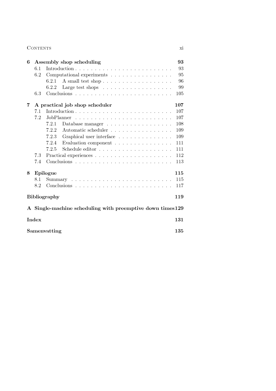#### **CONTENTS** NTS XI

| 6 |                                                            | Assembly shop scheduling                                              | 93  |  |  |  |  |  |  |
|---|------------------------------------------------------------|-----------------------------------------------------------------------|-----|--|--|--|--|--|--|
|   | 6.1                                                        |                                                                       | 93  |  |  |  |  |  |  |
|   | 6.2                                                        | Computational experiments                                             | 95  |  |  |  |  |  |  |
|   |                                                            | 6.2.1                                                                 | 96  |  |  |  |  |  |  |
|   |                                                            | 6.2.2<br>Large test shops $\ldots \ldots \ldots \ldots \ldots \ldots$ | 99  |  |  |  |  |  |  |
|   | 6.3                                                        |                                                                       | 105 |  |  |  |  |  |  |
| 7 |                                                            | A practical job shop scheduler                                        | 107 |  |  |  |  |  |  |
|   | 7.1                                                        |                                                                       | 107 |  |  |  |  |  |  |
|   | 7.2                                                        |                                                                       | 107 |  |  |  |  |  |  |
|   |                                                            | 7.2.1<br>Database manager                                             | 108 |  |  |  |  |  |  |
|   |                                                            | 7.2.2<br>Automatic scheduler                                          | 109 |  |  |  |  |  |  |
|   |                                                            | 7.2.3<br>Graphical user interface                                     | 109 |  |  |  |  |  |  |
|   |                                                            | 7.2.4<br>Evaluation component                                         | 111 |  |  |  |  |  |  |
|   |                                                            | 7.2.5                                                                 | 111 |  |  |  |  |  |  |
|   | 7.3                                                        |                                                                       | 112 |  |  |  |  |  |  |
|   | 7.4                                                        |                                                                       | 113 |  |  |  |  |  |  |
| 8 |                                                            | Epilogue                                                              | 115 |  |  |  |  |  |  |
|   | 8.1                                                        |                                                                       | 115 |  |  |  |  |  |  |
|   | 8.2                                                        |                                                                       | 117 |  |  |  |  |  |  |
|   |                                                            |                                                                       |     |  |  |  |  |  |  |
|   |                                                            | <b>Bibliography</b>                                                   | 119 |  |  |  |  |  |  |
|   | A Single-machine scheduling with preemptive down times 129 |                                                                       |     |  |  |  |  |  |  |
|   | Index                                                      |                                                                       | 131 |  |  |  |  |  |  |
|   | 135<br>Samenvatting                                        |                                                                       |     |  |  |  |  |  |  |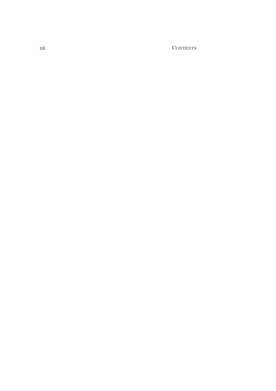xii CONTENTS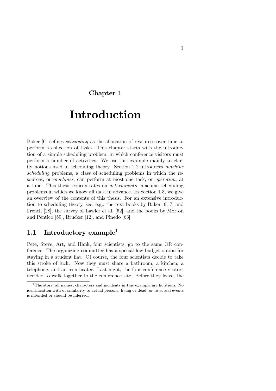## Chapter 1

# Introduction

Baker [6] defines scheduling as the allocation of resources over time to perform a collection of tasks. This chapter starts with the introduction of a simple scheduling problem, in which conference visitors must perform a number of activities. We use this example mainly to clarify notions used in scheduling theory. Section 1.2 introduces machine scheduling problems, a class of scheduling problems in which the resources, or machines, can perform at most one task, or operation, at a time. This thesis concentrates on deterministic machine scheduling problems in which we know all data in advance. In Section 1.3, we give an overview of the contents of this thesis. For an extensive introduction to scheduling theory, see, e.g., the text books by Baker [6, 7] and French [28], the survey of Lawler et al. [52], and the books by Morton and Pentico [59], Brucker [12], and Pinedo [63].

# 1.1 Introductory example<sup>1</sup>

Pete, Steve, Art, and Hank, four scientists, go to the same OR conference. The organizing committee has a special low budget option for staying in a student flat. Of course, the four scientists decide to take this stroke of luck. Now they must share a bathroom, a kitchen, a telephone, and an iron heater. Last night, the four conference visitors decided to walk together to the conference site. Before they leave, the

 $1$ <sup>1</sup>The story, all names, characters and incidents in this example are fictitious. No identification with or similarity to actual persons, living or dead, or to actual events is intended or should be inferred.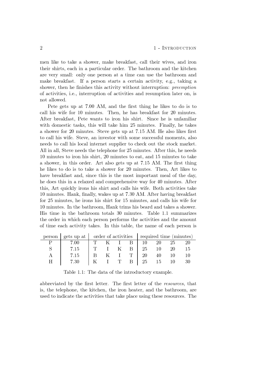men like to take a shower, make breakfast, call their wives, and iron their shirts, each in a particular order. The bathroom and the kitchen are very small: only one person at a time can use the bathroom and make breakfast. If a person starts a certain activity, e.g., taking a shower, then he finishes this activity without interruption: preemption of activities, i.e., interruption of activities and resumption later on, is not allowed.

Pete gets up at 7.00 AM, and the first thing he likes to do is to call his wife for 10 minutes. Then, he has breakfast for 20 minutes. After breakfast, Pete wants to iron his shirt. Since he is unfamiliar with domestic tasks, this will take him 25 minutes. Finally, he takes a shower for 20 minutes. Steve gets up at 7.15 AM. He also likes first to call his wife. Steve, an investor with some successful moments, also needs to call his local internet supplier to check out the stock market. All in all, Steve needs the telephone for 25 minutes. After this, he needs 10 minutes to iron his shirt, 20 minutes to eat, and 15 minutes to take a shower, in this order. Art also gets up at 7.15 AM. The first thing he likes to do is to take a shower for 20 minutes. Then, Art likes to have breakfast and, since this is the most important meal of the day, he does this in a relaxed and comprehensive way for 40 minutes. After this, Art quickly irons his shirt and calls his wife. Both activities take 10 minutes. Hank, finally, wakes up at 7.30 AM. After having breakfast for 25 minutes, he irons his shirt for 15 minutes, and calls his wife for 10 minutes. In the bathroom, Hank trims his beard and takes a shower. His time in the bathroom totals 30 minutes. Table 1.1 summarizes the order in which each person performs the activities and the amount of time each activity takes. In this table, the name of each person is

| person |        | $\vert$ gets up at $\vert$ order of activities $\vert$ required time (minutes) |       |  |  |    |                              |  |
|--------|--------|--------------------------------------------------------------------------------|-------|--|--|----|------------------------------|--|
|        | 7.00   |                                                                                |       |  |  |    |                              |  |
|        | 7.15   |                                                                                |       |  |  |    | $T$ I K B $\mid$ 25 10 20 15 |  |
| A      | 7.15   | $\mathbf{B}$                                                                   | K I T |  |  | 20 | 40 10 10                     |  |
| H.     | - 7.30 |                                                                                |       |  |  |    |                              |  |

Table 1.1: The data of the introductory example.

abbreviated by the first letter. The first letter of the resources, that is, the telephone, the kitchen, the iron heater, and the bathroom, are used to indicate the activities that take place using these resources. The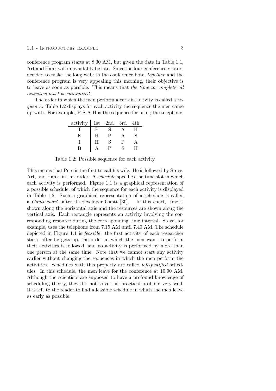#### 1.1 - INTRODUCTORY EXAMPLE

conference program starts at 8.30 AM, but given the data in Table 1.1, Art and Hank will unavoidably be late. Since the four conference visitors decided to make the long walk to the conference hotel *together* and the conference program is very appealing this morning, their objective is to leave as soon as possible. This means that the time to complete all activities must be minimized.

The order in which the men perform a certain activity is called a sequence. Table 1.2 displays for each activity the sequence the men came up with. For example, P-S-A-H is the sequence for using the telephone.

| activity | 1st | 2nd | 3rd | 4th |
|----------|-----|-----|-----|-----|
|          |     |     |     | н   |
|          | H   |     |     | ς   |
|          | H   | S   | ₽   |     |
|          |     |     |     |     |

Table 1.2: Possible sequence for each activity.

This means that Pete is the first to call his wife. He is followed by Steve, Art, and Hank, in this order. A schedule specifies the time slot in which each activity is performed. Figure 1.1 is a graphical representation of a possible schedule, of which the sequence for each activity is displayed in Table 1.2. Such a graphical representation of a schedule is called a Gantt chart, after its developer Gantt [30]. In this chart, time is shown along the horizontal axis and the resources are shown along the vertical axis. Each rectangle represents an activity involving the corresponding resource during the corresponding time interval. Steve, for example, uses the telephone from 7.15 AM until 7.40 AM. The schedule depicted in Figure 1.1 is feasible: the first activity of each researcher starts after he gets up, the order in which the men want to perform their activities is followed, and no activity is performed by more than one person at the same time. Note that we cannot start any activity earlier without changing the sequences in which the men perform the activities. Schedules with this property are called left-justified schedules. In this schedule, the men leave for the conference at 10.00 AM. Although the scientists are supposed to have a profound knowledge of scheduling theory, they did not solve this practical problem very well. It is left to the reader to find a feasible schedule in which the men leave as early as possible.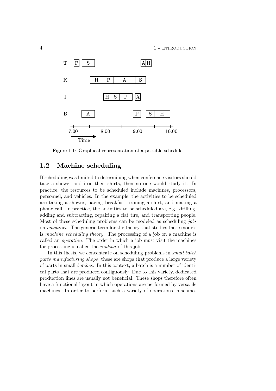$1 - \text{INTRODUCTION}$ 



Figure 1.1: Graphical representation of a possible schedule.

## 1.2 Machine scheduling

If scheduling was limited to determining when conference visitors should take a shower and iron their shirts, then no one would study it. In practice, the resources to be scheduled include machines, processors, personnel, and vehicles. In the example, the activities to be scheduled are taking a shower, having breakfast, ironing a shirt, and making a phone call. In practice, the activities to be scheduled are, e.g., drilling, adding and subtracting, repairing a flat tire, and transporting people. Most of these scheduling problems can be modeled as scheduling jobs on machines. The generic term for the theory that studies these models is machine scheduling theory. The processing of a job on a machine is called an operation. The order in which a job must visit the machines for processing is called the routing of this job.

In this thesis, we concentrate on scheduling problems in *small batch* parts manufacturing shops; these are shops that produce a large variety of parts in small batches. In this context, a batch is a number of identical parts that are produced contiguously. Due to this variety, dedicated production lines are usually not beneficial. These shops therefore often have a functional layout in which operations are performed by versatile machines. In order to perform such a variety of operations, machines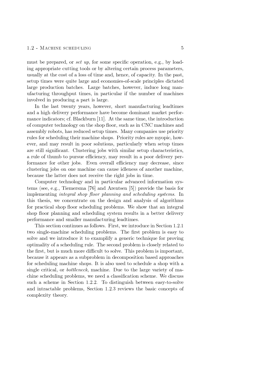#### 1.2 - MACHINE SCHEDULING 5

must be prepared, or set up, for some specific operation, e.g., by loading appropriate cutting tools or by altering certain process parameters, usually at the cost of a loss of time and, hence, of capacity. In the past, setup times were quite large and economies-of-scale principles dictated large production batches. Large batches, however, induce long manufacturing throughput times, in particular if the number of machines involved in producing a part is large.

In the last twenty years, however, short manufacturing leadtimes and a high delivery performance have become dominant market performance indicators; cf. Blackburn [11]. At the same time, the introduction of computer technology on the shop floor, such as in CNC machines and assembly robots, has reduced setup times. Many companies use priority rules for scheduling their machine shops. Priority rules are myopic, however, and may result in poor solutions, particularly when setup times are still significant. Clustering jobs with similar setup characteristics, a rule of thumb to pursue efficiency, may result in a poor delivery performance for other jobs. Even overall efficiency may decrease, since clustering jobs on one machine can cause idleness of another machine, because the latter does not receive the right jobs in time.

Computer technology and in particular advanced information systems (see, e.g., Tiemersma [76] and Arentsen [5]) provide the basis for implementing integral shop floor planning and scheduling systems. In this thesis, we concentrate on the design and analysis of algorithms for practical shop floor scheduling problems. We show that an integral shop floor planning and scheduling system results in a better delivery performance and smaller manufacturing leadtimes.

This section continues as follows. First, we introduce in Section 1.2.1 two single-machine scheduling problems. The first problem is easy to solve and we introduce it to examplify a generic technique for proving optimality of a scheduling rule. The second problem is closely related to the first, but is much more difficult to solve. This problem is important, because it appears as a subproblem in decomposition based approaches for scheduling machine shops. It is also used to schedule a shop with a single critical, or bottleneck, machine. Due to the large variety of machine scheduling problems, we need a classification scheme. We discuss such a scheme in Section 1.2.2. To distinguish between easy-to-solve and intractable problems, Section 1.2.3 reviews the basic concepts of complexity theory.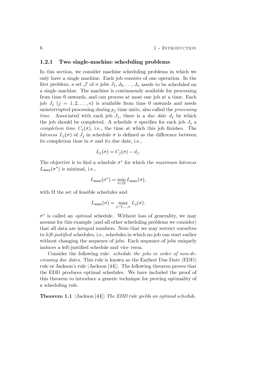#### 1.2.1 Two single-machine scheduling problems

In this section, we consider machine scheduling problems in which we only have a single machine. Each job consists of one operation. In the first problem, a set  $\mathcal J$  of n jobs  $J_1, J_2, \ldots, J_n$  needs to be scheduled on a single machine. The machine is continuously available for processing from time 0 onwards, and can process at most one job at a time. Each job  $J_i$   $(j = 1, 2, ..., n)$  is available from time 0 onwards and needs uninterrupted processing during  $p_i$  time units, also called the *processing* time. Associated with each job  $J_j$ , there is a due date  $d_j$  by which the job should be completed. A schedule  $\sigma$  specifies for each job  $J_j$  a completion time  $C_j(\sigma)$ , i.e., the time at which this job finishes. The *lateness*  $L_i(\sigma)$  of  $J_i$  in schedule  $\sigma$  is defined as the difference between its completion time in  $\sigma$  and its due date, i.e.,

$$
L_j(\sigma) = C_j(\sigma) - d_j.
$$

The objective is to find a schedule  $\sigma^*$  for which the maximum lateness  $L_{\text{max}}(\sigma^*)$  is minimal, i.e.,

$$
L_{\max}(\sigma^*) = \min_{\sigma \in \Omega} L_{\max}(\sigma),
$$

with  $\Omega$  the set of feasible schedules and

$$
L_{\max}(\sigma) = \max_{j=1,\dots,n} L_j(\sigma).
$$

 $\sigma^*$  is called an *optimal* schedule. Without loss of generality, we may assume for this example (and all other scheduling problems we consider) that all data are integral numbers. Note that we may restrict ourselves to left-justified schedules, i.e., schedules in which no job can start earlier without changing the sequence of jobs. Each sequence of jobs uniquely induces a left-justified schedule and vice versa.

Consider the following rule: *schedule the jobs in order of non-de*creasing due dates. This rule is known as the Earliest Due Date (EDD) rule or Jackson's rule (Jackson [44]). The following theorem proves that the EDD produces optimal schedules. We have included the proof of this theorem to introduce a generic technique for proving optimality of a scheduling rule.

Theorem 1.1 (Jackson [44]) The EDD rule yields an optimal schedule.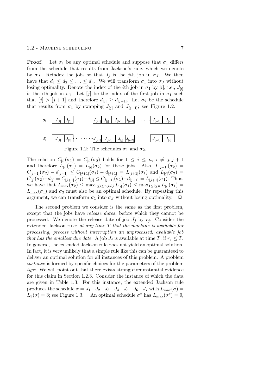#### 1.2 - MACHINE SCHEDULING 7

**Proof.** Let  $\sigma_1$  be any optimal schedule and suppose that  $\sigma_1$  differs from the schedule that results from Jackson's rule, which we denote by  $\sigma_J$ . Reindex the jobs so that  $J_j$  is the jth job in  $\sigma_J$ . We then have that  $d_1 \leq d_2 \leq \ldots \leq d_n$ . We will transform  $\sigma_1$  into  $\sigma_J$  without losing optimality. Denote the index of the *i*th job in  $\sigma_1$  by [*i*], i.e.,  $J_{[i]}$ is the *i*th job in  $\sigma_1$ . Let  $[j]$  be the index of the first job in  $\sigma_1$  such that  $[j] > [j + 1]$  and therefore  $d_{[j]} \geq d_{[j+1]}$ . Let  $\sigma_2$  be the schedule that results from  $\sigma_1$  by swapping  $J_{[j]}$  and  $J_{[j+1]}$ ; see Figure 1.2.



Figure 1.2: The schedules  $\sigma_1$  and  $\sigma_2$ .

The relation  $C_{[i]}(\sigma_1) = C_{[i]}(\sigma_2)$  holds for  $1 \leq i \leq n, i \neq j, j+1$ and therefore  $L_{[i]}(\sigma_1) = L_{[i]}(\sigma_2)$  for these jobs. Also,  $L_{[j+1]}(\sigma_2) =$  $C_{[j+1]}(\sigma_2) - d_{[j+1]} \leq C_{[j+1]}(\sigma_1) - d_{[j+1]} = L_{[j+1]}(\sigma_1)$  and  $L_{[j]}(\sigma_2) =$  $C_{[j]}(\sigma_2)-d_{[j]}=C_{[j+1]}(\sigma_1)-d_{[j]}\leq C_{[j+1]}(\sigma_1)-d_{[j+1]}=L_{[j+1]}(\sigma_1).$  Thus, we have that  $L_{\max}(\sigma_2) \leq \max_{1 \leq i \leq n, i \neq j} L_{[i]}(\sigma_1) \leq \max_{1 \leq i \leq n} L_{[i]}(\sigma_1) =$  $L_{\text{max}}(\sigma_1)$  and  $\sigma_2$  must also be an optimal schedule. By repeating this argument, we can transform  $\sigma_1$  into  $\sigma_J$  without losing optimality.

The second problem we consider is the same as the first problem, except that the jobs have *release dates*, before which they cannot be processed. We denote the release date of job  $J_j$  by  $r_j$ . Consider the extended Jackson rule: at any time  $T$  that the machine is available for processing, process without interruption an unprocessed, available job that has the smallest due date. A job  $J_j$  is available at time T, if  $r_j \leq T$ . In general, the extended Jackson rule does not yield an optimal solution. In fact, it is very unlikely that a simple rule like this can be guaranteed to deliver an optimal solution for all instances of this problem. A problem instance is formed by specific choices for the parameters of the problem type. We will point out that there exists strong circumstantial evidence for this claim in Section 1.2.3. Consider the instance of which the data are given in Table 1.3. For this instance, the extended Jackson rule produces the schedule  $\sigma = J_1 - J_2 - J_3 - J_4 - J_5 - J_6 - J_7$  with  $L_{\text{max}}(\sigma) =$  $L_5(\sigma)=3$ ; see Figure 1.3. An optimal schedule  $\sigma^*$  has  $L_{\text{max}}(\sigma^*)=0$ ,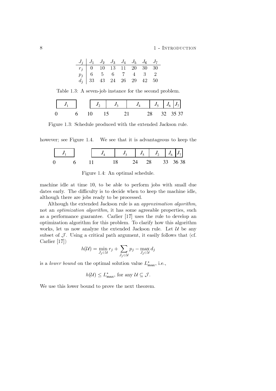8 1 - INTRODUCTION

| $\begin{array}{c cccccc} J_j & J_1 & J_2 & J_3 & J_4 & J_5 & J_6 & J_7 \\ \hline r_j & 0 & 10 & 13 & 11 & 20 & 30 & 30 \\ p_j & 6 & 5 & 6 & 7 & 4 & 3 & 2 \\ d_j & 33 & 43 & 24 & 26 & 29 & 42 & 50 \end{array}$ |  |  |  |
|------------------------------------------------------------------------------------------------------------------------------------------------------------------------------------------------------------------|--|--|--|
|                                                                                                                                                                                                                  |  |  |  |
|                                                                                                                                                                                                                  |  |  |  |
|                                                                                                                                                                                                                  |  |  |  |
|                                                                                                                                                                                                                  |  |  |  |

Table 1.3: A seven-job instance for the second problem.

|  |  | $J_3$ $J_4$ $J_5$ $J_6$ $J_7$ |  |          |  |
|--|--|-------------------------------|--|----------|--|
|  |  |                               |  | 32 35 37 |  |

Figure 1.3: Schedule produced with the extended Jackson rule.

however; see Figure 1.4. We see that it is advantageous to keep the

|   |  |  |  | $J_3$ $J_5$ $J_2$ $J_6$ $J_7$ |          |
|---|--|--|--|-------------------------------|----------|
| ∩ |  |  |  |                               | 33 36 38 |

Figure 1.4: An optimal schedule.

machine idle at time 10, to be able to perform jobs with small due dates early. The difficulty is to decide when to keep the machine idle, although there are jobs ready to be processed.

Although the extended Jackson rule is an approximation algorithm, not an optimization algorithm, it has some agreeable properties, such as a performance guarantee. Carlier [17] uses the rule to develop an optimization algorithm for this problem. To clarify how this algorithm works, let us now analyze the extended Jackson rule. Let  $\mathcal U$  be any subset of  $\mathcal J$ . Using a critical path argument, it easily follows that (cf. Carlier [17])

$$
h(\mathcal{U}) = \min_{J_j \in \mathcal{U}} r_j + \sum_{J_j \in \mathcal{U}} p_j - \max_{J_j \in \mathcal{U}} d_j
$$

is a *lower bound* on the optimal solution value  $L_{\text{max}}^*$ , i.e.,

$$
h(\mathcal{U}) \le L_{\max}^*, \text{ for any } \mathcal{U} \subseteq \mathcal{J}.
$$

We use this lower bound to prove the next theorem.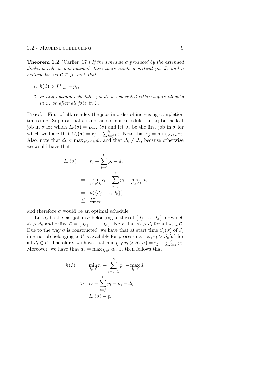#### 1.2 - MACHINE SCHEDULING 9

**Theorem 1.2** (Carlier [17]) If the schedule  $\sigma$  produced by the extended Jackson rule is not optimal, then there exists a critical job  $J_c$  and a critical job set  $C \subseteq \mathcal{J}$  such that

- 1.  $h(\mathcal{C}) > L_{\max}^* p_c;$
- 2. in any optimal schedule, job  $J_c$  is scheduled either before all jobs in  $\mathcal{C}$ , or after all jobs in  $\mathcal{C}$ .

Proof. First of all, reindex the jobs in order of increasing completion times in  $\sigma$ . Suppose that  $\sigma$  is not an optimal schedule. Let  $J_k$  be the last job in  $\sigma$  for which  $L_k(\sigma) = L_{\text{max}}(\sigma)$  and let  $J_j$  be the first job in  $\sigma$  for which we have that  $C(\sigma) = x + \sum_{k=0}^{k} x - k$  Moto that  $x = \min_{k=0}^{k} x - x$ which we have that  $C_k(\sigma) = r_j + \sum_{i=j}^k p_i$ . Note that  $r_j = \min_{j \leq i \leq k} r_i$ .<br>Also note that  $d_i < \max_i c_i, d_i$  and that  $L \neq L$ , because otherwise Also, note that  $d_k < \max_{j \leq i \leq k} d_i$ , and that  $J_k \neq J_j$ , because otherwise we would have that

$$
L_k(\sigma) = r_j + \sum_{i=j}^k p_i - d_k
$$
  
= 
$$
\min_{j \le i \le k} r_i + \sum_{i=j}^k p_i - \max_{j \le i \le k} d_i
$$
  
= 
$$
h(\lbrace J_j, \ldots, J_k \rbrace)
$$
  

$$
\le L_{\max}^*
$$

and therefore  $\sigma$  would be an optimal schedule.

Let  $J_c$  be the last job in  $\sigma$  belonging to the set  $\{J_j, \ldots, J_k\}$  for which  $d_c > d_k$  and define  $\mathcal{C} = \{J_{c+1}, \ldots, J_k\}$ . Note that  $d_c > d_i$  for all  $J_i \in \mathcal{C}$ . Due to the way  $\sigma$  is constructed, we have that at start time  $S_c(\sigma)$  of  $J_c$ in  $\sigma$  no job belonging to C is available for processing, i.e.,  $r_i > S_c(\sigma)$  for all  $J_i \in \mathcal{C}$ . Therefore, we have that  $\min_{J_i \in \mathcal{C}} r_i > S_c(\sigma) = r_j + \sum_{i=j}^{c-1} p_i$ .<br>Moreover, we have that  $d_i = \max_{J_i \in \mathcal{C}} d_i$ . It then follows that Moreover, we have that  $d_k = \max_{j_i \in \mathcal{C}} d_i$ . It then follows that

$$
h(\mathcal{C}) = \min_{J_i \in \mathcal{C}} r_i + \sum_{i=c+1}^k p_i - \max_{J_i \in \mathcal{C}} d_i
$$
  
> 
$$
r_j + \sum_{i=j}^k p_i - p_c - d_k
$$
  
= 
$$
L_k(\sigma) - p_c
$$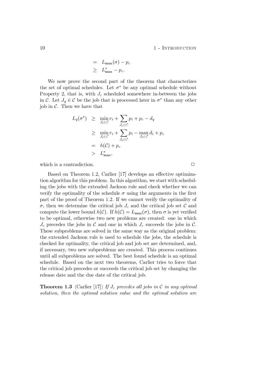$10$  1 - INTRODUCTION

$$
= L_{\max}(\sigma) - p_c
$$
  

$$
\geq L_{\max}^* - p_c.
$$

We now prove the second part of the theorem that characterizes the set of optimal schedules. Let  $\sigma^*$  be any optimal schedule without Property 2, that is, with  $J_c$  scheduled somewhere in-between the jobs in C. Let  $J_q \in \mathcal{C}$  be the job that is processed later in  $\sigma^*$  than any other job in  $\mathcal{C}$ . Then we have that

$$
L_q(\sigma^*) \geq \min_{J_i \in \mathcal{C}} r_i + \sum_{J_i \in \mathcal{C}} p_i + p_c - d_q
$$
  
\n
$$
\geq \min_{J_i \in \mathcal{C}} r_i + \sum_{J_i \in \mathcal{C}} p_i - \max_{J_i \in \mathcal{C}} d_i + p_c
$$
  
\n
$$
= h(\mathcal{C}) + p_c
$$
  
\n
$$
> L^*_{\text{max}},
$$

which is a contradiction.  $\Box$ 

Based on Theorem 1.2, Carlier [17] develops an effective optimization algorithm for this problem. In this algorithm, we start with scheduling the jobs with the extended Jackson rule and check whether we can verify the optimality of the schedule  $\sigma$  using the arguments in the first part of the proof of Theorem 1.2. If we cannot verify the optimality of  $\sigma$ , then we determine the critical job  $J_c$  and the critical job set C and compute the lower bound  $h(\mathcal{C})$ . If  $h(\mathcal{C}) = L_{\max}(\sigma)$ , then  $\sigma$  is yet verified to be optimal, otherwise two new problems are created: one in which  $J_c$  precedes the jobs in C and one in which  $J_c$  succeeds the jobs in C. These subproblems are solved in the same way as the original problem: the extended Jackson rule is used to schedule the jobs, the schedule is checked for optimality, the critical job and job set are determined, and, if necessary, two new subproblems are created. This process continues until all subproblems are solved. The best found schedule is an optimal schedule. Based on the next two theorems, Carlier tries to force that the critical job precedes or succeeds the critical job set by changing the release date and the due date of the critical job.

**Theorem 1.3** (Carlier [17]) If  $J_c$  precedes all jobs in C in any optimal solution, then the optimal solution value and the optimal solution are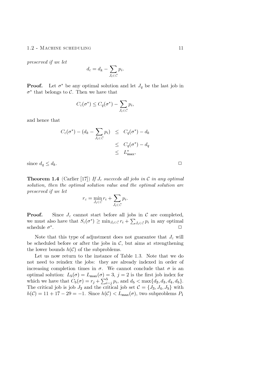#### 1.2 - MACHINE SCHEDULING 11

preserved if we let

$$
d_c = d_k - \sum_{J_i \in \mathcal{C}} p_i.
$$

**Proof.** Let  $\sigma^*$  be any optimal solution and let  $J_q$  be the last job in  $\sigma^*$  that belongs to C. Then we have that

$$
C_c(\sigma^*) \leq C_q(\sigma^*) - \sum_{J_i \in \mathcal{C}} p_i,
$$

and hence that

$$
C_c(\sigma^*) - (d_k - \sum_{J_i \in \mathcal{C}} p_i) \leq C_q(\sigma^*) - d_k
$$
  
\n
$$
\leq C_q(\sigma^*) - d_q
$$
  
\n
$$
\leq L_{\max}^*,
$$

since  $d_q \leq d_k$ .

**Theorem 1.4** (Carlier [17]) If  $J_c$  succeeds all jobs in C in any optimal solution, then the optimal solution value and the optimal solution are preserved if we let

$$
r_c = \min_{J_i \in \mathcal{C}} r_i + \sum_{J_i \in \mathcal{C}} p_i.
$$

**Proof.** Since  $J_c$  cannot start before all jobs in  $\mathcal{C}$  are completed, we must also have that  $S_c(\sigma^*) \ge \min_{J_i \in \mathcal{C}} r_i + \sum_{J_i \in \mathcal{C}} p_i$  in any optimal schedule  $\sigma^*$ schedule  $\sigma^*$ .

Note that this type of adjustment does not guarantee that  $J_c$  will be scheduled before or after the jobs in  $\mathcal{C}$ , but aims at strengthening the lower bounds  $h(\mathcal{C})$  of the subproblems.

Let us now return to the instance of Table 1.3. Note that we do not need to reindex the jobs: they are already indexed in order of increasing completion times in  $\sigma$ . We cannot conclude that  $\sigma$  is an optimal solution:  $L_5(\sigma) = L_{\text{max}}(\sigma) = 3, j = 2$  is the first job index for which we have that  $C_5(\sigma) = r_j + \sum_{i=j}^5 p_i$ , and  $d_5 < \max\{d_2, d_3, d_4, d_5\}$ .<br>The critical job is job L<sub>2</sub> and the critical job set  $C - L L L L$ , with The critical job is job  $J_2$  and the critical job set  $\mathcal{C} = \{J_3, J_4, J_5\}$  with  $h(\mathcal{C}) = 11 + 17 - 29 = -1$ . Since  $h(\mathcal{C}) < L_{\text{max}}(\sigma)$ , two subproblems  $P_1$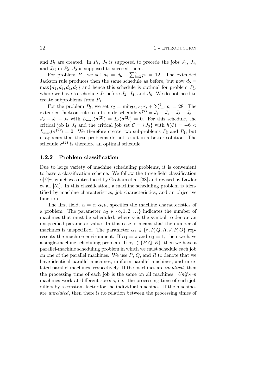and  $P_2$  are created. In  $P_1$ ,  $J_2$  is supposed to precede the jobs  $J_3$ ,  $J_4$ , and  $J_5$ ; in  $P_2$ ,  $J_2$  is supposed to succeed them.

For problem  $P_1$ , we set  $d_2 = d_5 - \sum_{i=3}^5 p_i = 12$ . The extended Jackson rule produces then the same schedule as before, but now  $d_5 =$  $\max\{d_2, d_3, d_4, d_5\}$  and hence this schedule is optimal for problem  $P_1$ , where we have to schedule  $J_2$  before  $J_3$ ,  $J_4$ , and  $J_5$ . We do not need to create subproblems from  $P_1$ .

For the problem  $P_2$ , we set  $r_2 = \min_{3 \le i \le 5} r_i + \sum_{i=3}^5 p_i = 28$ . The extended Jackson rule results in de schedule  $\sigma^{(2)} = J_1 - J_4 - J_3 - J_5 -$ <br>  $I_2 = J_1 - J_4 - J_3 - J_5 -$ <br>  $I_3 = J_5 - J_6$  $J_2 - J_6 - J_7$  with  $L_{\text{max}}(\sigma^{(2)}) = L_3(\sigma^{(2)}) = 0$ . For this schedule, the critical job is  $J_4$  and the critical job set  $\mathcal{C} = \{J_3\}$  with  $h(\mathcal{C}) = -6 <$  $L_{\text{max}}(\sigma^{(2)})=0$ . We therefore create two subproblems  $P_3$  and  $P_4$ , but it appears that these problems do not result in a better solution. The schedule  $\sigma^{(2)}$  is therefore an optimal schedule.

#### 1.2.2 Problem classification

Due to large variety of machine scheduling problems, it is convenient to have a classification scheme. We follow the three-field classification  $\alpha|\beta|\gamma$ , which was introduced by Graham et al. [38] and revised by Lawler et al. [51]. In this classification, a machine scheduling problem is identified by machine characteristics, job characteristics, and an objective function.

The first field,  $\alpha = \alpha_1 \alpha_2 \mu$ , specifies the machine characteristics of a problem. The parameter  $\alpha_2 \in \{0, 1, 2, \ldots\}$  indicates the number of machines that must be scheduled, where ◦ is the symbol to denote an unspecified parameter value. In this case, ∘ means that the number of machines is unspecified. The parameter  $\alpha_1 \in \{ \circ, P, Q, R, J, F, O \}$  represents the machine environment. If  $\alpha_1 = \circ$  and  $\alpha_2 = 1$ , then we have a single-machine scheduling problem. If  $\alpha_1 \in \{P, Q, R\}$ , then we have a parallel-machine scheduling problem in which we must schedule each job on one of the parallel machines. We use  $P, Q$ , and R to denote that we have identical parallel machines, uniform parallel machines, and unrelated parallel machines, respectively. If the machines are identical, then the processing time of each job is the same on all machines. Uniform machines work at different speeds, i.e., the processing time of each job differs by a constant factor for the individual machines. If the machines are unrelated, then there is no relation between the processing times of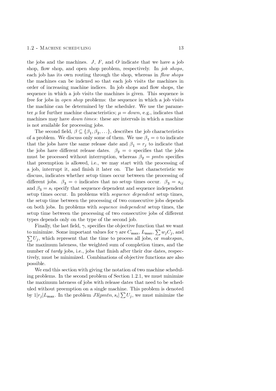the jobs and the machines.  $J, F,$  and  $O$  indicate that we have a job shop, flow shop, and open shop problem, respectively. In job shops, each job has its own routing through the shop, whereas in flow shops the machines can be indexed so that each job visits the machines in order of increasing machine indices. In job shops and flow shops, the sequence in which a job visits the machines is given. This sequence is free for jobs in open shop problems: the sequence in which a job visits the machine can be determined by the scheduler. We use the parameter  $\mu$  for further machine characteristics;  $\mu = down$ , e.g., indicates that machines may have down times: these are intervals in which a machine is not available for processing jobs.

The second field,  $\beta \subseteq {\beta_1, \beta_2, \ldots}$ , describes the job characteristics of a problem. We discuss only some of them. We use  $\beta_1 = \circ$  to indicate that the jobs have the same release date and  $\beta_1 = r_j$  to indicate that the jobs have different release dates.  $\beta_2 = \circ$  specifies that the jobs must be processed without interruption, whereas  $\beta_2 = p m t n$  specifies that preemption is allowed, i.e., we may start with the processing of a job, interrupt it, and finish it later on. The last characteristic we discuss, indicates whether setup times occur between the processing of different jobs.  $\beta_3 = \circ$  indicates that no setup times occur.  $\beta_3 = s_{ij}$ and  $\beta_3 = s_i$  specify that sequence dependent and sequence independent setup times occur. In problems with sequence dependent setup times, the setup time between the processing of two consecutive jobs depends on both jobs. In problems with sequence independent setup times, the setup time between the processing of two consecutive jobs of different types depends only on the type of the second job.

Finally, the last field,  $\gamma$ , specifies the objective function that we want to minimize. Some important values for  $\gamma$  are  $C_{\text{max}}$ ,  $L_{\text{max}}$ ,  $\sum w_j C_j$ , and  $\sum U_j$ , which represent that the time to process all jobs, or makespan, the maximum lateness, the weighted sum of completion times, and the number of *tardy* jobs, i.e., jobs that finish after their due dates, respectively, must be minimized. Combinations of objective functions are also possible.

We end this section with giving the notation of two machine scheduling problems. In the second problem of Section 1.2.1, we must minimize the maximum lateness of jobs with release dates that need to be scheduled without preemption on a single machine. This problem is denoted by  $1|r_j|L_{\text{max}}$ . In the problem  $J3|pmn, s_i|\sum U_j$ , we must minimize the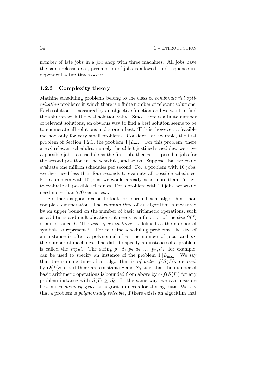number of late jobs in a job shop with three machines. All jobs have the same release date, preemption of jobs is allowed, and sequence independent setup times occur.

#### 1.2.3 Complexity theory

Machine scheduling problems belong to the class of combinatorial optimization problems in which there is a finite number of relevant solutions. Each solution is measured by an objective function and we want to find the solution with the best solution value. Since there is a finite number of relevant solutions, an obvious way to find a best solution seems to be to enumerate all solutions and store a best. This is, however, a feasible method only for very small problems. Consider, for example, the first problem of Section 1.2.1, the problem  $1||L_{\text{max}}$ . For this problem, there are  $n!$  relevant schedules, namely the  $n!$  left-justified schedules: we have n possible jobs to schedule as the first job, then  $n-1$  possible jobs for the second position in the schedule, and so on. Suppose that we could evaluate one million schedules per second. For a problem with 10 jobs, we then need less than four seconds to evaluate all possible schedules. For a problem with 15 jobs, we would already need more than 15 days to evaluate all possible schedules. For a problem with 20 jobs, we would need more than 770 centuries....

So, there is good reason to look for more efficient algorithms than complete enumeration. The running time of an algorithm is measured by an upper bound on the number of basic arithmetic operations, such as additions and multiplications, it needs as a function of the size  $S(I)$ of an instance I. The size of an instance is defined as the number of symbols to represent it. For machine scheduling problems, the size of an instance is often a polynomial of  $n$ , the number of jobs, and  $m$ , the number of machines. The data to specify an instance of a problem is called the *input*. The string  $p_1, d_1, p_2, d_2, \ldots, p_n, d_n$ , for example, can be used to specify an instance of the problem  $1||L_{\text{max}}$ . We say that the running time of an algorithm is of order  $f(S(I))$ , denoted by  $O(f(S(I)))$ , if there are constants c and  $S_0$  such that the number of basic arithmetic operations is bounded from above by  $c \cdot f(S(I))$  for any problem instance with  $S(I) \geq S_0$ . In the same way, we can measure how much *memory space* an algorithm needs for storing data. We say that a problem is polynomially solvable, if there exists an algorithm that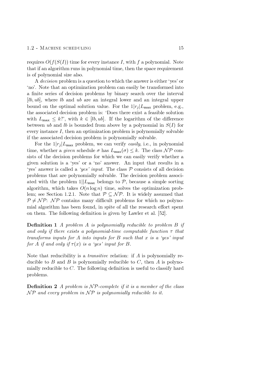#### 1.2 - MACHINE SCHEDULING 15

requires  $O(f(S(I)))$  time for every instance I, with f a polynomial. Note that if an algorithm runs in polynomial time, then the space requirement is of polynomial size also.

A decision problem is a question to which the answer is either 'yes' or 'no'. Note that an optimization problem can easily be transformed into a finite series of decision problems by binary search over the interval [lb, ub], where lb and ub are an integral lower and an integral upper bound on the optimal solution value. For the  $1|r_j | L_{\text{max}}$  problem, e.g., the associated decision problem is: 'Does there exist a feasible solution with  $L_{\text{max}} \leq k$ ?', with  $k \in [lb, ub]$ . If the logarithm of the difference between ub and lb is bounded from above by a polynomial in  $S(I)$  for every instance  $I$ , then an optimization problem is polynomially solvable if the associated decision problem is polynomially solvable.

For the  $1|r_j|L_{\text{max}}$  problem, we can verify easily, i.e., in polynomial time, whether a given schedule  $\sigma$  has  $L_{\text{max}}(\sigma) \leq k$ . The class  $\mathcal{NP}$  consists of the decision problems for which we can easily verify whether a given solution is a 'yes' or a 'no' answer. An input that results in a 'yes' answer is called a 'yes' input. The class  $P$  consists of all decision problems that are polynomially solvable. The decision problem associated with the problem  $1||L_{\text{max}}$  belongs to  $P$ , because a simple sorting algorithm, which takes  $O(n \log n)$  time, solves the optimization problem; see Section 1.2.1. Note that  $P \subseteq \mathcal{NP}$ . It is widely assumed that  $P \neq \mathcal{NP}$ :  $\mathcal{NP}$  contains many difficult problems for which no polynomial algorithm has been found, in spite of all the research effort spent on them. The following definition is given by Lawler et al. [52].

**Definition 1** A problem A is polynomially reducible to problem  $B$  if and only if there exists a polynomial-time computable function  $\tau$  that transforms inputs for A into inputs for B such that x is a 'yes' input for A if and only if  $\tau(x)$  is a 'yes' input for B.

Note that reducibility is a *transitive* relation: if  $A$  is polynomially reducible to  $B$  and  $B$  is polynomially reducible to  $C$ , then  $A$  is polynomially reducible to  $C$ . The following definition is useful to classify hard problems.

**Definition 2** A problem is  $\mathcal{NP}$ -complete if it is a member of the class  $\mathcal{NP}$  and every problem in  $\mathcal{NP}$  is polynomially reducible to it.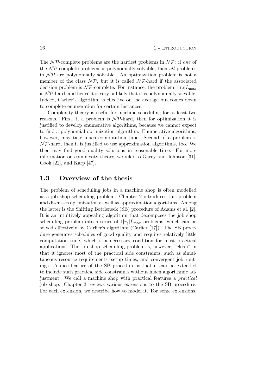The  $\mathcal{NP}$ -complete problems are the hardest problems in  $\mathcal{NP}$ : if one of the  $\mathcal{NP}$ -complete problems is polynomially solvable, then *all* problems in  $\mathcal{NP}$  are polynomially solvable. An optimization problem is not a member of the class  $N\mathcal{P}$ , but it is called  $N\mathcal{P}$ -hard if the associated decision problem is  $\mathcal{NP}$ -complete. For instance, the problem  $1|r_i|L_{\text{max}}$ is  $\mathcal{NP}$ -hard, and hence it is very unlikely that it is polynomially solvable. Indeed, Carlier's algorithm is effective on the average but comes down to complete enumeration for certain instances.

Complexity theory is useful for machine scheduling for at least two reasons. First, if a problem is  $\mathcal{NP}$ -hard, then for optimization it is justified to develop enumerative algorithms, because we cannot expect to find a polynomial optimization algorithm. Enumerative algorithms, however, may take much computation time. Second, if a problem is  $\mathcal{NP}$ -hard, then it is justified to use approximation algorithms, too. We then may find good quality solutions in reasonable time. For more information on complexity theory, we refer to Garey and Johnson [31], Cook [22], and Karp [47].

## 1.3 Overview of the thesis

The problem of scheduling jobs in a machine shop is often modelled as a job shop scheduling problem. Chapter 2 introduces this problem and discusses optimization as well as approximation algorithms. Among the latter is the Shifting Bottleneck (SB) procedure of Adams et al. [2]. It is an intuitively appealing algorithm that decomposes the job shop scheduling problem into a series of  $1|r_i|L_{\text{max}}$  problems, which can be solved effectively by Carlier's algorithm (Carlier [17]). The SB procedure generates schedules of good quality and requires relatively little computation time, which is a necessary condition for most practical applications. The job shop scheduling problem is, however, "clean" in that it ignores most of the practical side constraints, such as simultaneous resource requirements, setup times, and convergent job routings. A nice feature of the SB procedure is that it can be extended to include such practical side constraints without much algorithmic adjustment. We call a machine shop with practical features a practical job shop. Chapter 3 reviews various extensions to the SB procedure. For each extension, we describe how to model it. For some extensions,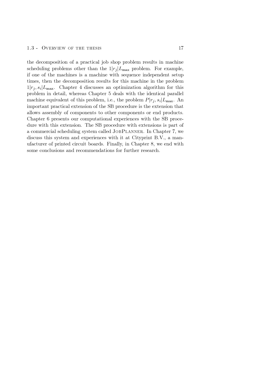#### 1.3 - OVERVIEW OF THE THE  $17$

the decomposition of a practical job shop problem results in machine scheduling problems other than the  $1|r_i|L_{\text{max}}$  problem. For example, if one of the machines is a machine with sequence independent setup times, then the decomposition results for this machine in the problem  $1|r_j, s_i|L_{\text{max}}$ . Chapter 4 discusses an optimization algorithm for this problem in detail, whereas Chapter 5 deals with the identical parallel machine equivalent of this problem, i.e., the problem  $P|r_i, s_i|L_{\text{max}}$ . An important practical extension of the SB procedure is the extension that allows assembly of components to other components or end products. Chapter 6 presents our computational experiences with the SB procedure with this extension. The SB procedure with extensions is part of a commercial scheduling system called JOBPLANNER. In Chapter 7, we discuss this system and experiences with it at Cityprint B.V., a manufacturer of printed circuit boards. Finally, in Chapter 8, we end with some conclusions and recommendations for further research.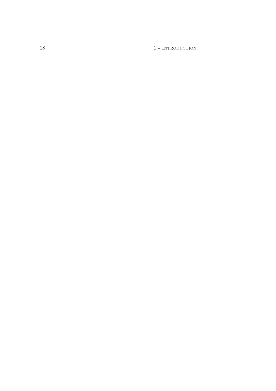1 - INTRODUCTION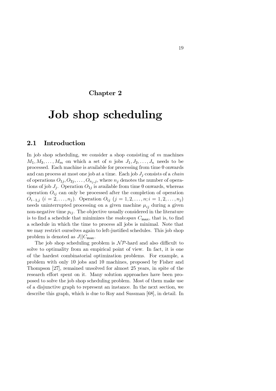Chapter 2

# Job shop scheduling

### 2.1 Introduction

In job shop scheduling, we consider a shop consisting of  $m$  machines  $M_1, M_2, \ldots, M_m$  on which a set of n jobs  $J_1, J_2, \ldots, J_n$  needs to be processed. Each machine is available for processing from time 0 onwards and can process at most one job at a time. Each job  $J_i$  consists of a *chain* of operations  $O_{1j}, O_{2j}, \ldots, O_{n_j,j}$ , where  $n_j$  denotes the number of operations of job  $J_j$ . Operation  $O_{1j}$  is available from time 0 onwards, whereas operation  $O_{ij}$  can only be processed after the completion of operation  $O_{i-1,j}$   $(i = 2, \ldots, n_j)$ . Operation  $O_{ij}$   $(j = 1, 2, \ldots, n; i = 1, 2, \ldots, n_j)$ needs uninterrupted processing on a given machine  $\mu_{ij}$  during a given<br>non-negative time  $p_{ij}$ . The objective usually considered in the literature non-negative time  $p_{ij}$ . The objective usually considered in the literature is to find a schedule that minimizes the *makespan*  $C_{\text{max}}$ , that is, to find a schedule in which the time to process all jobs is minimal. Note that we may restrict ourselves again to left-justified schedules. This job shop problem is denoted as  $J||C_{\text{max}}$ .

The job shop scheduling problem is  $N\mathcal{P}$ -hard and also difficult to solve to optimality from an empirical point of view. In fact, it is one of the hardest combinatorial optimization problems. For example, a problem with only 10 jobs and 10 machines, proposed by Fisher and Thompson [27], remained unsolved for almost 25 years, in spite of the research effort spent on it. Many solution approaches have been proposed to solve the job shop scheduling problem. Most of them make use of a disjunctive graph to represent an instance. In the next section, we describe this graph, which is due to Roy and Sussman [68], in detail. In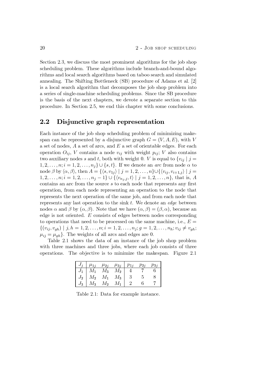Section 2.3, we discuss the most prominent algorithms for the job shop scheduling problem. These algorithms include branch-and-bound algorithms and local search algorithms based on taboo search and simulated annealing. The Shifting Bottleneck (SB) procedure of Adams et al. [2] is a local search algorithm that decomposes the job shop problem into a series of single-machine scheduling problems. Since the SB procedure is the basis of the next chapters, we devote a separate section to this procedure. In Section 2.5, we end this chapter with some conclusions.

## 2.2 Disjunctive graph representation

Each instance of the job shop scheduling problem of minimizing makespan can be represented by a disjunctive graph  $G = (V, A, E)$ , with V a set of nodes,  $A$  a set of arcs, and  $E$  a set of orientable edges. For each operation  $O_{ij}$ , V contains a node  $v_{ij}$  with weight  $p_{ij}$ ; V also contains two auxiliary nodes s and t, both with weight 0. V is equal to  $\{v_{ij} | j =$  $1, 2, \ldots, n; i = 1, 2, \ldots, n_j\} \cup \{s, t\}.$  If we denote an arc from node  $\alpha$  to node  $\beta$  by  $\langle \alpha, \beta \rangle$ , then  $A = \{ \langle s, v_{1j} \rangle \mid j = 1, 2, \ldots, n \} \cup \{ \langle v_{ij}, v_{i+1,j} \rangle \mid j = 1, 2, \ldots, n \}$  $1, 2, \ldots, n; i = 1, 2, \ldots, n_j - 1$   $\cup \{ \langle v_{n_j,j}, t \rangle \mid j = 1, 2, \ldots, n \}$ , that is, A contains an arc from the source s to each node that represents any first operation, from each node representing an operation to the node that represents the next operation of the same job, and from each node that represents any last operation to the sink  $t$ . We denote an *edge* between nodes  $\alpha$  and  $\beta$  by  $(\alpha, \beta)$ . Note that we have  $(\alpha, \beta) = (\beta, \alpha)$ , because an edge is not oriented. E consists of edges between nodes corresponding to operations that need to be processed on the same machine, i.e.,  $E =$  $\{(v_{ij}, v_{gh}) \mid j, h = 1, 2, \ldots, n; i = 1, 2, \ldots, n_j; g = 1, 2, \ldots, n_h; v_{ij} \neq v_{gh};\}$  $\mu_{ij} = \mu_{qh}$ . The weights of all arcs and edges are 0.

Table 2.1 shows the data of an instance of the job shop problem with three machines and three jobs, where each job consists of three operations. The objective is to minimize the makespan. Figure 2.1

|       | $\mu_{1i}$                | $\mu_{2j}$       | $\mu_{3i}$ | $p_{1j}$ | $p_{2i}$ |  |
|-------|---------------------------|------------------|------------|----------|----------|--|
|       | $J_1$   $M_1$ $M_3$ $M_2$ |                  |            |          |          |  |
|       | $J_2$   $M_2$ $M_1$       |                  | $M_3$      |          |          |  |
| $J_3$ | $M_3$                     | $M_{\mathbf{2}}$ | $M_1$      |          |          |  |

Table 2.1: Data for example instance.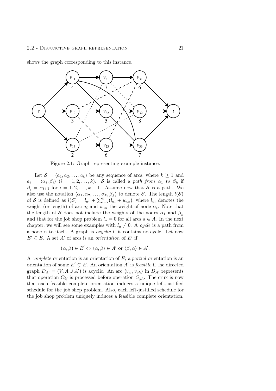

shows the graph corresponding to this instance.

Figure 2.1: Graph representing example instance.

Let  $S = \langle a_1, a_2, \ldots, a_k \rangle$  be any sequence of arcs, where  $k \geq 1$  and  $a_i = \langle \alpha_i, \beta_i \rangle$  (i = 1, 2, ..., k). S is called a path from  $\alpha_1$  to  $\beta_k$  if  $\beta_i = \alpha_{i+1}$  for  $i = 1, 2, ..., k - 1$ . Assume now that S is a path. We also use the notation  $(\alpha_1, \alpha_2, \ldots, \alpha_k)$  to denote S. The length  $l(S)$ also use the notation  $\langle \alpha_1, \alpha_2, \ldots, \alpha_k, \beta_k \rangle$  to denote S. The length  $l(S)$ of S is defined as  $l(S) = l_{a_1} + \sum_{i=2}^{k} (l_{a_i} + w_{\alpha_i})$ , where  $l_{a_i}$  denotes the weight (or length) of arc at and  $w$ , the weight of node  $\alpha$ . Note that weight (or length) of arc  $a_i$  and  $w_{\alpha_i}$  the weight of node  $\alpha_i$ . Note that the length of S does not include the weights of the nodes  $\alpha_1$  and  $\beta_k$ and that for the job shop problem  $l_a = 0$  for all arcs  $a \in A$ . In the next chapter, we will see some examples with  $l_a \neq 0$ . A cycle is a path from a node  $\alpha$  to itself. A graph is *acyclic* if it contains no cycle. Let now  $E' \subseteq E$ . A set A' of arcs is an *orientation* of E' if

$$
(\alpha, \beta) \in E' \Leftrightarrow \langle \alpha, \beta \rangle \in A' \text{ or } \langle \beta, \alpha \rangle \in A'.
$$

A *complete* orientation is an orientation of  $E$ ; a *partial* orientation is an orientation of some  $E' \subseteq E$ . An orientation A' is *feasible* if the directed graph  $D_{A'} = (V, A \cup A')$  is acyclic. An arc  $\langle v_{ij}, v_{gh} \rangle$  in  $D_{A'}$  represents<br>that operation  $Q_{\perp}$  is processed before operation  $Q_{\perp}$ . The cruy is now that operation  $O_{ij}$  is processed before operation  $O_{gh}$ . The crux is now that each feasible complete orientation induces a unique left-justified schedule for the job shop problem. Also, each left-justified schedule for the job shop problem uniquely induces a feasible complete orientation.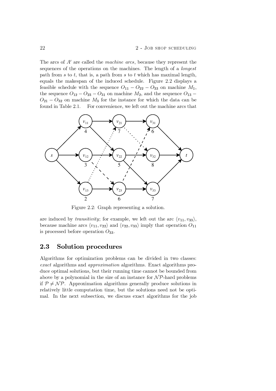The arcs of  $A'$  are called the *machine arcs*, because they represent the sequences of the operations on the machines. The length of a *longest* path from  $s$  to  $t$ , that is, a path from  $s$  to  $t$  which has maximal length, equals the makespan of the induced schedule. Figure 2.2 displays a feasible schedule with the sequence  $O_{11} - O_{22} - O_{33}$  on machine  $M_1$ , the sequence  $O_{12} - O_{23} - O_{31}$  on machine  $M_2$ , and the sequence  $O_{13}$  –  $O_{21} - O_{32}$  on machine  $M_3$  for the instance for which the data can be found in Table 2.1. For convenience, we left out the machine arcs that



Figure 2.2: Graph representing a solution.

are induced by *transitivity*; for example, we left out the arc  $\langle v_{11}, v_{33} \rangle$ , because machine arcs  $\langle v_{11}, v_{22} \rangle$  and  $\langle v_{22}, v_{33} \rangle$  imply that operation  $O_{11}$ is processed before operation  $O_{33}$ .

### 2.3 Solution procedures

Algorithms for optimization problems can be divided in two classes: exact algorithms and approximation algorithms. Exact algorithms produce optimal solutions, but their running time cannot be bounded from above by a polynomial in the size of an instance for  $N\mathcal{P}$ -hard problems if  $P \neq NP$ . Approximation algorithms generally produce solutions in relatively little computation time, but the solutions need not be optimal. In the next subsection, we discuss exact algorithms for the job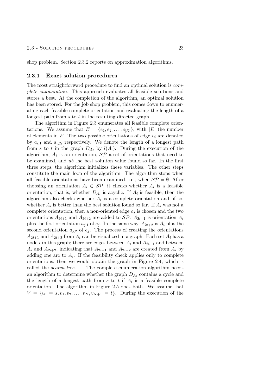shop problem. Section 2.3.2 reports on approximation algorithms.

#### 2.3.1 Exact solution procedures

The most straightforward procedure to find an optimal solution is complete enumeration. This approach evaluates all feasible solutions and stores a best. At the completion of the algorithm, an optimal solution has been stored. For the job shop problem, this comes down to enumerating each feasible complete orientation and evaluating the length of a longest path from  $s$  to  $t$  in the resulting directed graph.

The algorithm in Figure 2.3 enumerates all feasible complete orientations. We assume that  $E = \{e_1, e_2, \ldots, e_{|E|}\}\$ , with  $|E|$  the number of elements in  $E$ . The two possible orientations of edge  $e_i$  are denoted by  $a_{i,1}$  and  $a_{i,2}$ , respectively. We denote the length of a longest path from s to t in the graph  $D_{A_i}$  by  $l(A_i)$ . During the execution of the algorithm,  $A_i$  is an orientation,  $\mathcal{SP}$  a set of orientations that need to be examined, and ub the best solution value found so far. In the first three steps, the algorithm initializes these variables. The other steps constitute the main loop of the algorithm. The algorithm stops when all feasible orientations have been examined, i.e., when  $\mathcal{SP} = \emptyset$ . After choosing an orientation  $A_i \in \mathcal{SP}$ , it checks whether  $A_i$  is a feasible orientation, that is, whether  $D_{A_i}$  is acyclic. If  $A_i$  is feasible, then the algorithm also checks whether  $A_i$  is a complete orientation and, if so, whether  $A_i$  is better than the best solution found so far. If  $A_i$  was not a complete orientation, then a non-oriented edge  $e_i$  is chosen and the two orientations  $A_{2i+1}$  and  $A_{2i+2}$  are added to  $\mathcal{SP}$ .  $A_{2i+1}$  is orientation  $A_i$ plus the first orientation  $a_{j,1}$  of  $e_j$ . In the same way,  $A_{2i+2}$  is  $A_i$  plus the second orientation  $a_{j,2}$  of  $e_j$ . The process of creating the orientations  $A_{2i+1}$  and  $A_{2i+2}$  from  $A_i$  can be visualized in a graph. Each set  $A_i$  has a node i in this graph; there are edges between  $A_i$  and  $A_{2i+1}$  and between  $A_i$  and  $A_{2i+2}$ , indicating that  $A_{2i+1}$  and  $A_{2i+2}$  are created from  $A_i$  by adding one arc to  $A_i$ . If the feasibility check applies only to complete orientations, then we would obtain the graph in Figure 2.4, which is called the *search tree*. The complete enumeration algorithm needs an algorithm to determine whether the graph  $D_A$  contains a cycle and the length of a longest path from s to t if  $A_i$  is a feasible complete orientation. The algorithm in Figure 2.5 does both. We assume that  $V = \{v_0 = s, v_1, v_2, \ldots, v_N, v_{N+1} = t\}.$  During the execution of the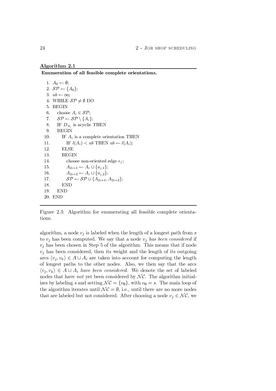#### Algorithm 2.1

Enumeration of all feasible complete orientations.

```
1. A_0 \leftarrow \emptyset;2. \mathcal{SP} \leftarrow \{A_0\};3. ub \leftarrow \infty;
  4. WHILE \mathcal{SP} \neq \emptyset DO
  5. BEGIN
  6. choose A_i \in \mathcal{SP};<br>7. \mathcal{SP} \leftarrow \mathcal{SP} \setminus \{A_i\}7. \mathcal{SP} \leftarrow \mathcal{SP} \setminus \{A_i\};<br>8. IF D_A is acyclic'
  8. IF D_{A_i} is acyclic THEN<br>9. BEGIN
             9. BEGIN
10. IF A_i is a complete orientation THEN<br>11. IF l(A_i) < ub THEN ub \leftarrow l(A_i):
11. IF l(A_i) < ub THEN ub \leftarrow l(A_i);<br>12. ELSE
                  12. ELSE
13. BEGIN
14. choose non-oriented edge e_j;<br>15. A_{2i+1} \leftarrow A_i \cup \{a_{i,1}\}:
15. A_{2i+1} \leftarrow A_i \cup \{a_{j,1}\};<br>16. A_{2i+2} \leftarrow A_i \cup \{a_{i,2}\};16. A_{2i+2} \leftarrow A_i \cup \{a_{j,2}\};<br>17. \mathcal{SP} \leftarrow \mathcal{SP} \cup \{A_{2i+1},\}17. \mathcal{SP} \leftarrow \mathcal{SP} \cup \{A_{2i+1}, A_{2i+2}\};<br>18. END
                  18. END
19. END
20. END
```
Figure 2.3: Algorithm for enumerating all feasible complete orientations.

algorithm, a node  $v_j$  is labeled when the length of a longest path from s to  $v_j$  has been computed. We say that a node  $v_j$  has been considered if  $v_j$  has been chosen in Step 5 of the algorithm. This means that if node  $v_j$  has been considered, then its weight and the length of its outgoing arcs  $\langle v_i, v_k \rangle \in A \cup A_i$  are taken into account for computing the length of longest paths to the other nodes. Also, we then say that the arcs  $\langle v_i, v_k \rangle \in A \cup A_i$  have been considered. We denote the set of labeled nodes that have *not* yet been considered by  $N\mathcal{C}$ . The algorithm initializes by labeling s and setting  $\mathcal{NC} = \{v_0\}$ , with  $v_0 = s$ . The main loop of the algorithm iterates until  $\mathcal{N}\mathcal{C} = \emptyset$ , i.e., until there are no more nodes that are labeled but not considered. After choosing a node  $v_j \in \mathcal{NC}$ , we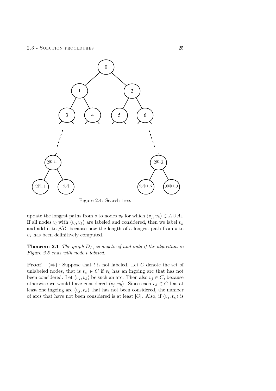

Figure 2.4: Search tree.

update the longest paths from s to nodes  $v_k$  for which  $\langle v_j, v_k \rangle \in A \cup A_i$ . If all nodes  $v_l$  with  $\langle v_l, v_k \rangle$  are labeled and considered, then we label  $v_k$ and add it to  $N\mathcal{C}$ , because now the length of a longest path from s to  $v_k$  has been definitively computed.

**Theorem 2.1** The graph  $D_A$ , is acyclic if and only if the algorithm in Figure 2.5 ends with node t labeled.

**Proof.**  $(\Rightarrow)$ : Suppose that t is not labeled. Let C denote the set of unlabeled nodes, that is  $v_k \in C$  if  $v_k$  has an ingoing arc that has not been considered. Let  $\langle v_j, v_k \rangle$  be such an arc. Then also  $v_j \in C$ , because otherwise we would have considered  $\langle v_j, v_k \rangle$ . Since each  $v_k \in C$  has at least one ingoing arc  $\langle v_j, v_k \rangle$  that has not been considered, the number of arcs that have not been considered is at least |C|. Also, if  $\langle v_j, v_k \rangle$  is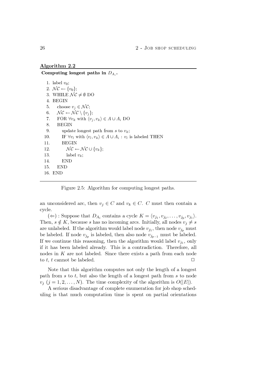#### Algorithm 2.2

```
Computing longest paths in D_{A_i}.
     1. label v_0;
    2. \mathcal{NC} \leftarrow \{v_0\};3. WHILE \mathcal{NC} \neq \emptyset DO
    4. BEGIN
    5. choose v_j \in \mathcal{NC};<br>6. \mathcal{NC} \leftarrow \mathcal{NC} \setminus \{v_i\}6. \mathcal{NC} \leftarrow \mathcal{NC} \setminus \{v_j\};<br>7. FOR \forall v_k with \langle v_i \rangle7. FOR \forall v_k with \langle v_j, v_k \rangle \in A \cup A_i DO<br>8. BEGIN
               8. BEGIN
   9. update longest path from s to v_k;<br>10. IF \forall v_l with \langle v_l, v_k \rangle \in A \cup A_i : v_l10. IF \forall v_l with \langle v_l, v_k \rangle \in A \cup A_i : v_l is labeled THEN<br>11. BEGIN
                    11. BEGIN
   12. \mathcal{NC} \leftarrow \mathcal{NC} \cup \{v_k\};<br>13. \qquad \qquad \text{label } v_k:
   13. label v_k;<br>14. END
                    14. END
   15. END
   16. END
```
Figure 2.5: Algorithm for computing longest paths.

an unconsidered arc, then  $v_j \in C$  and  $v_k \in C$ . C must then contain a cycle.

(←): Suppose that  $D_{A_i}$  contains a cycle  $K = \langle v_{j_1}, v_{j_2}, \ldots, v_{j_p}, v_{j_1} \rangle$ . Then,  $s \notin K$ , because s has no incoming arcs. Initially, all nodes  $v_j \neq s$ are unlabeled. If the algorithm would label node  $v_{j_1}$ , then node  $v_{j_n}$  must be labeled. If node  $v_{j_p}$  is labeled, then also node  $v_{j_{p-1}}$  must be labeled. If we continue this reasoning, then the algorithm would label  $v_{j1}$ , only if it has been labeled already. This is a contradiction. Therefore, all nodes in  $K$  are not labeled. Since there exists a path from each node to  $t$ ,  $t$  cannot be labeled.  $\Box$ 

Note that this algorithm computes not only the length of a longest path from  $s$  to  $t$ , but also the length of a longest path from  $s$  to node  $v_j$   $(j = 1, 2, ..., N)$ . The time complexity of the algorithm is  $O(|E|)$ .

A serious disadvantage of complete enumeration for job shop scheduling is that much computation time is spent on partial orientations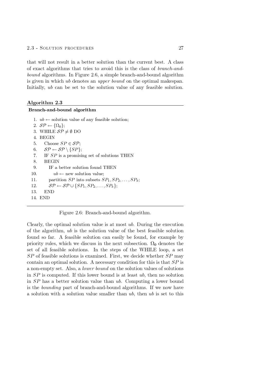that will not result in a better solution than the current best. A class of exact algorithms that tries to avoid this is the class of branch-andbound algorithms. In Figure 2.6, a simple branch-and-bound algorithm is given in which ub denotes an upper bound on the optimal makespan. Initially, ub can be set to the solution value of any feasible solution.

#### Algorithm 2.3

### Branch-and-bound algorithm

1.  $ub \leftarrow$  solution value of any feasible solution; 2.  $\mathcal{SP} \leftarrow \{\Omega_0\};$ 3. WHILE  $\mathcal{SP} \neq \emptyset$  DO 4. BEGIN 5. Choose  $SP \in \mathcal{SP}$ ; 6.  $\mathcal{SP} \leftarrow \mathcal{SP} \setminus \{SP\};$ 7. IF SP is a promising set of solutions THEN 8. BEGIN 9. IF a better solution found THEN 10.  $ub \leftarrow new solution value;$ 11. partition  $SP$  into subsets  $SP_1, SP_2, \ldots, SP_k$ ;<br>12.  $SP \leftarrow SP \cup \{SP_1, SP_2, \ldots, SP_k\}$ ; 12.  $\mathcal{SP} \leftarrow \mathcal{SP} \cup \{SP_1, SP_2, \ldots, SP_k\};$ <br>13. END 13. END 14. END

Figure 2.6: Branch-and-bound algorithm.

Clearly, the optimal solution value is at most ub. During the execution of the algorithm, ub is the solution value of the best feasible solution found so far. A feasible solution can easily be found, for example by priority rules, which we discuss in the next subsection.  $\Omega_0$  denotes the set of all feasible solutions. In the steps of the WHILE loop, a set  $SP$  of feasible solutions is examined. First, we decide whether  $SP$  may contain an optimal solution. A necessary condition for this is that  $SP$  is a non-empty set. Also, a lower bound on the solution values of solutions in  $SP$  is computed. If this lower bound is at least ub, then no solution in SP has a better solution value than ub. Computing a lower bound is the bounding part of branch-and-bound algorithms. If we now have a solution with a solution value smaller than  $ub$ , then  $ub$  is set to this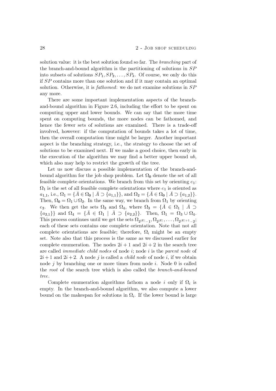solution value: it is the best solution found so far. The branching part of the branch-and-bound algorithm is the partitioning of solutions in SP into subsets of solutions  $SP_1, SP_2, \ldots, SP_k$ . Of course, we only do this if SP contains more than one solution and if it may contain an optimal solution. Otherwise, it is fathomed: we do not examine solutions in SP any more.

There are some important implementation aspects of the branchand-bound algorithm in Figure 2.6, including the effort to be spent on computing upper and lower bounds. We can say that the more time spent on computing bounds, the more nodes can be fathomed, and hence the fewer sets of solutions are examined. There is a trade-off involved, however: if the computation of bounds takes a lot of time, then the overall computation time might be larger. Another important aspect is the branching strategy, i.e., the strategy to choose the set of solutions to be examined next. If we make a good choice, then early in the execution of the algorithm we may find a better upper bound ub, which also may help to restrict the growth of the tree.

Let us now discuss a possible implementation of the branch-andbound algorithm for the job shop problem. Let  $\Omega_0$  denote the set of all feasible complete orientations. We branch from this set by orienting  $e_1$ :  $\Omega_1$  is the set of all feasible complete orientations where  $e_1$  is oriented as  $a_{1,1}$ , i.e.,  $\Omega_1 = \{\overline{A} \in \Omega_0 \mid \overline{A} \supset \{a_{1,1}\}\}\,$ , and  $\Omega_2 = \{\overline{A} \in \Omega_0 \mid \overline{A} \supset \{a_{1,2}\}\}\.$ Then,  $\Omega_0 = \Omega_1 \cup \Omega_2$ . In the same way, we branch from  $\Omega_1$  by orienting e<sub>2</sub>. We then get the sets  $\Omega_3$  and  $\Omega_4$ , where  $\Omega_3 = \{A \in \Omega_1 \mid A \supset$  ${a_{2,1}}$  and  $\Omega_4 = \{\overline{A} \in \Omega_1 \mid \overline{A} \supset {a_{2,2}}\}$ . Then,  $\Omega_1 = \Omega_3 \cup \Omega_4$ . This process continues until we get the sets  $\Omega_{2|E|-1}, \Omega_{2|E|}, \ldots, \Omega_{2|E|+1-2};$ each of these sets contains one complete orientation. Note that not all complete orientations are feasible; therefore,  $\Omega_i$  might be an empty set. Note also that this process is the same as we discussed earlier for complete enumeration. The nodes  $2i + 1$  and  $2i + 2$  in the search tree are called *immediate child nodes* of node  $i$ ; node  $i$  is the *parent node* of  $2i+1$  and  $2i+2$ . A node j is called a *child node* of node i, if we obtain node  $j$  by branching one or more times from node  $i$ . Node 0 is called the root of the search tree which is also called the branch-and-bound tree.

Complete enumeration algorithms fathom a node i only if  $\Omega_i$  is empty. In the branch-and-bound algorithm, we also compute a lower bound on the makespan for solutions in  $\Omega_i$ . If the lower bound is large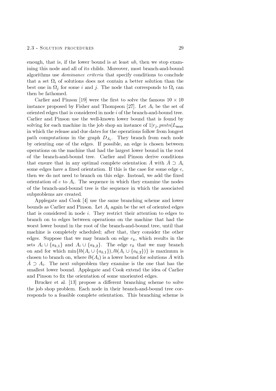enough, that is, if the lower bound is at least  $ub$ , then we stop examining this node and all of its childs. Moreover, most branch-and-bound algorithms use dominance criteria that specify conditions to conclude that a set  $\Omega_i$  of solutions does not contain a better solution than the best one in  $\Omega_j$  for some i and j. The node that corresponds to  $\Omega_i$  can then be fathomed.

Carlier and Pinson [19] were the first to solve the famous  $10 \times 10$ instance proposed by Fisher and Thompson [27]. Let  $A_i$  be the set of oriented edges that is considered in node i of the branch-and-bound tree. Carlier and Pinson use the well-known lower bound that is found by solving for each machine in the job shop an instance of  $1|r_j, pmtn|L_{\text{max}}$ in which the release and due dates for the operations follow from longest path computations in the graph  $D_{A_i}$ . They branch from each node by orienting one of the edges. If possible, an edge is chosen between operations on the machine that had the largest lower bound in the root of the branch-and-bound tree. Carlier and Pinson derive conditions that ensure that in any optimal complete orientation A with  $A \supset A_i$ some edges have a fixed orientation. If this is the case for some edge  $e$ , then we do not need to branch on this edge. Instead, we add the fixed orientation of  $e$  to  $A_i$ . The sequence in which they examine the nodes of the branch-and-bound tree is the sequence in which the associated subproblems are created.

Applegate and Cook [4] use the same branching scheme and lower bounds as Carlier and Pinson. Let  $A_i$  again be the set of oriented edges that is considered in node  $i$ . They restrict their attention to edges to branch on to edges between operations on the machine that had the worst lower bound in the root of the branch-and-bound tree, until that machine is completely scheduled; after that, they consider the other edges. Suppose that we may branch on edge  $e_k$ , which results in the sets  $A_i \cup \{a_{k,1}\}\$ and  $A_i \cup \{a_{k,2}\}\$ . The edge  $e_k$  that we may branch on and for which min $\{lb(A_i \cup \{a_{k,1}\}), lb(A_i \cup \{a_{k,2}\})\}$  is maximum is chosen to branch on, where  $lb(A_i)$  is a lower bound for solutions  $\overline{A}$  with  $\overline{A} \supset A_i$ . The next subproblem they examine is the one that has the smallest lower bound. Applegate and Cook extend the idea of Carlier and Pinson to fix the orientation of some unoriented edges.

Brucker et al. [13] propose a different branching scheme to solve the job shop problem. Each node in their branch-and-bound tree corresponds to a feasible complete orientation. This branching scheme is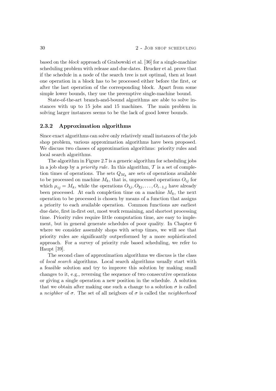based on the block approach of Grabowski et al. [36] for a single-machine scheduling problem with release and due dates. Brucker et al. prove that if the schedule in a node of the search tree is not optimal, then at least one operation in a block has to be processed either before the first, or after the last operation of the corresponding block. Apart from some simple lower bounds, they use the preemptive single-machine bound.

State-of-the-art branch-and-bound algorithms are able to solve instances with up to 15 jobs and 15 machines. The main problem in solving larger instances seems to be the lack of good lower bounds.

#### 2.3.2 Approximation algorithms

Since exact algorithms can solve only relatively small instances of the job shop problem, various approximation algorithms have been proposed. We discuss two classes of approximation algorithms: priority rules and local search algorithms.

The algorithm in Figure 2.7 is a generic algorithm for scheduling jobs in a job shop by a *priority rule*. In this algorithm,  $T$  is a set of completion times of operations. The sets  $Q_{M_k}$  are sets of operations available to be processed on machine  $M_k$ , that is, unprocessed operations  $O_{ij}$  for which  $\mu_{ij} = M_k$ , while the operations  $O_{1j}, O_{2j}, \ldots, O_{i-1,j}$  have already been processed. At each completion time on a machine M, the next been processed. At each completion time on a machine  $M_k$ , the next operation to be processed is chosen by means of a function that assigns a priority to each available operation. Common functions are earliest due date, first in-first out, most work remaining, and shortest processing time. Priority rules require little computation time, are easy to implement, but in general generate schedules of poor quality. In Chapter 6 where we consider assembly shops with setup times, we will see that priority rules are significantly outperformed by a more sophisticated approach. For a survey of priority rule based scheduling, we refer to Haupt [39].

The second class of approximation algorithms we discuss is the class of local search algorithms. Local search algorithms usually start with a feasible solution and try to improve this solution by making small changes to it, e.g., reversing the sequence of two consecutive operations or giving a single operation a new position in the schedule. A solution that we obtain after making one such a change to a solution  $\sigma$  is called a neighbor of  $\sigma$ . The set of all neigbors of  $\sigma$  is called the neighborhood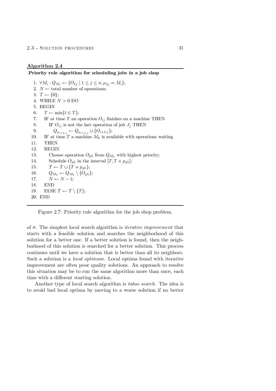#### Algorithm 2.4

Priority rule algorithm for scheduling jobs in a job shop

1.  $\forall M_i: Q_{M_i} \leftarrow \{O_{1j} \mid 1 \leq j \leq n, \mu_{1j} = M_i\};$ 2.  $N \leftarrow$  total number of operations; 3.  $\mathcal{T} \leftarrow \{0\};$ 4. WHILE  $N > 0$  DO 5. BEGIN 6.  $T \leftarrow \min\{t \in \mathcal{T}\};$ 7. IF at time T an operation  $O_{ij}$  finishes on a machine THEN<br>8. IF  $O_{ij}$  is not the last operation of job  $J_i$  THEN 8. IF  $O_{ij}$  is not the last operation of job  $J_j$  THEN<br>9.  $O_{ii} \leftarrow O_{ii} \cup \{O_{i+1,i}\}$ : 9.  $Q_{\mu_{i+1,j}} \leftarrow Q_{\mu_{i+1,j}} \cup \{O_{i+1,j}\};$ <br>10. IF at time T a machine  $M_k$  is ava 10. IF at time  $T$  a machine  $M_k$  is available with operations waiting 11. THEN 11. THEN 12. BEGIN 13. Choose operation  $O_{gh}$  from  $Q_{M_k}$  with highest priority;<br>14. Schedule  $O_{gh}$  in the interval  $[T, T + p_{gh}]$ ; 14. Schedule  $O_{gh}$  in the interval  $[T, T + p_{gh}];$ <br>15.  $\mathcal{T} \leftarrow \mathcal{T} \cup \{T + p_{gh}\};$ 15.  $T \leftarrow T \cup \{T + p_{gh}\};$ <br>16.  $Q_M \leftarrow Q_M \setminus \{Q_{gh}\}$ 16.  $Q_{M_k} \leftarrow Q_{M_k} \setminus \{O_{gh}\};$ <br>17.  $N \leftarrow N-1;$  $N \leftarrow N - 1;$ 18. END 19. ELSE  $\mathcal{T} \leftarrow \mathcal{T} \setminus \{T\};$ 20. END

Figure 2.7: Priority rule algorithm for the job shop problem.

of  $\sigma$ . The simplest local search algorithm is *iterative improvement* that starts with a feasible solution and searches the neighborhood of this solution for a better one. If a better solution is found, then the neighborhood of this solution is searched for a better solution. This process continues until we have a solution that is better than all its neighbors. Such a solution is a local optimum. Local optima found with iterative improvement are often poor quality solutions. An approach to resolve this situation may be to run the same algorithm more than once, each time with a different starting solution.

Another type of local search algorithm is taboo search. The idea is to avoid bad local optima by moving to a worse solution if no better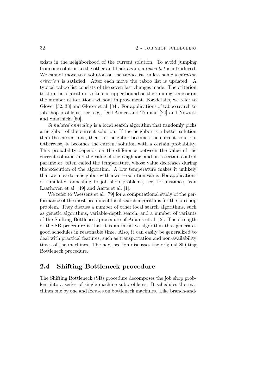exists in the neighborhood of the current solution. To avoid jumping from one solution to the other and back again, a taboo list is introduced. We cannot move to a solution on the taboo list, unless some *aspiration* criterion is satisfied. After each move the taboo list is updated. A typical taboo list consists of the seven last changes made. The criterion to stop the algorithm is often an upper bound on the running-time or on the number of iterations without improvement. For details, we refer to Glover [32, 33] and Glover et al. [34]. For applications of taboo search to job shop problems, see, e.g., Dell'Amico and Trubian [24] and Nowicki and Smutnicki [60].

Simulated annealing is a local search algorithm that randomly picks a neighbor of the current solution. If the neighbor is a better solution than the current one, then this neighbor becomes the current solution. Otherwise, it becomes the current solution with a certain probability. This probability depends on the difference between the value of the current solution and the value of the neighbor, and on a certain control parameter, often called the temperature, whose value decreases during the execution of the algorithm. A low temperature makes it unlikely that we move to a neighbor with a worse solution value. For applications of simulated annealing to job shop problems, see, for instance, Van Laarhoven et al. [49] and Aarts et al. [1].

We refer to Vaessens et al. [79] for a computational study of the performance of the most prominent local search algorithms for the job shop problem. They discuss a number of other local search algorithms, such as genetic algorithms, variable-depth search, and a number of variants of the Shifting Bottleneck procedure of Adams et al. [2]. The strength of the SB procedure is that it is an intuitive algorithm that generates good schedules in reasonable time. Also, it can easily be generalized to deal with practical features, such as transportation and non-availability times of the machines. The next section discusses the original Shifting Bottleneck procedure.

## 2.4 Shifting Bottleneck procedure

The Shifting Bottleneck (SB) procedure decomposes the job shop problem into a series of single-machine subproblems. It schedules the machines one by one and focuses on bottleneck machines. Like branch-and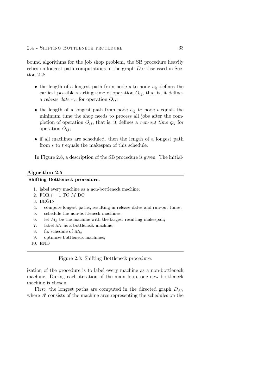bound algorithms for the job shop problem, the SB procedure heavily relies on longest path computations in the graph  $D_{A'}$  discussed in Section 2.2:

- the length of a longest path from node s to node  $v_{ij}$  defines the earliest possible starting time of operation  $O_{ij}$ , that is, it defines a release date  $r_{ij}$  for operation  $O_{ij}$ ;
- the length of a longest path from node  $v_{ij}$  to node t equals the minimum time the shop needs to process all jobs after the completion of operation  $O_{ij}$ , that is, it defines a *run-out time*  $q_{ij}$  for operation  $O_{ij}$ ;
- if all machines are scheduled, then the length of a longest path from  $s$  to  $t$  equals the makespan of this schedule.

In Figure 2.8, a description of the SB procedure is given. The initial-

#### Algorithm 2.5

#### Shifting Bottleneck procedure.

- 1. label every machine as a non-bottleneck machine;
- 2. FOR  $i = 1$  TO M DO
- 3. BEGIN
- 4. compute longest paths, resulting in release dates and run-out times;
- 5. schedule the non-bottleneck machines;
- 6. let  $M_k$  be the machine with the largest resulting makespan;<br>7. label  $M_k$  as a bottleneck machine;
- 7. label  $M_k$  as a bottleneck machine;<br>8. fix schedule of  $M_k$ ;
- 8. fix schedule of  $M_k$ ;<br>9. optimize bottleneck
- optimize bottleneck machines;
- 10. END

Figure 2.8: Shifting Bottleneck procedure.

ization of the procedure is to label every machine as a non-bottleneck machine. During each iteration of the main loop, one new bottleneck machine is chosen.

First, the longest paths are computed in the directed graph  $D_{A}$ , where  $A'$  consists of the machine arcs representing the schedules on the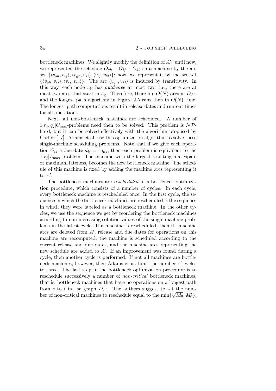bottleneck machines. We slightly modify the definition of  $A'$ : until now, we represented the schedule  $O_{qh} - O_{ij} - O_{kl}$  on a machine by the arc set  $\{\langle v_{gh}, v_{ij} \rangle, \langle v_{gh}, v_{kl} \rangle, \langle v_{ij}, v_{kl} \rangle\};$  now, we represent it by the arc set  $\{\langle v_{qh}, v_{ij} \rangle, \langle v_{ij}, v_{kl} \rangle\}.$  The arc  $\langle v_{qh}, v_{kl} \rangle$  is induced by transitivity. In this way, each node  $v_{ij}$  has *outdegree* at most two, i.e., there are at most two arcs that start in  $v_{ij}$ . Therefore, there are  $O(N)$  arcs in  $D_{A'}$ , and the longest path algorithm in Figure 2.5 runs then in  $O(N)$  time. The longest path computations result in release dates and run-out times for all operations.

Next, all non-bottleneck machines are scheduled. A number of  $1|r_i, q_i|C_{\text{max}}$ -problems need then to be solved. This problem is  $\mathcal{NP}$ hard, but it can be solved effectively with the algorithm proposed by Carlier [17]. Adams et al. use this optimization algorithm to solve these single-machine scheduling problems. Note that if we give each operation  $O_{ij}$  a due date  $d_{ij} = -q_{ij}$ , then each problem is equivalent to the  $1|r_i|L_{\text{max}}$  problem. The machine with the largest resulting makespan, or maximum lateness, becomes the new bottleneck machine. The schedule of this machine is fixed by adding the machine arcs representing it to A .

The bottleneck machines are rescheduled in a bottleneck optimization procedure, which consists of a number of cycles. In each cycle, every bottleneck machine is rescheduled once. In the first cycle, the sequence in which the bottleneck machines are rescheduled is the sequence in which they were labeled as a bottleneck machine. In the other cycles, we use the sequence we get by reordering the bottleneck machines according to non-increasing solution values of the single-machine problems in the latest cycle. If a machine is rescheduled, then its machine arcs are deleted from  $A'$ , release and due dates for operations on this machine are recomputed, the machine is scheduled according to the current release and due dates, and the machine arcs representing the new schedule are added to  $A'$ . If an improvement was found during a cycle, then another cycle is performed. If not all machines are bottleneck machines, however, then Adams et al. limit the number of cycles to three. The last step in the bottleneck optimization procedure is to reschedule successively a number of non-critical bottleneck machines, that is, bottleneck machines that have no operations on a longest path from s to t in the graph  $D_{A'}$ . The authors suggest to set the number of non-critical machines to reschedule equal to the  $\min{\{\sqrt{M_0}, M_0'\}},$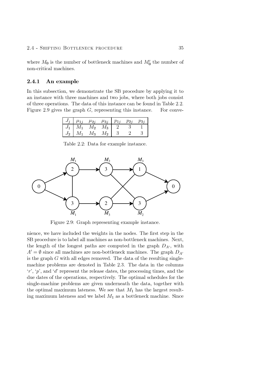where  $M_0$  is the number of bottleneck machines and  $M'_0$  the number of non-critical machines.

## 2.4.1 An example

In this subsection, we demonstrate the SB procedure by applying it to an instance with three machines and two jobs, where both jobs consist of three operations. The data of this instance can be found in Table 2.2. Figure 2.9 gives the graph  $G$ , representing this instance. For conve-

|  | $J_j \mid \mu_{1j} \mid \mu_{2j} \mid \mu_{3j} \mid p_{1j}$ |  |  |
|--|-------------------------------------------------------------|--|--|
|  | $ J_1 M_1 M_2 M_3 $                                         |  |  |
|  | $ J_2 M_1 M_3 M_2 $                                         |  |  |

Table 2.2: Data for example instance.



Figure 2.9: Graph representing example instance.

nience, we have included the weights in the nodes. The first step in the SB procedure is to label all machines as non-bottleneck machines. Next, the length of the longest paths are computed in the graph  $D_{A'}$ , with  $A' = \emptyset$  since all machines are non-bottleneck machines. The graph  $D_{A'}$ is the graph  $G$  with all edges removed. The data of the resulting singlemachine problems are denoted in Table 2.3. The data in the columns  $r'$ ,  $p'$ , and  $d'$  represent the release dates, the processing times, and the due dates of the operations, respectively. The optimal schedules for the single-machine problems are given underneath the data, together with the optimal maximum lateness. We see that  $M_1$  has the largest resulting maximum lateness and we label  $M_1$  as a bottleneck machine. Since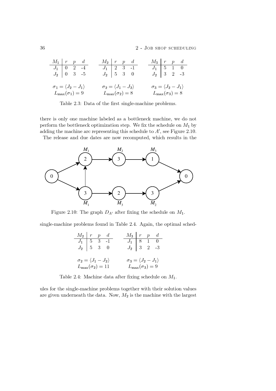$36$   $2$  - JOB SHOP SCHEDULING

| $M_1 \rvert r \rvert p \rvert d$                                    | $M_2 \rvert r \quad p \quad d$                                      | $M_3$   $r$   $p$   $d$                                             |
|---------------------------------------------------------------------|---------------------------------------------------------------------|---------------------------------------------------------------------|
| $J_1$ 0 2 -4                                                        | $J_1$   2 3 -1                                                      | $J_1$   5 1 0                                                       |
| $J_2$ 0 3 -5                                                        | $J_2$ 5 3 0                                                         | $J_2$   3   2   -3                                                  |
| $\sigma_1 = \langle J_2 - J_1 \rangle$<br>$L_{\rm max}(\sigma_1)=9$ | $\sigma_2 = \langle J_1 - J_2 \rangle$<br>$L_{\rm max}(\sigma_2)=8$ | $\sigma_3 = \langle J_2 - J_1 \rangle$<br>$L_{\rm max}(\sigma_3)=8$ |

Table 2.3: Data of the first single-machine problems.

there is only one machine labeled as a bottleneck machine, we do not perform the bottleneck optimization step. We fix the schedule on  $M_1$  by adding the machine arc representing this schedule to  $A'$ , see Figure 2.10.

The release and due dates are now recomputed, which results in the



Figure 2.10: The graph  $D_{A'}$  after fixing the schedule on  $M_1$ .

single-machine problems found in Table 2.4. Again, the optimal sched-

$$
\begin{array}{c|ccccc}\nM_2 & r & p & d \\
\hline\nJ_1 & 5 & 3 & -1 & & J_1 & 8 & 1 & 0 \\
J_2 & 5 & 3 & 0 & & J_2 & 3 & 2 & -3 \\
\sigma_2 & \langle J_1 - J_2 \rangle & & \sigma_3 = \langle J_2 - J_1 \rangle \\
L_{\text{max}}(\sigma_2) = 11 & & L_{\text{max}}(\sigma_3) = 9\n\end{array}
$$

Table 2.4: Machine data after fixing schedule on  $M_1$ .

ules for the single-machine problems together with their solution values are given underneath the data. Now,  $M_2$  is the machine with the largest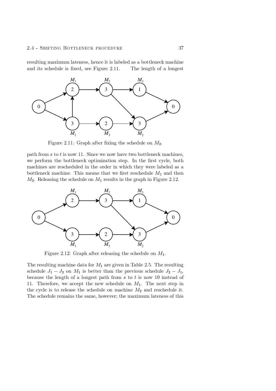resulting maximum lateness, hence it is labeled as a bottleneck machine and its schedule is fixed, see Figure 2.11. The length of a longest



Figure 2.11: Graph after fixing the schedule on  $M_2$ .

path from  $s$  to  $t$  is now 11. Since we now have two bottleneck machines, we perform the bottleneck optimization step. In the first cycle, both machines are rescheduled in the order in which they were labeled as a bottleneck machine. This means that we first reschedule  $M_1$  and then  $M_2$ . Releasing the schedule on  $M_1$  results in the graph in Figure 2.12.



Figure 2.12: Graph after releasing the schedule on  $M_1$ .

The resulting machine data for  $M_1$  are given in Table 2.5. The resulting schedule  $J_1 - J_2$  on  $M_1$  is better than the previous schedule  $J_2 - J_1$ , because the length of a longest path from  $s$  to  $t$  is now 10 instead of 11. Therefore, we accept the new schedule on  $M_1$ . The next step in the cycle is to release the schedule on machine  $M_2$  and reschedule it. The schedule remains the same, however; the maximum lateness of this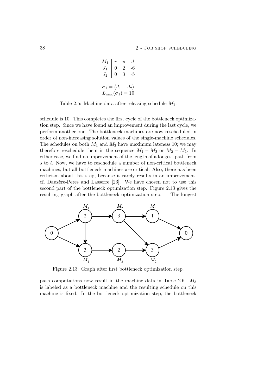$$
\begin{array}{c|cc}\nM_1 & r & p & d \\
\hline\nJ_1 & 0 & 2 & -6 \\
J_2 & 0 & 3 & -5 \\
\sigma_1 = \langle J_1 - J_2 \rangle \\
L_{\text{max}}(\sigma_1) = 10\n\end{array}
$$

Table 2.5: Machine data after releasing schedule  $M_1$ .

schedule is 10. This completes the first cycle of the bottleneck optimization step. Since we have found an improvement during the last cycle, we perform another one. The bottleneck machines are now rescheduled in order of non-increasing solution values of the single-machine schedules. The schedules on both  $M_1$  and  $M_2$  have maximum lateness 10; we may therefore reschedule them in the sequence  $M_1 - M_2$  or  $M_2 - M_1$ . In either case, we find no improvement of the length of a longest path from s to t. Now, we have to reschedule a number of non-critical bottleneck machines, but all bottleneck machines are critical. Also, there has been criticism about this step, because it rarely results in an improvement, cf. Dauzère-Peres and Lasserre [23]. We have chosen not to use this second part of the bottleneck optimization step. Figure 2.13 gives the resulting graph after the bottleneck optimization step. The longest



Figure 2.13: Graph after first bottleneck optimization step.

path computations now result in the machine data in Table 2.6.  $M_3$ is labeled as a bottleneck machine and the resulting schedule on this machine is fixed. In the bottleneck optimization step, the bottleneck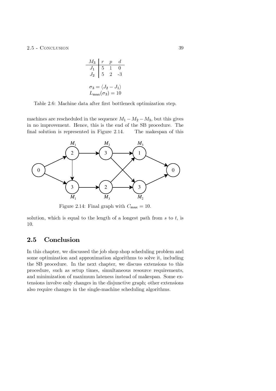#### 2.5 - CONCLUSION 39

$$
\begin{array}{c|cc}\nM_3 & r & p & d \\
\hline\nJ_1 & 5 & 1 & 0 \\
J_2 & 5 & 2 & -3 \\
\sigma_3 = \langle J_2 - J_1 \rangle \\
L_{\text{max}}(\sigma_3) = 10\n\end{array}
$$

Table 2.6: Machine data after first bottleneck optimization step.

machines are rescheduled in the sequence  $M_1 - M_2 - M_3$ , but this gives in no improvement. Hence, this is the end of the SB procedure. The final solution is represented in Figure 2.14. The makespan of this



Figure 2.14: Final graph with  $C_{\text{max}} = 10$ .

solution, which is equal to the length of a longest path from  $s$  to  $t$ , is 10.

# 2.5 Conclusion

In this chapter, we discussed the job shop shop scheduling problem and some optimization and approximation algorithms to solve it, including the SB procedure. In the next chapter, we discuss extensions to this procedure, such as setup times, simultaneous resource requirements, and minimization of maximum lateness instead of makespan. Some extensions involve only changes in the disjunctive graph; other extensions also require changes in the single-machine scheduling algorithms.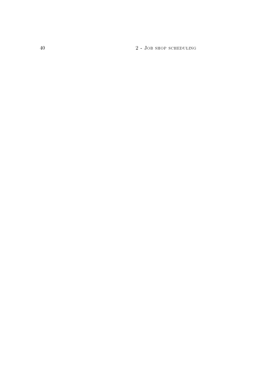- JOB SHOP SCHEDULING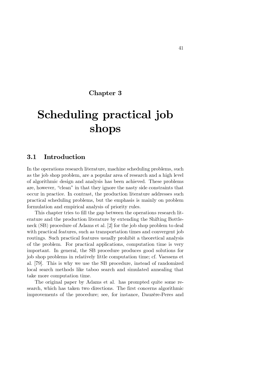Chapter 3

# Scheduling practical job shops

# 3.1 Introduction

In the operations research literature, machine scheduling problems, such as the job shop problem, are a popular area of research and a high level of algorithmic design and analysis has been achieved. These problems are, however, "clean" in that they ignore the nasty side constraints that occur in practice. In contrast, the production literature addresses such practical scheduling problems, but the emphasis is mainly on problem formulation and empirical analysis of priority rules.

This chapter tries to fill the gap between the operations research literature and the production literature by extending the Shifting Bottleneck (SB) procedure of Adams et al. [2] for the job shop problem to deal with practical features, such as transportation times and convergent job routings. Such practical features usually prohibit a theoretical analysis of the problem. For practical applications, computation time is very important. In general, the SB procedure produces good solutions for job shop problems in relatively little computation time; cf. Vaessens et al. [79]. This is why we use the SB procedure, instead of randomized local search methods like taboo search and simulated annealing that take more computation time.

The original paper by Adams et al. has prompted quite some research, which has taken two directions. The first concerns algorithmic improvements of the procedure; see, for instance, Dauzère-Peres and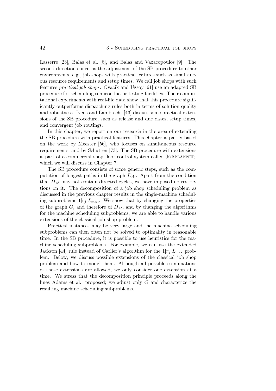Lasserre [23], Balas et al. [8], and Balas and Vazacopoulos [9]. The second direction concerns the adjustment of the SB procedure to other environments, e.g., job shops with practical features such as simultaneous resource requirements and setup times. We call job shops with such features practical job shops. Ovacik and Uzsoy [61] use an adapted SB procedure for scheduling semiconductor testing facilities. Their computational experiments with real-life data show that this procedure significantly outperforms dispatching rules both in terms of solution quality and robustness. Ivens and Lambrecht [43] discuss some practical extensions of the SB procedure, such as release and due dates, setup times, and convergent job routings.

In this chapter, we report on our research in the area of extending the SB procedure with practical features. This chapter is partly based on the work by Meester [56], who focuses on simultaneous resource requirements, and by Schutten [73]. The SB procedure with extensions is part of a commercial shop floor control system called JOBPLANNER, which we will discuss in Chapter 7.

The SB procedure consists of some generic steps, such as the computation of longest paths in the graph  $D_{A'}$ . Apart from the condition that  $D_{A'}$  may not contain directed cycles, we have imposed no restrictions on it. The decomposition of a job shop scheduling problem as discussed in the previous chapter results in the single-machine scheduling subproblems  $1|r_j|L_{\text{max}}$ . We show that by changing the properties of the graph G, and therefore of  $D_{A'}$ , and by changing the algorithms for the machine scheduling subproblems, we are able to handle various extensions of the classical job shop problem.

Practical instances may be very large and the machine scheduling subproblems can then often not be solved to optimality in reasonable time. In the SB procedure, it is possible to use heuristics for the machine scheduling subproblems. For example, we can use the extended Jackson [44] rule instead of Carlier's algorithm for the  $1|r_j|L_{\text{max}}$  problem. Below, we discuss possible extensions of the classical job shop problem and how to model them. Although all possible combinations of those extensions are allowed, we only consider one extension at a time. We stress that the decomposition principle proceeds along the lines Adams et al. proposed; we adjust only G and characterize the resulting machine scheduling subproblems.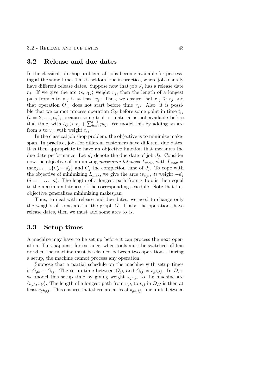### 3.2 Release and due dates

In the classical job shop problem, all jobs become available for processing at the same time. This is seldom true in practice, where jobs usually have different release dates. Suppose now that job  $J_i$  has a release date  $r_j$ . If we give the arc  $\langle s, v_{1j} \rangle$  weight  $r_j$ , then the length of a longest path from s to  $v_{1j}$  is at least  $r_j$ . Thus, we ensure that  $r_{1j} \geq r_j$  and that operation  $O_{1i}$  does not start before time  $r_i$ . Also, it is possible that we cannot process operation  $O_{ij}$  before some point in time  $t_{ij}$  $(i = 2, \ldots, n<sub>j</sub>)$ , because some tool or material is not available before that time, with  $t_{ij} > r_j + \sum_{k=1}^{i-1} p_{kj}$ . We model this by adding an arc from s to  $v_{ij}$  with weight  $t_{ij}$ .

In the classical job shop problem, the objective is to minimize makespan. In practice, jobs for different customers have different due dates. It is then appropriate to have an objective function that measures the due date performance. Let  $d_i$  denote the due date of job  $J_i$ . Consider now the objective of minimizing maximum lateness  $L_{\text{max}}$ , with  $L_{\text{max}} =$  $\max_{j=1,\dots,n}$   $\{C_j - d_j\}$  and  $C_j$  the completion time of  $J_j$ . To cope with the objective of minimizing  $L_{\text{max}}$ , we give the arcs  $\langle v_{n_j,j}, t \rangle$  weight  $-d_j$  $(j = 1, \ldots, n)$ . The length of a longest path from s to t is then equal to the maximum lateness of the corresponding schedule. Note that this objective generalizes minimizing makespan.

Thus, to deal with release and due dates, we need to change only the weights of some arcs in the graph  $G$ . If also the operations have release dates, then we must add some arcs to G.

# 3.3 Setup times

A machine may have to be set up before it can process the next operation. This happens, for instance, when tools must be switched off-line or when the machine must be cleaned between two operations. During a setup, the machine cannot process any operation.

Suppose that a partial schedule on the machine with setup times is  $O_{gh} - O_{ij}$ . The setup time between  $O_{gh}$  and  $O_{ij}$  is  $s_{gh,ij}$ . In  $D_{A'}$ , we model this setup time by giving weight  $s_{gh,ij}$  to the machine arc  $\langle v_{gh}, v_{ij} \rangle$ . The length of a longest path from  $v_{gh}$  to  $v_{ij}$  in  $D_{A'}$  is then at least  $s_{gh,ij}$ . This ensures that there are at least  $s_{gh,ij}$  time units between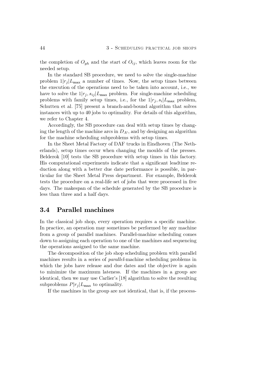the completion of  $O_{qh}$  and the start of  $O_{ij}$ , which leaves room for the needed setup.

In the standard SB procedure, we need to solve the single-machine problem  $1|r_i|L_{\text{max}}$  a number of times. Now, the setup times between the execution of the operations need to be taken into account, i.e., we have to solve the  $1|r_i, s_{ij}|L_{\text{max}}$  problem. For single-machine scheduling problems with family setup times, i.e., for the  $1|r_i, s_i|L_{\text{max}}$  problem, Schutten et al. [75] present a branch-and-bound algorithm that solves instances with up to 40 jobs to optimality. For details of this algorithm, we refer to Chapter 4.

Accordingly, the SB procedure can deal with setup times by changing the length of the machine arcs in  $D_{A'}$ , and by designing an algorithm for the machine scheduling subproblems with setup times.

In the Sheet Metal Factory of DAF trucks in Eindhoven (The Netherlands), setup times occur when changing the moulds of the presses. Belderok [10] tests the SB procedure with setup times in this factory. His computational experiments indicate that a significant leadtime reduction along with a better due date performance is possible, in particular for the Sheet Metal Press department. For example, Belderok tests the procedure on a real-life set of jobs that were processed in five days. The makespan of the schedule generated by the SB procedure is less than three and a half days.

# 3.4 Parallel machines

In the classical job shop, every operation requires a specific machine. In practice, an operation may sometimes be performed by any machine from a group of parallel machines. Parallel-machine scheduling comes down to assigning each operation to one of the machines and sequencing the operations assigned to the same machine.

The decomposition of the job shop scheduling problem with parallel machines results in a series of parallel-machine scheduling problems in which the jobs have release and due dates and the objective is again to minimize the maximum lateness. If the machines in a group are identical, then we may use Carlier's [18] algorithm to solve the resulting subproblems  $P|r_i|L_{\text{max}}$  to optimality.

If the machines in the group are not identical, that is, if the process-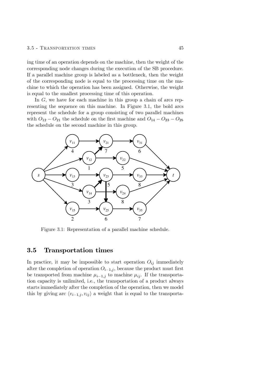#### 3.5 - TRANSPORTATION TIMES

ing time of an operation depends on the machine, then the weight of the corresponding node changes during the execution of the SB procedure. If a parallel machine group is labeled as a bottleneck, then the weight of the corresponding node is equal to the processing time on the machine to which the operation has been assigned. Otherwise, the weight is equal to the smallest processing time of this operation.

In G, we have for each machine in this group a chain of arcs representing the sequence on this machine. In Figure 3.1, the bold arcs represent the schedule for a group consisting of two parallel machines with  $O_{12} - O_{21}$  the schedule on the first machine and  $O_{14} - O_{23} - O_{25}$ the schedule on the second machine in this group.



Figure 3.1: Representation of a parallel machine schedule.

## 3.5 Transportation times

In practice, it may be impossible to start operation  $O_{ij}$  immediately after the completion of operation  $O_{i-1,j}$ , because the product must first be transported from machine  $\mu_{i-1,j}$  to machine  $\mu_{ij}$ . If the transportation connection of a product always tion capacity is unlimited, i.e., the transportation of a product always starts immediately after the completion of the operation, then we model this by giving arc  $\langle v_{i-1,j}, v_{ij} \rangle$  a weight that is equal to the transporta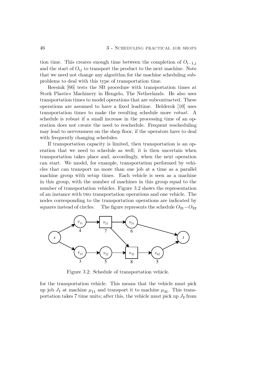tion time. This creates enough time between the completion of  $O_{i-1,j}$ and the start of  $O_{ij}$  to transport the product to the next machine. Note that we need not change any algorithm for the machine scheduling subproblems to deal with this type of transportation time.

Reesink [66] tests the SB procedure with transportation times at Stork Plastics Machinery in Hengelo, The Netherlands. He also uses transportation times to model operations that are subcontracted. These operations are assumed to have a fixed leadtime. Belderok [10] uses transportation times to make the resulting schedule more robust. A schedule is robust if a small increase in the processing time of an operation does not create the need to reschedule. Frequent rescheduling may lead to nervousness on the shop floor, if the operators have to deal with frequently changing schedules.

If transportation capacity is limited, then transportation is an operation that we need to schedule as well; it is then uncertain when transportation takes place and, accordingly, when the next operation can start. We model, for example, transportation performed by vehicles that can transport no more than one job at a time as a parallel machine group with setup times. Each vehicle is seen as a machine in this group, with the number of machines in this group equal to the number of transportation vehicles. Figure 3.2 shows the representation of an instance with two transportation operations and one vehicle. The nodes corresponding to the transportation operations are indicated by squares instead of circles. The figure represents the schedule  $O_{21}-O_{32}$ 



Figure 3.2: Schedule of transportation vehicle.

for the transportation vehicle. This means that the vehicle must pick up job  $J_1$  at machine  $\mu_{11}$  and transport it to machine  $\mu_{31}$ . This transportation takes 7 time units; after this, the vehicle must pick up  $J_2$  from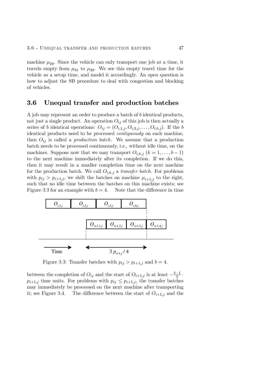machine  $\mu_{22}$ . Since the vehicle can only transport one job at a time, it travels empty from  $\mu_{31}$  to  $\mu_{22}$ . We see this empty travel time for the vehicle as a setup time, and model it accordingly. An open question is how to adjust the SB procedure to deal with congestion and blocking of vehicles.

## 3.6 Unequal transfer and production batches

A job may represent an order to produce a batch of b identical products, not just a single product. An operation  $O_{ij}$  of this job is then actually a series of b identical operations:  $O_{ij} = (O_{i,1,j}, O_{i,2,j}, \ldots, O_{i,b,j})$ . If the b identical products need to be processed contiguously on each machine, then  $O_{ij}$  is called a *production batch*. We assume that a production batch needs to be processed continuously, i.e., without idle time, on the machines. Suppose now that we may transport  $O_{i,k,j}$   $(k = 1, \ldots, b-1)$ to the next machine immediately after its completion. If we do this, then it may result in a smaller completion time on the next machine for the production batch. We call  $O_{i,k,j}$  a transfer batch. For problems with  $p_{ij} > p_{i+1,j}$ , we shift the batches on machine  $\mu_{i+1,j}$  to the right, such that no idle time between the batches on this machine exists; see Figure 3.3 for an example with  $b = 4$ . Note that the difference in time



Figure 3.3: Transfer batches with  $p_{ij} > p_{i+1,j}$  and  $b = 4$ .

between the completion of  $O_{ij}$  and the start of  $O_{i+1,j}$  is at least  $-\frac{b-1}{b}$ .<br> $p_{i+1}$  is time units. For problems with  $p_i \leq p_{i+1}$  is the transfer batches  $p_{i+1,j}$  time units. For problems with  $p_{ij} \leq p_{i+1,j}$ , the transfer batches may immediately be processed on the next machine after transporting it; see Figure 3.4. The difference between the start of  $O_{i+1,j}$  and the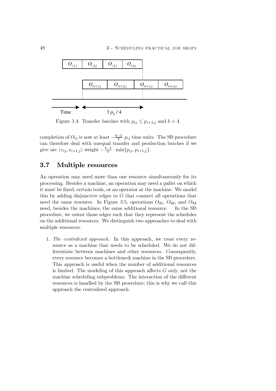

Figure 3.4: Transfer batches with  $p_{ij} \leq p_{i+1,j}$  and  $b = 4$ .

completion of  $O_{ij}$  is now at least  $-\frac{b-1}{b} \cdot p_{ij}$  time units. The SB procedure<br>can therefore deal with unequal transfer and production batches if we can therefore deal with unequal transfer and production batches if we give arc  $\langle v_{ij}, v_{i+1,j} \rangle$  weight  $-\frac{b-1}{b} \cdot \min\{p_{ij}, p_{i+1,j}\}.$ 

# 3.7 Multiple resources

An operation may need more than one resource simultaneously for its processing. Besides a machine, an operation may need a pallet on which it must be fixed, certain tools, or an operator at the machine. We model this by adding disjunctive edges to  $G$  that connect all operations that need the same resource. In Figure 3.5, operations  $O_{31}$ ,  $O_{32}$ , and  $O_{33}$ need, besides the machines, the same additional resource. In the SB procedure, we orient those edges such that they represent the schedules on the additional resources. We distinguish two approaches to deal with multiple resources.

1. The centralized approach. In this approach, we treat every resource as a machine that needs to be scheduled. We do not differentiate between machines and other resources. Consequently, every resource becomes a bottleneck machine in the SB procedure. This approach is useful when the number of additional resources is limited. The modeling of this approach affects G only, not the machine scheduling subproblems. The interaction of the different resources is handled by the SB procedure; this is why we call this approach the centralized approach.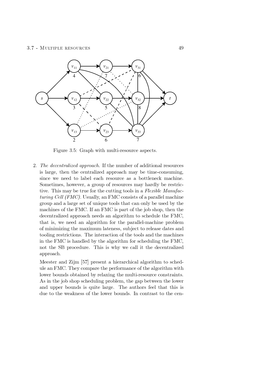

Figure 3.5: Graph with multi-resource aspects.

2. The decentralized approach. If the number of additional resources is large, then the centralized approach may be time-consuming, since we need to label each resource as a bottleneck machine. Sometimes, however, a group of resources may hardly be restrictive. This may be true for the cutting tools in a Flexible Manufacturing Cell (FMC). Usually, an FMC consists of a parallel machine group and a large set of unique tools that can only be used by the machines of the FMC. If an FMC is part of the job shop, then the decentralized approach needs an algorithm to schedule the FMC, that is, we need an algorithm for the parallel-machine problem of minimizing the maximum lateness, subject to release dates and tooling restrictions. The interaction of the tools and the machines in the FMC is handled by the algorithm for scheduling the FMC, not the SB procedure. This is why we call it the decentralized approach.

Meester and Zijm [57] present a hierarchical algorithm to schedule an FMC. They compare the performance of the algorithm with lower bounds obtained by relaxing the multi-resource constraints. As in the job shop scheduling problem, the gap between the lower and upper bounds is quite large. The authors feel that this is due to the weakness of the lower bounds. In contrast to the cen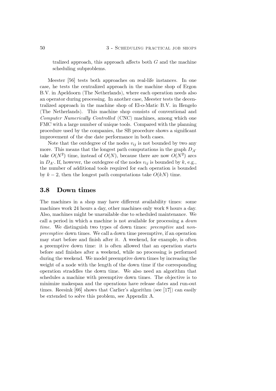tralized approach, this approach affects both  $G$  and the machine scheduling subproblems.

Meester [56] tests both approaches on real-life instances. In one case, he tests the centralized approach in the machine shop of Ergon B.V. in Apeldoorn (The Netherlands), where each operation needs also an operator during processing. In another case, Meester tests the decentralized approach in the machine shop of El-o-Matic B.V. in Hengelo (The Netherlands). This machine shop consists of conventional and Computer Numerically Controlled (CNC) machines, among which one FMC with a large number of unique tools. Compared with the planning procedure used by the companies, the SB procedure shows a significant improvement of the due date performance in both cases.

Note that the outdegree of the nodes  $v_{ij}$  is not bounded by two any more. This means that the longest path computations in the graph  $D_{A'}$ take  $O(N^2)$  time, instead of  $O(N)$ , because there are now  $O(N^2)$  arcs in  $D_{A'}$ . If, however, the outdegree of the nodes  $v_{ij}$  is bounded by k, e.g., the number of additional tools required for each operation is bounded by  $k - 2$ , then the longest path computations take  $O(kN)$  time.

## 3.8 Down times

The machines in a shop may have different availability times: some machines work 24 hours a day, other machines only work 8 hours a day. Also, machines might be unavailable due to scheduled maintenance. We call a period in which a machine is not available for processing a down time. We distinguish two types of down times: *preemptive* and *non*preemptive down times. We call a down time preemptive, if an operation may start before and finish after it. A weekend, for example, is often a preemptive down time: it is often allowed that an operation starts before and finishes after a weekend, while no processing is performed during the weekend. We model preemptive down times by increasing the weight of a node with the length of the down time if the corresponding operation straddles the down time. We also need an algorithm that schedules a machine with preemptive down times. The objective is to minimize makespan and the operations have release dates and run-out times. Reesink [66] shows that Carlier's algorithm (see [17]) can easily be extended to solve this problem, see Appendix A.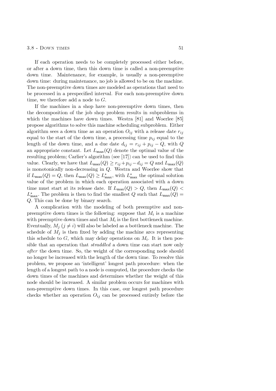#### $3.8$  - DOWN TIMES

If each operation needs to be completely processed either before, or after a down time, then this down time is called a non-preemptive down time. Maintenance, for example, is usually a non-preemptive down time: during maintenance, no job is allowed to be on the machine. The non-preemptive down times are modeled as operations that need to be processed in a prespecified interval. For each non-preemptive down time, we therefore add a node to  $G$ .

If the machines in a shop have non-preemptive down times, then the decomposition of the job shop problem results in subproblems in which the machines have down times. Westra [81] and Woerlee [85] propose algorithms to solve this machine scheduling subproblem. Either algorithm sees a down time as an operation  $O_{ij}$  with a release date  $r_{ij}$ equal to the start of the down time, a processing time  $p_{ij}$  equal to the length of the down time, and a due date  $d_{ij} = r_{ij} + p_{ij} - Q$ , with Q an appropriate constant. Let  $L_{\text{max}}(Q)$  denote the optimal value of the resulting problem; Carlier's algorithm (see [17]) can be used to find this value. Clearly, we have that  $L_{\text{max}}(Q) \ge r_{ij} + p_{ij} - d_{ij} = Q$  and  $L_{\text{max}}(Q)$ is monotonically non-decreasing in Q. Westra and Woerlee show that if  $L_{\text{max}}(Q) = Q$ , then  $L_{\text{max}}(Q) \ge L_{\text{max}}^*$ , with  $L_{\text{max}}^*$  the optimal solution<br>value of the problem in which each operation associated with a down value of the problem in which each operation associated with a down time must start at its release date. If  $L_{\text{max}}(Q) > Q$ , then  $L_{\text{max}}(Q) <$  $L_{\text{max}}^*$ . The problem is then to find the smallest  $Q$  such that  $L_{\text{max}}(Q) = Q$ . This can be done by binary search Q. This can be done by binary search.

A complication with the modeling of both preemptive and nonpreemptive down times is the following: suppose that  $M_i$  is a machine with preemptive down times and that  $M_i$  is the first bottleneck machine. Eventually,  $M_j$   $(j \neq i)$  will also be labeled as a bottleneck machine. The schedule of  $M_i$  is then fixed by adding the machine arcs representing this schedule to  $G$ , which may delay operations on  $M_i$ . It is then possible that an operation that *straddled* a down time can start now only after the down time. So, the weight of the corresponding node should no longer be increased with the length of the down time. To resolve this problem, we propose an 'intelligent' longest path procedure: when the length of a longest path to a node is computed, the procedure checks the down times of the machines and determines whether the weight of this node should be increased. A similar problem occurs for machines with non-preemptive down times. In this case, our longest path procedure checks whether an operation  $O_{ij}$  can be processed entirely before the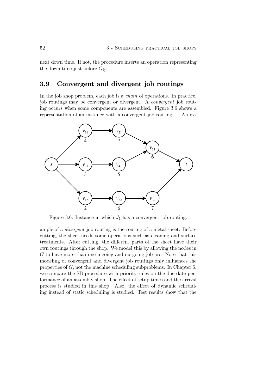next down time. If not, the procedure inserts an operation representing the down time just before  $O_{ij}$ .

# 3.9 Convergent and divergent job routings

In the job shop problem, each job is a chain of operations. In practice, job routings may be convergent or divergent. A convergent job routing occurs when some components are assembled. Figure 3.6 shows a representation of an instance with a convergent job routing. An ex-



Figure 3.6: Instance in which  $J_1$  has a convergent job routing.

ample of a divergent job routing is the routing of a metal sheet. Before cutting, the sheet needs some operations such as cleaning and surface treatments. After cutting, the different parts of the sheet have their own routings through the shop. We model this by allowing the nodes in  $G$  to have more than one ingoing and outgoing job arc. Note that this modeling of convergent and divergent job routings only influences the properties of G, not the machine scheduling subproblems. In Chapter 6, we compare the SB procedure with priority rules on the due date performance of an assembly shop. The effect of setup times and the arrival process is studied in this shop. Also, the effect of dynamic scheduling instead of static scheduling is studied. Test results show that the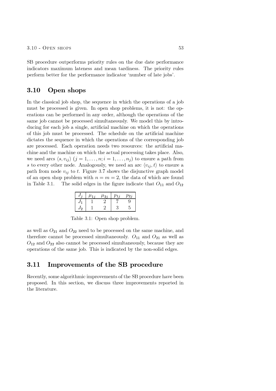SB procedure outperforms priority rules on the due date performance indicators maximum lateness and mean tardiness. The priority rules perform better for the performance indicator 'number of late jobs'.

# 3.10 Open shops

In the classical job shop, the sequence in which the operations of a job must be processed is given. In open shop problems, it is not: the operations can be performed in any order, although the operations of the same job cannot be processed simultaneously. We model this by introducing for each job a single, artificial machine on which the operations of this job must be processed. The schedule on the artificial machine dictates the sequence in which the operations of the corresponding job are processed. Each operation needs two resources: the artificial machine and the machine on which the actual processing takes place. Also, we need arcs  $\langle s, v_{ij} \rangle$   $(j = 1, \ldots, n; i = 1, \ldots, n_j)$  to ensure a path from s to every other node. Analogously, we need an arc  $\langle v_{ij}, t \rangle$  to ensure a path from node  $v_{ij}$  to t. Figure 3.7 shows the disjunctive graph model of an open shop problem with  $n = m = 2$ , the data of which are found<br>in Table 3.1. The solid edges in the figure indicate that  $O_{11}$  and  $O_{12}$ The solid edges in the figure indicate that  $O_{11}$  and  $O_{12}$ 

|     | $\mu_{2i}$ | $p_{1i}$ | $p_{2j}$ |
|-----|------------|----------|----------|
|     |            |          | ų        |
| ה ו |            |          |          |

Table 3.1: Open shop problem.

as well as  $O_{21}$  and  $O_{22}$  need to be processed on the same machine, and therefore cannot be processed simultaneously.  $O_{11}$  and  $O_{21}$  as well as  $O_{12}$  and  $O_{22}$  also cannot be processed simultaneously, because they are operations of the same job. This is indicated by the non-solid edges.

# 3.11 Improvements of the SB procedure

Recently, some algorithmic improvements of the SB procedure have been proposed. In this section, we discuss three improvements reported in the literature.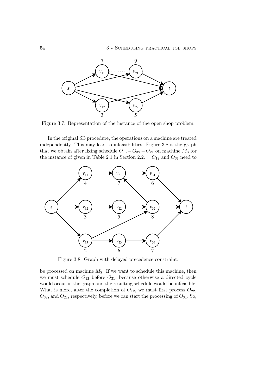

Figure 3.7: Representation of the instance of the open shop problem.

In the original SB procedure, the operations on a machine are treated independently. This may lead to infeasibilities. Figure 3.8 is the graph that we obtain after fixing schedule  $O_{13} - O_{32} - O_{21}$  on machine  $M_3$  for the instance of given in Table 2.1 in Section 2.2.  $O_{12}$  and  $O_{31}$  need to



Figure 3.8: Graph with delayed precedence constraint.

be processed on machine  $M_2$ . If we want to schedule this machine, then we must schedule  $O_{12}$  before  $O_{31}$ , because otherwise a directed cycle would occur in the graph and the resulting schedule would be infeasible. What is more, after the completion of  $O_{12}$ , we must first process  $O_{22}$ ,  $O_{32}$ , and  $O_{21}$ , respectively, before we can start the processing of  $O_{31}$ . So,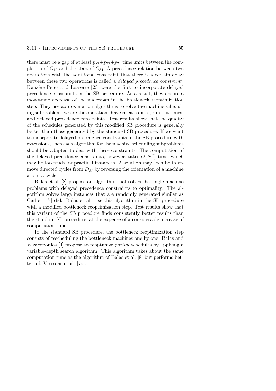there must be a gap of at least  $p_{22}+p_{32}+p_{21}$  time units between the completion of  $O_{12}$  and the start of  $O_{31}$ . A precedence relation between two operations with the additional constraint that there is a certain delay between these two operations is called a delayed precedence constraint. Dauzère-Peres and Lasserre [23] were the first to incorporate delayed precedence constraints in the SB procedure. As a result, they ensure a monotonic decrease of the makespan in the bottleneck reoptimization step. They use approximation algorithms to solve the machine scheduling subproblems where the operations have release dates, run-out times, and delayed precedence constraints. Test results show that the quality of the schedules generated by this modified SB procedure is generally better than those generated by the standard SB procedure. If we want to incorporate delayed precedence constraints in the SB procedure with extensions, then each algorithm for the machine scheduling subproblems should be adapted to deal with these constraints. The computation of the delayed precedence constraints, however, takes  $O(N^2)$  time, which may be too much for practical instances. A solution may then be to remove directed cycles from  $D_{A'}$  by reversing the orientation of a machine arc in a cycle.

Balas et al. [8] propose an algorithm that solves the single-machine problems with delayed precedence constraints to optimality. The algorithm solves large instances that are randomly generated similar as Carlier [17] did. Balas et al. use this algorithm in the SB procedure with a modified bottleneck reoptimization step. Test results show that this variant of the SB procedure finds consistently better results than the standard SB procedure, at the expense of a considerable increase of computation time.

In the standard SB procedure, the bottleneck reoptimization step consists of rescheduling the bottleneck machines one by one. Balas and Vazacopoulos [9] propose to reoptimize partial schedules by applying a variable-depth search algorithm. This algorithm takes about the same computation time as the algorithm of Balas et al. [8] but performs better; cf. Vaessens et al. [79].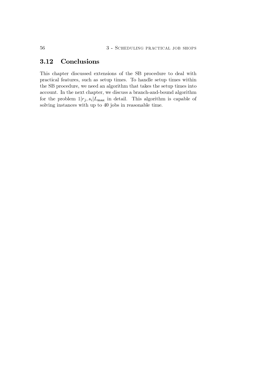# 3.12 Conclusions

This chapter discussed extensions of the SB procedure to deal with practical features, such as setup times. To handle setup times within the SB procedure, we need an algorithm that takes the setup times into account. In the next chapter, we discuss a branch-and-bound algorithm for the problem  $1|r_j, s_i|L_{\text{max}}$  in detail. This algorithm is capable of solving instances with up to 40 jobs in reasonable time.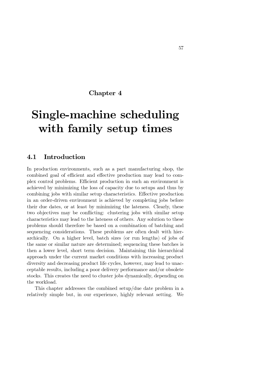Chapter 4

# Single-machine scheduling with family setup times

# 4.1 Introduction

In production environments, such as a part manufacturing shop, the combined goal of efficient and effective production may lead to complex control problems. Efficient production in such an environment is achieved by minimizing the loss of capacity due to setups and thus by combining jobs with similar setup characteristics. Effective production in an order-driven environment is achieved by completing jobs before their due dates, or at least by minimizing the lateness. Clearly, these two objectives may be conflicting: clustering jobs with similar setup characteristics may lead to the lateness of others. Any solution to these problems should therefore be based on a combination of batching and sequencing considerations. These problems are often dealt with hierarchically. On a higher level, batch sizes (or run lengths) of jobs of the same or similar nature are determined; sequencing these batches is then a lower level, short term decision. Maintaining this hierarchical approach under the current market conditions with increasing product diversity and decreasing product life cycles, however, may lead to unacceptable results, including a poor delivery performance and/or obsolete stocks. This creates the need to cluster jobs dynamically, depending on the workload.

This chapter addresses the combined setup/due date problem in a relatively simple but, in our experience, highly relevant setting. We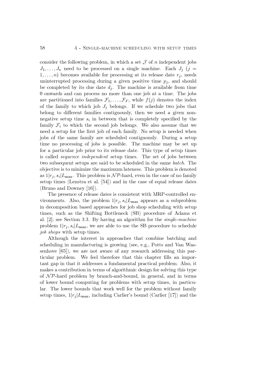consider the following problem, in which a set  $\mathcal J$  of n independent jobs  $J_1,\ldots,J_n$  need to be processed on a single machine. Each  $J_j$  (j =  $1, \ldots, n$ ) becomes available for processing at its release date  $r_i$ , needs uninterrupted processing during a given positive time  $p_i$ , and should be completed by its due date  $d_j$ . The machine is available from time 0 onwards and can process no more than one job at a time. The jobs are partitioned into families  $\mathcal{F}_1,\ldots,\mathcal{F}_F$ , while  $f(j)$  denotes the index of the family to which job  $J_j$  belongs. If we schedule two jobs that belong to different families contiguously, then we need a given nonnegative setup time  $s_i$  in between that is completely specified by the family  $\mathcal{F}_i$  to which the second job belongs. We also assume that we need a setup for the first job of each family. No setup is needed when jobs of the same family are scheduled contiguously. During a setup time no processing of jobs is possible. The machine may be set up for a particular job prior to its release date. This type of setup times is called sequence independent setup times. The set of jobs between two subsequent setups are said to be scheduled in the same batch. The objective is to minimize the maximum lateness. This problem is denoted as  $1|r_i, s_i|L_{\text{max}}$ . This problem is  $\mathcal{NP}$ -hard, even in the case of no family setup times (Lenstra et al. [54]) and in the case of equal release dates (Bruno and Downey [16]).

The presence of release dates is consistent with MRP-controlled environments. Also, the problem  $1|r_i, s_i|L_{\text{max}}$  appears as a subproblem in decomposition based approaches for job shop scheduling with setup times, such as the Shifting Bottleneck (SB) procedure of Adams et al. [2]; see Section 3.3. By having an algorithm for the single-machine problem  $1|r_i, s_i|L_{\text{max}}$ , we are able to use the SB procedure to schedule job shops with setup times.

Although the interest in approaches that combine batching and scheduling in manufacturing is growing (see, e.g., Potts and Van Wassenhove [65]), we are not aware of any research addressing this particular problem. We feel therefore that this chapter fills an important gap in that it addresses a fundamental practical problem. Also, it makes a contribution in terms of algorithmic design for solving this type of  $\mathcal{NP}$ -hard problem by branch-and-bound, in general, and in terms of lower bound computing for problems with setup times, in particular. The lower bounds that work well for the problem without family setup times,  $1|r_j|L_{\text{max}}$ , including Carlier's bound (Carlier [17]) and the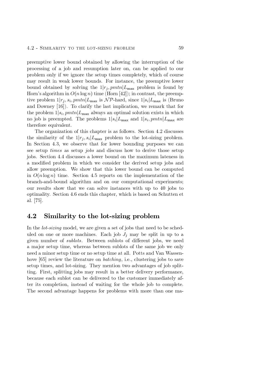preemptive lower bound obtained by allowing the interruption of the processing of a job and resumption later on, can be applied to our problem only if we ignore the setup times completely, which of course may result in weak lower bounds. For instance, the preemptive lower bound obtained by solving the  $1/r_j, pmtn|L_{\text{max}}$  problem is found by Horn's algorithm in  $O(n \log n)$  time (Horn [42]); in contrast, the preemptive problem  $1|r_i, s_i, pmtn|L_{\text{max}}$  is  $\mathcal{NP}$ -hard, since  $1|s_i|L_{\text{max}}$  is (Bruno and Downey [16]). To clarify the last implication, we remark that for the problem  $1|s_i, pmtn|L_{\text{max}}$  always an optimal solution exists in which no job is preempted. The problems  $1|s_i|L_{\text{max}}$  and  $1|s_i$ ,  $pmtn|L_{\text{max}}$  are therefore equivalent.

The organization of this chapter is as follows. Section 4.2 discusses the similarity of the  $1|r_j, s_i|L_{\text{max}}$  problem to the lot-sizing problem. In Section 4.3, we observe that for lower bounding purposes we can see setup *times* as setup *jobs* and discuss how to derive those setup jobs. Section 4.4 discusses a lower bound on the maximum lateness in a modified problem in which we consider the derived setup jobs and allow preemption. We show that this lower bound can be computed in  $O(n \log n)$  time. Section 4.5 reports on the implementation of the branch-and-bound algorithm and on our computational experiments; our results show that we can solve instances with up to 40 jobs to optimality. Section 4.6 ends this chapter, which is based on Schutten et al. [75].

# 4.2 Similarity to the lot-sizing problem

In the *lot-sizing* model, we are given a set of jobs that need to be scheduled on one or more machines. Each job  $J_j$  may be split in up to a given number of sublots. Between sublots of different jobs, we need a major setup time, whereas between sublots of the same job we only need a minor setup time or no setup time at all. Potts and Van Wassenhove [65] review the literature on *batching*, i.e., clustering jobs to save setup times, and lot-sizing. They mention two advantages of job splitting. First, splitting jobs may result in a better delivery performance, because each sublot can be delivered to the customer immediately after its completion, instead of waiting for the whole job to complete. The second advantage happens for problems with more than one ma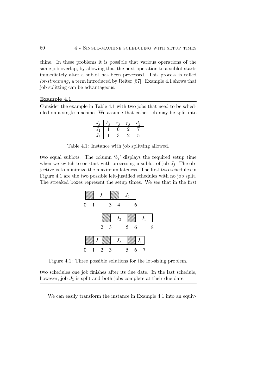chine. In these problems it is possible that various operations of the same job overlap, by allowing that the next operation to a sublot starts immediately after a sublot has been processed. This process is called lot-streaming, a term introduced by Reiter [67]. Example 4.1 shows that job splitting can be advantageous.

#### Example 4.1

Consider the example in Table 4.1 with two jobs that need to be scheduled on a single machine. We assume that either job may be split into

| $J_i$ | $b_i$ |   | $\mathcal{D}_1$ | $d_i$ |
|-------|-------|---|-----------------|-------|
|       |       | 0 | .,              |       |
| $J_2$ |       | ર | .,              | 5     |

Table 4.1: Instance with job splitting allowed.

two equal sublots. The column ' $b_j$ ' displays the required setup time when we switch to or start with processing a sublot of job  $J_i$ . The objective is to minimize the maximum lateness. The first two schedules in Figure 4.1 are the two possible left-justified schedules with no job split. The streaked boxes represent the setup times. We see that in the first

|   |                | $J_{1}$     |               |                | J <sub>2</sub> |   |   |
|---|----------------|-------------|---------------|----------------|----------------|---|---|
| 0 | $\overline{1}$ |             | $\mathcal{E}$ | $\overline{4}$ |                | 6 |   |
|   |                |             |               | $J_2$          |                |   |   |
|   |                | $2 \quad 3$ |               |                | $5\quad 6$     |   | 8 |
|   |                |             |               | $J_2$          |                |   |   |
| 0 |                | -2          | 3             |                |                |   |   |

Figure 4.1: Three possible solutions for the lot-sizing problem.

two schedules one job finishes after its due date. In the last schedule, however, job  $J_1$  is split and both jobs complete at their due date.

We can easily transform the instance in Example 4.1 into an equiv-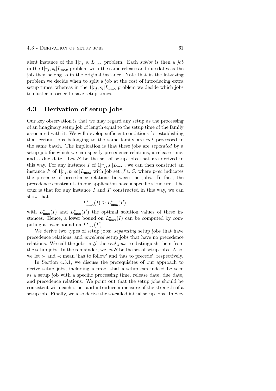alent instance of the  $1|r_j, s_i|L_{\text{max}}$  problem. Each sublot is then a job in the  $1|r_i, s_i|L_{\text{max}}$  problem with the same release and due dates as the job they belong to in the original instance. Note that in the lot-sizing problem we decide when to split a job at the cost of introducing extra setup times, whereas in the  $1|r_j, s_i|L_{\text{max}}$  problem we decide which jobs to cluster in order to save setup times.

## 4.3 Derivation of setup jobs

Our key observation is that we may regard any setup as the processing of an imaginary setup job of length equal to the setup time of the family associated with it. We will develop sufficient conditions for establishing that certain jobs belonging to the same family are not processed in the same batch. The implication is that these jobs are separated by a setup job for which we can specify precedence relations, a release time, and a due date. Let  $S$  be the set of setup jobs that are derived in this way. For any instance I of  $1|r_j, s_i|L_{\text{max}}$ , we can then construct an instance I' of  $1|r_j, prec|L_{\text{max}}$  with job set  $\mathcal{J} \cup \mathcal{S}$ , where prec indicates the presence of precedence relations between the jobs. In fact, the precedence constraints in our application have a specific structure. The crux is that for any instance  $I$  and  $I'$  constructed in this way, we can show that

$$
L_{\max}^*(I) \ge L_{\max}^*(I'),
$$

with  $L_{\text{max}}^*(I)$  and  $L_{\text{max}}^*(I')$  the optimal solution values of these in-<br>stances. Hence a lower bound on  $I^*$  (*I*) can be computed by comstances. Hence, a lower bound on  $L_{\text{max}}^*(I)$  can be computed by com-<br>puting a lower bound on  $I^*$  ( $I'$ ) puting a lower bound on  $L_{\text{max}}^*(I')$ .<br>We derive two types of setup is

We derive two types of setup jobs: *separating* setup jobs that have precedence relations, and unrelated setup jobs that have no precedence relations. We call the jobs in  $\mathcal J$  the *real jobs* to distinguish them from the setup jobs. In the remainder, we let  $S$  be the set of setup jobs. Also, we let  $\succ$  and  $\prec$  mean 'has to follow' and 'has to precede', respectively.

In Section 4.3.1, we discuss the prerequisites of our approach to derive setup jobs, including a proof that a setup can indeed be seen as a setup job with a specific processing time, release date, due date, and precedence relations. We point out that the setup jobs should be consistent with each other and introduce a measure of the strength of a setup job. Finally, we also derive the so-called initial setup jobs. In Sec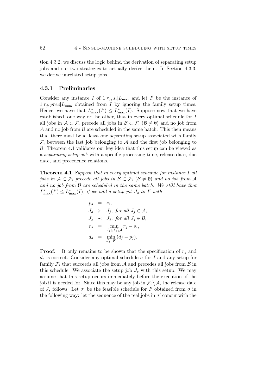tion 4.3.2, we discuss the logic behind the derivation of separating setup jobs and our two strategies to actually derive them. In Section 4.3.3, we derive unrelated setup jobs.

#### 4.3.1 Preliminaries

Consider any instance I of  $1|r_j, s_i|L_{\text{max}}$  and let I' be the instance of  $1|r_i, prec|L_{\text{max}}$  obtained from I by ignoring the family setup times. Hence, we have that  $L_{\text{max}}^*(I') \leq L_{\text{max}}^*(I)$ . Suppose now that we have established one way or the other that in every optimal schedule for I established, one way or the other, that in every optimal schedule for I all jobs in  $A \subset \mathcal{F}_i$  precede all jobs in  $B \subset \mathcal{F}_i$  ( $B \neq \emptyset$ ) and no job from  $A$  and no job from  $B$  are scheduled in the same batch. This then means that there must be at least one separating setup associated with family  $\mathcal{F}_i$  between the last job belonging to A and the first job belonging to B. Theorem 4.1 validates our key idea that this setup can be viewed as a separating setup job with a specific processing time, release date, due date, and precedence relations.

**Theorem 4.1** Suppose that in every optimal schedule for instance I all jobs in  $A \subset \mathcal{F}_i$  precede all jobs in  $\mathcal{B} \subset \mathcal{F}_i$   $(\mathcal{B} \neq \emptyset)$  and no job from A and no job from B are scheduled in the same batch. We still have that  $L_{\text{max}}^*(I') \leq L_{\text{max}}^*(I)$ , if we add a setup job  $J_s$  to  $I'$  with

$$
p_s = s_i,
$$
  
\n
$$
J_s \succ J_j, \text{ for all } J_j \in \mathcal{A},
$$
  
\n
$$
J_s \prec J_j, \text{ for all } J_j \in \mathcal{B},
$$
  
\n
$$
r_s = \min_{J_j \in \mathcal{F}_i \setminus \mathcal{A}} r_j - s_i,
$$
  
\n
$$
d_s = \min_{J_j \in \mathcal{B}} (d_j - p_j).
$$

**Proof.** It only remains to be shown that the specification of  $r_s$  and  $d_s$  is correct. Consider any optimal schedule  $\sigma$  for I and any setup for family  $\mathcal{F}_i$  that succeeds all jobs from A and precedes all jobs from B in this schedule. We associate the setup job  $J_s$  with this setup. We may assume that this setup occurs immediately before the execution of the job it is needed for. Since this may be any job in  $\mathcal{F}_i \setminus \mathcal{A}$ , the release date of  $J_s$  follows. Let  $\sigma'$  be the feasible schedule for I' obtained from  $\sigma$  in the following way: let the sequence of the real jobs in  $\sigma'$  concur with the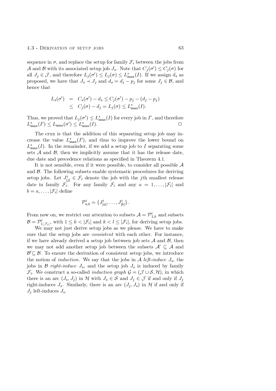sequence in  $\sigma$ , and replace the setup for family  $\mathcal{F}_i$  between the jobs from A and B with its associated setup job  $J_s$ . Note that  $C_j(\sigma') \leq C_j(\sigma)$  for <br>all  $L \in \mathcal{I}$  and therefore  $L_s(\sigma) \leq L_s(\sigma) \leq L^*$  (b) If we assign d as all  $J_j \in \mathcal{J}$ , and therefore  $L_j(\sigma) \leq L_j(\sigma) \leq L_{\max}^*(I)$ . If we assign  $d_s$  as proposed, we have that  $J_s \prec J_j$  and  $d_s = d_j - p_j$  for some  $J_j \in \mathcal{B}$ , and hence that

$$
L_s(\sigma') = C_s(\sigma') - d_s \le C_j(\sigma') - p_j - (d_j - p_j)
$$
  
 
$$
\le C_j(\sigma) - d_j = L_j(\sigma) \le L_{\max}^*(I).
$$

Thus, we proved that  $L_j(\sigma') \leq L_{\max}^*(I)$  for every job in  $I'$ , and therefore  $L_{\max}^*(I') \leq L_{\max}(\sigma') \leq L_{\max}^*$  $\sum_{\max}^*(I).$ 

The crux is that the addition of this separating setup job may increase the value  $L_{\text{max}}^{*}(I')$ , and thus to improve the lower bound on  $I^*$  (*I*). In the remainder if we add a setup job to *I* separating some  $L_{\text{max}}^*(I)$ . In the remainder, if we add a setup job to I separating some sets  $A$  and  $B$ , then we implicitly assume that it has the release data sets  $A$  and  $B$ , then we implicitly assume that it has the release date, due date and precedence relations as specified in Theorem 4.1.

It is not sensible, even if it were possible, to consider all possible  $A$ and  $\beta$ . The following subsets enable systematic procedures for deriving setup jobs. Let  $J_{[j]}^i \in \mathcal{F}_i$  denote the job with the *j*th smallest release date in family  $\mathcal{F}_{i}$ . For any family  $\mathcal{F}_{i}$  and any  $a = 1, \ldots, |\mathcal{F}_{i}|$  and  $b = a, \ldots, |\mathcal{F}_i|$  define

$$
\mathcal{P}_{a,b}^i = \{J_{[a]}^i, \ldots, J_{[b]}^i\}.
$$

From now on, we restrict our attention to subsets  $\mathcal{A} = \mathcal{P}_{1,k}^i$  and subsets  $\mathcal{P}_{1,k}^i$  and subsets  $\mathcal{P}_{2,k}^i$  $\mathcal{B} = \mathcal{P}_{l,|\mathcal{F}_i|}^i$ , with  $1 \leq k < |\mathcal{F}_i|$  and  $k < l \leq |\mathcal{F}_i|$ , for deriving setup jobs.<br>We may not just derive setup jobs as we place. We have to make  $\lceil r \rceil_{l,|\mathcal{F}_i|}$ , with  $1 \leq \kappa > |\mathcal{F}_i|$  and  $\kappa < \ell \leq |\mathcal{F}_i|$ , for deriving setup jobs.<br>We may not just derive setup jobs as we please. We have to make

sure that the setup jobs are *consistent* with each other. For instance, if we have already derived a setup job between job sets  $A$  and  $B$ , then we may not add another setup job between the subsets  $\mathcal{A}' \subseteq \mathcal{A}$  and  $\mathcal{B}' \subseteq \mathcal{B}$ . To ensure the derivation of consistent setup jobs, we introduce the notion of *induction*. We say that the jobs in A left-induce  $J_s$ , the jobs in  $\mathcal B$  right-induce  $J_s$ , and the setup job  $J_s$  is induced by family  $\mathcal{F}_i$ . We construct a so-called *induction graph*  $\mathcal{G} = (\mathcal{J} \cup \mathcal{S}, \mathcal{H})$ , in which there is an arc  $(J_s, J_j)$  in H with  $J_s \in \mathcal{S}$  and  $J_j \in \mathcal{J}$  if and only if  $J_j$ right-induces  $J_s$ . Similarly, there is an arc  $(J_j, J_s)$  in H if and only if  $J_i$  left-induces  $J_s$ .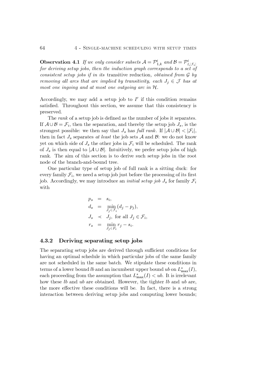**Observation 4.1** If we only consider subsets  $A = \mathcal{P}_{1,k}^i$  and  $B = \mathcal{P}_{l}^i$ <br>for deriving setup jobs, then the induction graph corresponds to a set **CDSET VALION 4.1** If we only consider subsets  $A = r_{1,k}$  and  $B = r_{1,[S_k]}$ <br>for deriving setup jobs, then the induction graph corresponds to a set of consistent setup jobs if in its transitive reduction, obtained from  $\mathcal G$  by removing all arcs that are implied by transitivity, each  $J_i \in \mathcal{J}$  has at most one ingoing and at most one outgoing arc in H.

Accordingly, we may add a setup job to  $I'$  if this condition remains satisfied. Throughout this section, we assume that this consistency is preserved.

The *rank* of a setup job is defined as the number of jobs it separates. If  $A\cup B = \mathcal{F}_i$ , then the separation, and thereby the setup job  $J_s$ , is the strongest possible: we then say that  $J_s$  has full rank. If  $|\mathcal{A} \cup \mathcal{B}| < |\mathcal{F}_i|$ , then in fact  $J_s$  separates at least the job sets  $A$  and  $B$ : we do not know yet on which side of  $J_s$  the other jobs in  $\mathcal{F}_i$  will be scheduled. The rank of  $J_s$  is then equal to  $|A \cup B|$ . Intuitively, we prefer setup jobs of high rank. The aim of this section is to derive such setup jobs in the root node of the branch-and-bound tree.

One particular type of setup job of full rank is a sitting duck: for every family  $\mathcal{F}_i$ , we need a setup job just before the processing of its first job. Accordingly, we may introduce an *initial setup job*  $J_s$  for family  $\mathcal{F}_i$ with

$$
p_s = s_i,
$$
  
\n
$$
d_s = \min_{J_j \in \mathcal{F}_i} (d_j - p_j),
$$
  
\n
$$
J_s \prec J_j, \text{ for all } J_j \in \mathcal{F}_i,
$$
  
\n
$$
r_s = \min_{J_j \in F_i} r_j - s_i.
$$

#### 4.3.2 Deriving separating setup jobs

The separating setup jobs are derived through sufficient conditions for having an optimal schedule in which particular jobs of the same family are not scheduled in the same batch. We stipulate these conditions in terms of a lower bound *lb* and an incumbent upper bound ub on  $L_{\text{max}}^*(I)$ ,<br>each proceeding from the assumption that  $I^*$ ,  $(I) \leq u h$ . It is irrelevant each proceeding from the assumption that  $L_{\text{max}}^*(I) < ub$ . It is irrelevant<br>how these  $lk$  and  $wh$  are obtained. However, the tighter  $lk$  and  $wh$  are how these *lb* and *ub* are obtained. However, the tighter *lb* and *ub* are, the more effective these conditions will be. In fact, there is a strong interaction between deriving setup jobs and computing lower bounds;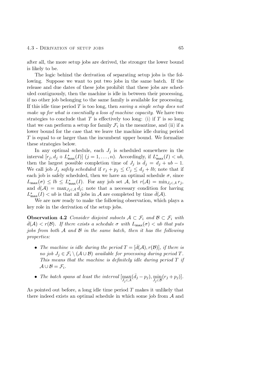after all, the more setup jobs are derived, the stronger the lower bound is likely to be.

The logic behind the derivation of separating setup jobs is the following. Suppose we want to put two jobs in the same batch. If the release and due dates of these jobs prohibit that these jobs are scheduled contiguously, then the machine is idle in between their processing, if no other job belonging to the same family is available for processing. If this idle time period  $T$  is too long, then saving a single setup does not make up for what is essentially a loss of machine capacity. We have two strategies to conclude that  $T$  is effectively too long: (i) if  $T$  is so long that we can perform a setup for family  $\mathcal{F}_i$  in the meantime, and (ii) if a lower bound for the case that we leave the machine idle during period  $T$  is equal to or larger than the incumbent upper bound. We formalize these strategies below.

In any optimal schedule, each  $J_j$  is scheduled somewhere in the interval  $[r_j, d_j + L_{\text{max}}^*(I)]$   $(j = 1, ..., n)$ . Accordingly, if  $L_{\text{max}}^*(I) < ub$ ,<br>then the largest possible completion time of  $I_j$  is  $\overline{d}_j = d_j + yb - 1$ then the largest possible completion time of  $J_j$  is  $d_j = d_j + ub - 1$ .<br>We call job L, safely scheduled if  $x + n_i \le C_i \le d_i + lb$ ; note that if We call job  $J_j$  safely scheduled if  $r_j + p_j \leq C_j \leq d_j + lb$ ; note that if each job is safely scheduled, then we have an optimal schedule  $\sigma$ , since  $L_{\max}(\sigma) \leq lb \leq L_{\max}^*(I)$ . For any job set  $A$ , let  $r(A) = \min_{J_i \in A} r_j$ ,<br>and  $\bar{d}(A) = \max_{J_i \in A} \bar{d}$ ; note that a necessary condition for having and  $d(\mathcal{A}) = \max_{J_j \in \mathcal{A}} d_j$ ; note that a necessary condition for having  $I^*$  (*I*)  $\leq$  *yb* is that all jobs in A are completed by time  $\bar{d}(A)$  $L_{\text{max}}^*(I) < ub$  is that all jobs in A are completed by time  $d(A)$ .<br>We are now ready to make the following observation, which

We are now ready to make the following observation, which plays a key role in the derivation of the setup jobs.

**Observation 4.2** Consider disjoint subsets  $A \subset \mathcal{F}_i$  and  $B \subset \mathcal{F}_i$  with  $d(\mathcal{A}) < r(\mathcal{B})$ . If there exists a schedule  $\sigma$  with  $L_{\max}(\sigma) < u b$  that puts jobs from both  $A$  and  $B$  in the same batch, then it has the following properties:

- The machine is idle during the period  $T = [\bar{d}(\mathcal{A}), r(\mathcal{B})]$ , if there is no job  $J_i \in \mathcal{F}_i \setminus (\mathcal{A} \cup \mathcal{B})$  available for processing during period T. This means that the machine is definitely idle during period  $T$  if  $\mathcal{A}\cup\mathcal{B}=\mathcal{F}_i.$
- The batch spans at least the interval  $[\max_{J_j \in \mathcal{A}} (d_j p_j), \min_{J_j \in \mathcal{B}} (r_j + p_j)].$

As pointed out before, a long idle time period  $T$  makes it unlikely that there indeed exists an optimal schedule in which some job from  $A$  and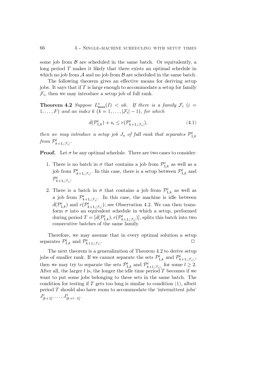some job from  $\beta$  are scheduled in the same batch. Or equivalently, a long period  $T$  makes it likely that there exists an optimal schedule in which no job from  $A$  and no job from  $B$  are scheduled in the same batch.

The following theorem gives an effective means for deriving setup jobs. It says that if  $T$  is large enough to accommodate a setup for family  $\mathcal{F}_i$ , then we may introduce a setup job of full rank.

**Theorem 4.2** Suppose  $L_{\text{max}}^*(I) < ub$ . If there is a family  $\mathcal{F}_i$  (i = 1)  $F_i$  and an index  $k(l-1)$   $|\mathcal{F}_i| = 1$ ) for which  $1, \ldots, F$  and an index k  $(k = 1, \ldots, |\mathcal{F}_i| - 1)$ , for which

$$
\bar{d}(\mathcal{P}_{1,k}^i) + s_i \le r(\mathcal{P}_{k+1,|\mathcal{F}_i|}^i),\tag{4.1}
$$

then we may introduce a setup job  $J_s$  of full rank that separates  $\mathcal{P}^i_{1,k}$ <br>from  $\mathcal{D}^i$ from  $\mathcal{P}_{k+1,|\mathcal{F}_i|}^i$ .

**Proof.** Let  $\sigma$  be any optimal schedule. There are two cases to consider:

- 1. There is no batch in  $\sigma$  that contains a job from  $\mathcal{P}_{1,k}^i$  as well as a isolation  $\mathcal{P}_1^i$ . job from  $\mathcal{P}_{k+1,|\mathcal{F}_i|}^i$ . In this case, there is a setup between  $\mathcal{P}_{1,k}^i$  and  $\mathcal{P}_{k+1,|\mathcal{F}_i|}^i.$
- 2. There is a batch in  $\sigma$  that contains a job from  $\mathcal{P}_{1,k}^i$  as well as a job from  $\mathcal{P}_{k+1,|\mathcal{F}_i|}^i$ . In this case, the machine is idle between  $\frac{k+1,|\mathcal{F}_i|}{\sum_{i=1}^{k}$  $d(\mathcal{P}_{1,k}^{i})$  and  $r(\mathcal{P}_{k+1,|\mathcal{F}_{i}|}^{i})$ ; see Observation 4.2. We can then trans-<br>form  $\sigma$  into an equivalent schedule in which a setup performed form  $\sigma$  into an equivalent schedule in which a setup, performed during period  $T = [d(\mathcal{P}_{1,k}^i), r(\mathcal{P}_{k+1,|\mathcal{F}_i|}^i)],$  splits this batch into two consecutive batches of the same family consecutive batches of the same family.

Therefore, we may assume that in every optimal solution a setup separates  $\mathcal{P}^i_{1,k}$  and  $\mathcal{P}^i_{k+1,|\mathcal{F}_i|}$ . В последните последните последните последните последните последните последните последните последните последн<br>В последните последните последните последните последните последните последните последните последните последнит

The next theorem is a generalization of Theorem 4.2 to derive setup jobs of smaller rank. If we cannot separate the sets  $\mathcal{P}^i_{1,k}$  and  $\mathcal{P}^i_{k+1,|\mathcal{F}_i|}$ ,  $\substack{k+1,|\mathcal{F}_i|,\\i=1,\dots, n}$ then we may try to separate the sets  $\mathcal{P}_{1,k}^i$  and  $\mathcal{P}_{k+l,|\mathcal{F}_i|}^i$  for some  $l \geq 2$ .<br>After all the larger *l* is the longer the idle time period *T* becomes if we After all, the larger l is, the longer the idle time period  $T$  becomes if we want to put some jobs belonging to these sets in the same batch. The condition for testing if  $T$  gets too long is similar to condition  $(1)$ , albeit period  $T$  should also have room to accommodate the 'intermittent jobs'  $J^i_{[k+1]}, \ldots, J^i_{[k+l-1]}.$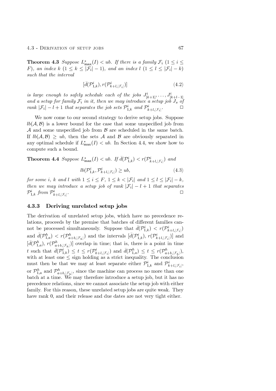**Theorem 4.3** Suppose  $L_{\text{max}}^*(I) < ub$ . If there is a family  $\mathcal{F}_i$   $(1 \leq i \leq F)$ <br>
F) an index  $k$   $(1 \leq k \leq |F_{i}| - 1)$  and an index  $l$   $(1 \leq l \leq |F_{i}| - k)$ F), an index k  $(1 \leq k \leq |\mathcal{F}_i| - 1)$ , and an index  $l$   $(1 \leq l \leq |\mathcal{F}_i| - k)$ such that the interval

$$
[\bar{d}(\mathcal{P}_{1,k}^i), r(\mathcal{P}_{k+l,|\mathcal{F}_i}^i)] \tag{4.2}
$$

is large enough to safely schedule each of the jobs  $J_{[k+1]}^i, \ldots, J_{[k+l-1]}^i$ <br>and a setup for family  $\mathcal{F}_i$  in it, then we may introduce a setup job  $J_s$  of<br>rank  $|\mathcal{F}_i| - l + 1$  that separates the job sets  $\mathcal{P}_{1,k}^$ rank  $|\mathcal{F}_i| - l + 1$  that separates the job sets  $\mathcal{P}^i_{1,k}$  and  $\mathcal{P}^i_{k+l,|\mathcal{F}_i|}$ 

We now come to our second strategy to derive setup jobs. Suppose  $lb(A, B)$  is a lower bound for the case that some unspecified job from  $\mathcal A$  and some unspecified job from  $\mathcal B$  are scheduled in the same batch. If  $lb(A, B) \geq ub$ , then the sets A and B are obviously separated in any optimal schedule if  $L_{\text{max}}^*(I) < ub$ . In Section 4.4, we show how to compute such a bound compute such a bound.

**Theorem 4.4** Suppose  $L_{\text{max}}^*(I) < ub$ . If  $\bar{d}(\mathcal{P}_{1,k}^i) < r(\mathcal{P}_{k+l,|\mathcal{F}_i|}^i)$  and

$$
lb(\mathcal{P}_{1,k}^i, \mathcal{P}_{k+l,|\mathcal{F}_i}^i) \ge ub,\tag{4.3}
$$

for some i, k and l with  $1 \leq i \leq F$ ,  $1 \leq k < |\mathcal{F}_i|$  and  $1 \leq l \leq |\mathcal{F}_i| - k$ , then we may introduce a setup job of rank  $|\mathcal{F}_i| - l + 1$  that separates<br> $\mathcal{P}_i^i$ , from  $\mathcal{P}^i$  $\mathcal{P}_{1,k}^i$  from  $\mathcal{P}_{k+l,|\mathcal{F}_i|}^i$ . The contract of the contract of the contract of the contract of the contract of the contract of the contract<br>The contract of the contract of the contract of the contract of the contract of the contract of the contract o

#### 4.3.3 Deriving unrelated setup jobs

The derivation of unrelated setup jobs, which have no precedence relations, proceeds by the premise that batches of different families cannot be processed simultaneously. Suppose that  $d(P_{1,k}^i) < r(P_k^i)$ and  $\bar{d}(\mathcal{P}_{1,k}^h) < r(\mathcal{P}_{a+b,|\mathcal{F}_h}^h)$  and the intervals  $[\bar{d}(\mathcal{P}_{1,k}^i), r(\mathcal{P}_{k+l,|\mathcal{F}_i}^i)]$  and  $[\bar{d}(\mathcal{P}_{1,k}^h), r(\mathcal{P}_{k+l,|\mathcal{F}_i}^i)]$  and  $a+b,|\mathcal{F}_h|$  and the metrons  $[a(\ell_1,k),(\ell_2,k+l,|\mathcal{F}_i|)]$  $[d(\mathcal{P}_{1,a}^h), r(\mathcal{P}_{a+b,\vert \mathcal{F}_h}^h))$  overlap in time; that is, there is a point in time t such that  $d(\mathcal{P}_{1,k}^i) \leq t \leq r(\mathcal{P}_{k+l,|\mathcal{F}_i|}^i)$  and  $d(\mathcal{P}_{1,a}^h) \leq t \leq r(\mathcal{P}_{a+b,|\mathcal{F}_h|}^h)$ ,<br>with at least one  $\leq$  sign holding as a strict inequality. The conclusion with at least one  $\leq$  sign holding as a strict inequality. The conclusion must then be that we may at least separate either  $\mathcal{P}_{1,k}^i$  and  $\mathcal{P}_{k+l,|\mathcal{F}_i|}^k$ , or  $\mathcal{P}_{1,a}^h$  and  $\mathcal{P}_{a+b,|\mathcal{F}_h|}^h$ , since the machine can process no more than one<br>batch at a time. We may therefore introduce a setup job, but it has no  $\det f_{1,a}$  and  $\det f_{a+b,|\mathcal{F}_h|}$ , since the matrime can process no more than one batch at a time. We may therefore introduce a setup job, but it has no precedence relations, since we cannot associate the setup job with either family. For this reason, these unrelated setup jobs are quite weak. They have rank 0, and their release and due dates are not very tight either.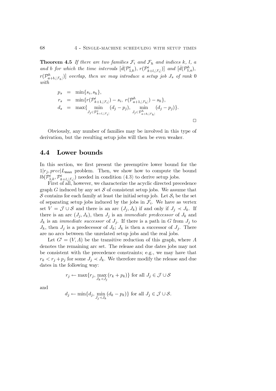**Theorem 4.5** If there are two families  $\mathcal{F}_i$  and  $\mathcal{F}_h$  and indices k, l, a and b for which the time intervals  $[d(\mathcal{P}_{1,k}^i), r(\mathcal{P}_{k+l,|\mathcal{F}_i|}^i)]$  and  $[d(\mathcal{P}_{1,a}^h),$  $\begin{bmatrix} r(\mathcal{P}_{a+b,|\mathcal{F}_h|}^h) \end{bmatrix}$  overlap, then we may introduce a setup job  $J_s$  of rank 0 with.

$$
p_s = \min\{s_i, s_h\},
$$
  
\n
$$
r_s = \min\{r(\mathcal{P}_{k+1,|\mathcal{F}_i|}^i) - s_i, r(\mathcal{P}_{a+1,|\mathcal{F}_h|}^h) - s_h\},
$$
  
\n
$$
d_s = \max\{\min_{J_j \in \mathcal{P}_{k+1,|\mathcal{F}_i|}^i} (d_j - p_j), \min_{J_j \in \mathcal{P}_{a+b,|\mathcal{F}_h|}^h} (d_j - p_j)\}.
$$

Obviously, any number of families may be involved in this type of derivation, but the resulting setup jobs will then be even weaker.

## 4.4 Lower bounds

In this section, we first present the preemptive lower bound for the  $1|r_i, prec|L_{\text{max}}$  problem. Then, we show how to compute the bound  $\frac{d}{dt} \left( \frac{\mathcal{P}_{1,k}^i}{\mathcal{P}_{k}^i + l, |\mathcal{F}_i|} \right)$  needed in condition  $(4.3)$  to derive setup jobs.<br>First of all however, we characterize the acyclic directed pre-

 $\mathcal{L}_{k}$ ,  $r_{k+l,|\mathcal{F}_{i}|}$  include in condition (4.9) to derive setup jobs.<br>First of all, however, we characterize the acyclic directed precedence graph G induced by any set  $S$  of consistent setup jobs. We assume that S contains for each family at least the initial setup job. Let  $S_i$  be the set of separating setup jobs induced by the jobs in  $\mathcal{F}_i$ . We have as vertex set  $V = \mathcal{J} \cup \mathcal{S}$  and there is an arc  $(J_j, J_k)$  if and only if  $J_j \prec J_k$ . If there is an arc  $(J_j, J_k)$ , then  $J_j$  is an *immediate predecessor* of  $J_k$  and  $J_k$  is an *immediate successor* of  $J_j$ . If there is a path in G from  $J_j$  to  $J_k$ , then  $J_j$  is a predecessor of  $J_k$ ;  $J_k$  is then a successor of  $J_j$ . There are no arcs between the unrelated setup jobs and the real jobs.

Let  $G' = (V, A)$  be the transitive reduction of this graph, where A denotes the remaining arc set. The release and due dates jobs may not be consistent with the precedence constraints; e.g., we may have that  $r_k < r_j + p_j$  for some  $J_j \prec J_k$ . We therefore modify the release and due dates in the following way:

$$
r_j \leftarrow \max\{r_j, \max_{J_k \prec J_j} (r_k + p_k)\} \text{ for all } J_j \in \mathcal{J} \cup \mathcal{S}
$$

and

$$
d_j \leftarrow \min\{d_j, \min_{J_j \prec J_k} (d_k - p_k)\}\
$$
for all  $J_j \in \mathcal{J} \cup \mathcal{S}$ .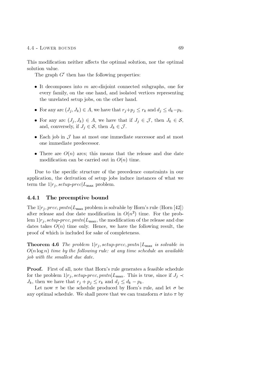#### $4.4$  - LOWER BOUNDS  $69$

This modification neither affects the optimal solution, nor the optimal solution value.

The graph  $G'$  then has the following properties:

- It decomposes into  $m$  arc-disjoint connected subgraphs, one for every family, on the one hand, and isolated vertices representing the unrelated setup jobs, on the other hand.
- For any arc  $(J_i, J_k) \in A$ , we have that  $r_i+p_i \leq r_k$  and  $d_i \leq d_k-p_k$ .
- For any arc  $(J_i, J_k) \in A$ , we have that if  $J_i \in \mathcal{J}$ , then  $J_k \in \mathcal{S}$ , and, conversely, if  $J_j \in \mathcal{S}$ , then  $J_k \in \mathcal{J}$ .
- Each job in  $\mathcal J$  has at most one immediate successor and at most one immediate predecessor.
- There are  $O(n)$  arcs; this means that the release and due date modification can be carried out in  $O(n)$  time.

Due to the specific structure of the precedence constraints in our application, the derivation of setup jobs induce instances of what we term the  $1|r_i, setup\text{-}prec|L_{\text{max}}$  problem.

#### 4.4.1 The preemptive bound

The  $1|r_j, prec, pmtn|L_{\text{max}}$  problem is solvable by Horn's rule (Horn [42]) after release and due date modification in  $O(n^2)$  time. For the problem  $1/r_i$ , setup-prec, pmtn $|L_{\text{max}}|$ , the modification of the release and due dates takes  $O(n)$  time only. Hence, we have the following result, the proof of which is included for sake of completeness.

**Theorem 4.6** The problem  $1|r_i$ , setup-prec, pmtn  $|L_{\text{max}}|$  is solvable in  $O(n \log n)$  time by the following rule: at any time schedule an available job with the smallest due date.

Proof. First of all, note that Horn's rule generates a feasible schedule for the problem  $1|r_j, setup\text{-}prec, pmtn|L_{\text{max}}$ . This is true, since if  $J_j \prec$  $J_k$ , then we have that  $r_j + p_j \leq r_k$  and  $d_j \leq d_k - p_k$ .

Let now  $\pi$  be the schedule produced by Horn's rule, and let  $\sigma$  be any optimal schedule. We shall prove that we can transform  $\sigma$  into  $\pi$  by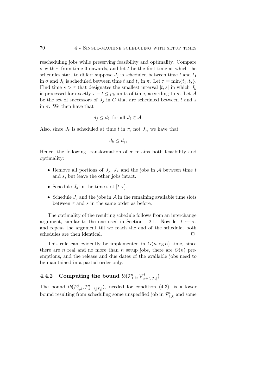rescheduling jobs while preserving feasibility and optimality. Compare  $\sigma$  with  $\pi$  from time 0 onwards, and let t be the first time at which the schedules start to differ: suppose  $J_i$  is scheduled between time t and  $t_1$ in  $\sigma$  and  $J_k$  is scheduled between time t and  $t_2$  in  $\pi$ . Let  $\tau = \min\{t_1, t_2\}$ . Find time  $s > \tau$  that designates the smallest interval  $[t, s]$  in which  $J_k$ is processed for exactly  $\tau - t \leq p_k$  units of time, according to  $\sigma$ . Let A be the set of successors of  $J_i$  in G that are scheduled between t and s in  $\sigma$ . We then have that

$$
d_j \le d_l \ \text{ for all } J_l \in \mathcal{A}.
$$

Also, since  $J_k$  is scheduled at time t in  $\pi$ , not  $J_j$ , we have that

 $d_k \leq d_i$ 

Hence, the following transformation of  $\sigma$  retains both feasibility and optimality:

- Remove all portions of  $J_j$ ,  $J_k$  and the jobs in A between time t and s, but leave the other jobs intact.
- Schedule  $J_k$  in the time slot  $[t, \tau]$ .
- Schedule  $J_j$  and the jobs in  $A$  in the remaining available time slots between  $\tau$  and s in the same order as before.

The optimality of the resulting schedule follows from an interchange argument, similar to the one used in Section 1.2.1. Now let  $t \leftarrow \tau$ , and repeat the argument till we reach the end of the schedule; both schedules are then identical.  $\hfill \Box$ 

This rule can evidently be implemented in  $O(n \log n)$  time, since there are *n* real and no more than *n* setup jobs, there are  $O(n)$  preemptions, and the release and due dates of the available jobs need to be maintained in a partial order only.

# **4.4.2** Computing the bound  $lb(\mathcal{P}^i_{1,k}, \mathcal{P}^i_{k+l,|\mathcal{F}_i|})$

The bound  $lb(\mathcal{P}_{1,k}^{i}, \mathcal{P}_{k+l,|\mathcal{F}_{i}|}^{i}),$  needed for condition (4.3), is a lower bound resulting from scheduling some unspecified job in  $\mathcal{P}^i_{1,k}$  and some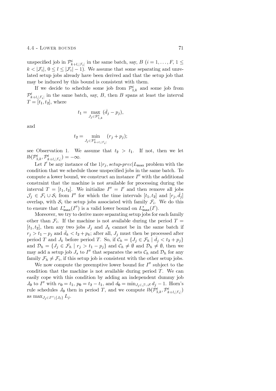#### $4.4$  - LOWER BOUNDS  $71$

unspecified job in  $\mathcal{P}_{k+l,|\mathcal{F}_i|}^i$  in the same batch, say,  $B$   $(i = 1, \ldots, F, 1 \leq k < |\mathcal{F}_i| \leq 1$  $k < |\mathcal{F}_i|, 0 \leq l \leq |\mathcal{F}_i| - 1$ . We assume that some separating and unrelated setup jobs already have been derived and that the setup job that may be induced by this bound is consistent with them.

If we decide to schedule some job from  $\mathcal{P}_{1,k}^i$  and some job from<br>in the same hatch sour B than B groups at least the interval  $\mathcal{P}_{k+l,|\mathcal{F}_i|}^i$  in the same batch, say, B, then B spans at least the interval<br> $T-$  it is urbore  $T=[t_1,t_2],$  where

$$
t_1 = \max_{J_j \in \mathcal{P}_{1,k}^i} (\bar{d}_j - p_j),
$$

and

$$
t_2 = \min_{J_j \in \mathcal{P}_{k+l,|\mathcal{F}_i|}^i} (r_j + p_j);
$$

see Observation 1. We assume that  $t_2 > t_1$ . If not, then we let  $lb(\mathcal{P}_{1,k}^i, \mathcal{P}_{k+l,|\mathcal{F}_i|}^i) = -\infty.$ <br>Let  $I'$  be any instance

Let I' be any instance of the  $1|r_j$ , setup-prec $|L_{\text{max}}$  problem with the condition that we schedule those unspecified jobs in the same batch. To compute a lower bound, we construct an instance  $I''$  with the additional constraint that the machine is not available for processing during the interval  $T = [t_1, t_2]$ . We initialize  $I'' = I'$  and then remove all jobs  $\mathcal{J}_j \in \mathcal{F}_i \cup \mathcal{S}_i$  from I'' for which the time intervals  $[t_1, t_2]$  and  $[r_j, d_j]$ overlap, with  $S_i$  the setup jobs associated with family  $\mathcal{F}_i$ . We do this to ensure that  $L_{\text{max}}^*(I'')$  is a valid lower bound on  $L_{\text{max}}^*(I')$ .<br>Moreover we try to derive more separating setup jobs for

Moreover, we try to derive more separating setup jobs for each family other than  $\mathcal{F}_i$ . If the machine is not available during the period  $T =$  $[t_1, t_2]$ , then any two jobs  $J_i$  and  $J_k$  cannot be in the same batch if  $r_j > t_1 - p_j$  and  $d_k < t_2 + p_k$ ; after all,  $J_j$  must then be processed after<br>period T and L before period T. So, if  $C_i = I \cup \in \mathcal{F}_i \cup \overline{d_i} \le t_2 + n_i$ period T and  $J_k$  before period T. So, if  $C_h = \{J_j \in \mathcal{F}_h \mid d_j < t_2 + p_j\}$ <br>and  $D_k = \{J_k \in \mathcal{F}_k \mid r_k > t_k = n_j\}$  and  $C_k \neq \emptyset$  and  $D_k \neq \emptyset$  then we and  $\mathcal{D}_h = \{J_i \in \mathcal{F}_h \mid r_i > t_1 - p_i\}$  and  $\mathcal{C}_h \neq \emptyset$  and  $\mathcal{D}_h \neq \emptyset$ , then we may add a setup job  $J_s$  to I'' that separates the sets  $\mathcal{C}_h$  and  $\mathcal{D}_h$  for any family  $\mathcal{F}_h \neq \mathcal{F}_i$ , if this setup job is consistent with the other setup jobs.

We now compute the preemptive lower bound for  $I''$  subject to the condition that the machine is not available during period  $T$ . We can easily cope with this condition by adding an independent dummy job  $J_0$  to I'' with  $r_0 = t_1$ ,  $p_0 = t_2 - t_1$ , and  $d_0 = \min_{J_j \in \mathcal{J} \cup \mathcal{S}} d_j - 1$ . Horn's rule schedules  $J_0$  then in period  $T$ , and we compute  $lb(\mathcal{P}^i_{1,k}, \mathcal{P}^i_{k+l,|\mathcal{F}_i|})$ as  $\max_{J_i \in I'' \setminus \{J_0\}} L_j$ .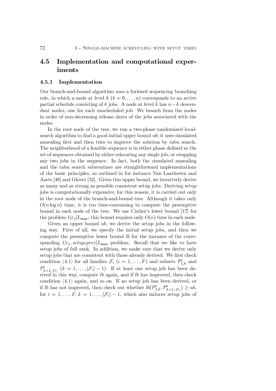## 4.5 Implementation and computational experiments

#### 4.5.1 Implementation

Our branch-and-bound algorithm uses a forward sequencing branching rule, in which a node at level  $k$   $(k = 0, \ldots, n)$  corresponds to an active partial schedule consisting of k jobs. A node at level k has  $n-k$  descendant nodes, one for each unscheduled job. We branch from the nodes in order of non-decreasing release dates of the jobs associated with the nodes.

In the root node of the tree, we run a two-phase randomized localsearch algorithm to find a good initial upper bound  $ub$ ; it uses simulated annealing first and then tries to improve the solution by tabu search. The neighborhood of a feasible sequence is in either phase defined as the set of sequences obtained by either relocating any single job, or swapping any two jobs in the sequence. In fact, both the simulated annealing and the tabu search subroutines are straightforward implementations of the basic principles, as outlined in for instance Van Laarhoven and Aarts [48] and Glover [32]. Given this upper bound, we iteratively derive as many and as strong as possible consistent setup jobs. Deriving setup jobs is computationally expensive; for this reason, it is carried out only in the root node of the branch-and-bound tree. Although it takes only  $O(n \log n)$  time, it is too time-consuming to compute the preemptive bound in each node of the tree. We use Carlier's lower bound [17] for the problem  $1|r_i|L_{\text{max}}$ ; this bound requires only  $O(n)$  time in each node.

Given an upper bound ub, we derive the setup jobs in the following way. First of all, we specify the initial setup jobs, and then we compute the preemptive lower bound lb for the instance of the corresponding  $1|r_j, setup\text{-}prec|L_{\text{max}}$  problem. Recall that we like to have setup jobs of full rank. In addition, we make sure that we derive only setup jobs that are consistent with those already derived. We first check condition (4.1) for all families  $\mathcal{F}_i$   $(i = 1, ..., F)$  and subsets  $\mathcal{P}_{1,k}^i$  and  $\mathcal{P}_i^i$  (*k* and  $[T]$  and  $[T]$  and  $\mathcal{F}_i^i$  and  $\mathcal{P}_i^i$  and  $\mathcal{P}_i^i$  (*k* and  $[T]$  and  $\mathcal{F}_i^i$  and  $\mathcal{F}_i^i$  and  $\mathcal$  $\mathcal{P}_{k+1,|F_i|}^i$   $(k = 1, \ldots, |\mathcal{F}_i| - 1)$ . If at least one setup job has been de-<br>rived in this way compute *lb* again, and if *lb* has improved, then check rived in this way, compute lb again, and if lb has improved, then check condition (4.1) again, and so on. If no setup job has been derived, or if lb has not improved, then check out whether  $lb(\mathcal{P}_{1,k}^i, \mathcal{P}_{k+1,|F_i|}^i) \geq ub$ ,<br>for  $i = 1$ ,  $F_i$ ,  $k = 1$ ,  $|\mathcal{F}| = 1$ , which also induces attum into of  $\frac{k+1,|F_i|}{\text{softmax}}$ for  $i = 1, ..., F$ ,  $k = 1, ..., |\mathcal{F}_i| - 1$ , which also induces setup jobs of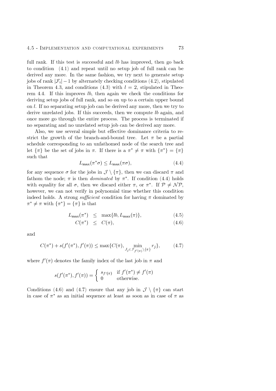full rank. If this test is successful and lb has improved, then go back to condition (4.1) and repeat until no setup job of full rank can be derived any more. In the same fashion, we try next to generate setup jobs of rank  $|\mathcal{F}_i|$  – 1 by alternately checking conditions (4.2), stipulated in Theorem 4.3, and conditions (4.3) with  $l = 2$ , stipulated in Theorem 4.4. If this improves lb, then again we check the conditions for deriving setup jobs of full rank, and so on up to a certain upper bound on l. If no separating setup job can be derived any more, then we try to derive unrelated jobs. If this succeeds, then we compute *lb* again, and once more go through the entire process. The process is terminated if no separating and no unrelated setup job can be derived any more.

Also, we use several simple but effective dominance criteria to restrict the growth of the branch-and-bound tree. Let  $\pi$  be a partial schedule corresponding to an unfathomed node of the search tree and let  $\{\pi\}$  be the set of jobs in  $\pi$ . If there is a  $\pi^* \neq \pi$  with  $\{\pi^*\} = \{\pi\}$ such that

$$
L_{\max}(\pi^*\sigma) \le L_{\max}(\pi\sigma),\tag{4.4}
$$

for any sequence  $\sigma$  for the jobs in  $\mathcal{J}\setminus\{\pi\}$ , then we can discard  $\pi$  and fathom the node;  $\pi$  is then *dominated* by  $\pi^*$ . If condition (4.4) holds with equality for all  $\sigma$ , then we discard either  $\pi$ , or  $\pi^*$ . If  $\mathcal{P} \neq \mathcal{NP}$ , however, we can not verify in polynomial time whether this condition indeed holds. A strong *sufficient* condition for having  $\pi$  dominated by  $\pi^* \neq \pi$  with  $\{\pi^*\} = \{\pi\}$  is that

$$
L_{\max}(\pi^*) \le \max\{lb, L_{\max}(\pi)\},\tag{4.5}
$$

$$
C(\pi^*) \leq C(\pi), \tag{4.6}
$$

and

$$
C(\pi^*) + s(f'(\pi^*), f'(\pi)) \le \max\{C(\pi), \min_{J_j \in \mathcal{F}_{f'(\pi)} \setminus \{\pi\}} r_j\},\tag{4.7}
$$

where  $f'(\pi)$  denotes the family index of the last job in  $\pi$  and

$$
s(f'(\pi^*), f'(\pi)) = \begin{cases} s_{f'(\pi)} & \text{if } f'(\pi^*) \neq f'(\pi) \\ 0 & \text{otherwise.} \end{cases}
$$

Conditions (4.6) and (4.7) ensure that any job in  $\mathcal{J}\setminus\{\pi\}$  can start in case of  $\pi^*$  as an initial sequence at least as soon as in case of  $\pi$  as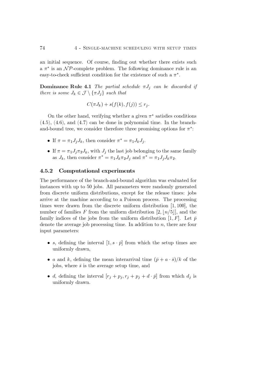an initial sequence. Of course, finding out whether there exists such a  $\pi^*$  is an NP-complete problem. The following dominance rule is an easy-to-check sufficient condition for the existence of such a  $\pi^*$ .

**Dominance Rule 4.1** The partial schedule  $\pi J_j$  can be discarded if there is some  $J_k \in \mathcal{J} \setminus {\lbrace \pi J_j \rbrace}$  such that

$$
C(\pi J_k) + s(f(k), f(j)) \le r_j.
$$

On the other hand, verifying whether a given  $\pi^*$  satisfies conditions  $(4.5)$ ,  $(4.6)$ , and  $(4.7)$  can be done in polynomial time. In the branchand-bound tree, we consider therefore three promising options for  $\pi^*$ :

- If  $\pi = \pi_1 J_j J_k$ , then consider  $\pi^* = \pi_1 J_k J_j$ .
- If  $\pi = \pi_1 J_j \pi_2 J_k$ , with  $J_j$  the last job belonging to the same family as  $J_k$ , then consider  $\pi^* = \pi_1 J_k \pi_2 J_j$  and  $\pi^* = \pi_1 J_j J_k \pi_2$ .

#### 4.5.2 Computational experiments

The performance of the branch-and-bound algorithm was evaluated for instances with up to 50 jobs. All parameters were randomly generated from discrete uniform distributions, except for the release times: jobs arrive at the machine according to a Poisson process. The processing times were drawn from the discrete uniform distribution [1, 100], the number of families F from the uniform distribution  $[2, |n/5|]$ , and the family indices of the jobs from the uniform distribution [1, F]. Let  $\bar{p}$ denote the average job processing time. In addition to  $n$ , there are four input parameters:

- s, defining the interval  $[1, s \cdot \bar{p}]$  from which the setup times are uniformly drawn,
- a and k, defining the mean interarrival time  $(\bar{p} + a \cdot \bar{s})/k$  of the jobs, where  $\bar{s}$  is the average setup time, and
- d, defining the interval  $[r_j + p_j, r_j + p_j + d \cdot \bar{p}]$  from which  $d_j$  is uniformly drawn.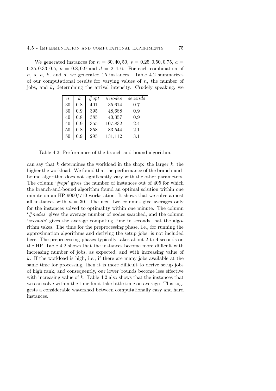We generated instances for  $n = 30, 40, 50, s = 0.25, 0.50, 0.75, a =$ 0.25, 0.33, 0.5,  $k = 0.8, 0.9$  and  $d = 2, 4, 6$ . For each combination of  $n, s, a, k, \text{ and } d$ , we generated 15 instances. Table 4.2 summarizes of our computational results for varying values of  $n$ , the number of jobs, and k, determining the arrival intensity. Crudely speaking, we

| $\boldsymbol{n}$ | k   | #opt | #nodes  | seconds |
|------------------|-----|------|---------|---------|
| 30               | 0.8 | 401  | 35,614  | 0.7     |
| 30               | 0.9 | 395  | 48,688  | 0.9     |
| 40               | 0.8 | 385  | 40,357  | 0.9     |
| 40               | 0.9 | 355  | 107,832 | 2.4     |
| 50               | 0.8 | 358  | 83,544  | 2.1     |
| 50               | 0.9 | 295  | 131,112 | 3.1     |

Table 4.2: Performance of the branch-and-bound algorithm.

can say that  $k$  determines the workload in the shop: the larger  $k$ , the higher the workload. We found that the performance of the branch-andbound algorithm does not significantly vary with the other parameters. The column ' $#opt$ ' gives the number of instances out of 405 for which the branch-and-bound algorithm found an optimal solution within one minute on an HP 9000/710 workstation. It shows that we solve almost all instances with  $n = 30$ . The next two columns give averages only for the instances solved to optimality within one minute. The column '#nodes' gives the average number of nodes searched, and the column 'seconds' gives the average computing time in seconds that the algorithm takes. The time for the preprocessing phase, i.e., for running the approximation algorithms and deriving the setup jobs, is not included here. The preprocessing phases typically takes about 2 to 4 seconds on the HP. Table 4.2 shows that the instances become more difficult with increasing number of jobs, as expected, and with increasing value of  $k$ . If the workload is high, i.e., if there are many jobs available at the same time for processing, then it is more difficult to derive setup jobs of high rank, and consequently, our lower bounds become less effective with increasing value of k. Table 4.2 also shows that the instances that we can solve within the time limit take little time on average. This suggests a considerable watershed between computationally easy and hard instances.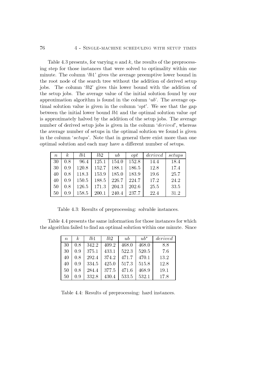Table 4.3 presents, for varying n and k, the results of the preprocessing step for those instances that were solved to optimality within one minute. The column 'lb1' gives the average preemptive lower bound in the root node of the search tree without the addition of derived setup jobs. The column 'lb2' gives this lower bound with the addition of the setup jobs. The average value of the initial solution found by our approximation algorithm is found in the column  $'ub'$ . The average optimal solution value is given in the column 'opt'. We see that the gap between the initial lower bound lb1 and the optimal solution value opt is approximately halved by the addition of the setup jobs. The average number of derived setup jobs is given in the column 'derived', whereas the average number of setups in the optimal solution we found is given in the column 'setups'. Note that in general there exist more than one optimal solution and each may have a different number of setups.

| $\,n$ | k <sub>i</sub> | lb1   | lb2   | ub    | opt   | derived | setups |
|-------|----------------|-------|-------|-------|-------|---------|--------|
| 30    | 0.8            | 96.4  | 125.1 | 154.0 | 152.8 | 14.4    | 18.4   |
| 30    | 0.9            | 120.8 | 152.7 | 188.1 | 186.5 | 12.8    | 17.4   |
| 40    | 0.8            | 118.3 | 153.9 | 185.0 | 183.9 | 19.6    | 25.7   |
| 40    | 0.9            | 150.5 | 188.5 | 226.7 | 224.7 | 17.2    | 24.2   |
| 50    | 0.8            | 126.5 | 171.3 | 204.3 | 202.6 | 25.5    | 33.5   |
| 50    | 0.9            | 158.5 | 200.1 | 240.4 | 237.7 | 22.4    | 31.2   |

Table 4.3: Results of preprocessing: solvable instances.

Table 4.4 presents the same information for those instances for which the algorithm failed to find an optimal solution within one minute. Since

| $\boldsymbol{n}$ | k <sub>i</sub> | $l\bar{b}$ 1 | lh2   | ub    | $ub^*$ | derived |
|------------------|----------------|--------------|-------|-------|--------|---------|
| 30               | 0.8            | 342.2        | 409.2 | 468.0 | 468.0  | 8.8     |
| 30               | 0.9            | 375.1        | 433.1 | 522.3 | 520.5  | 7.6     |
| 40               | 0.8            | 292.4        | 374.2 | 471.7 | 470.1  | 13.2    |
| 40               | 0.9            | 334.5        | 425.0 | 517.3 | 515.8  | 12.8    |
| 50               | 0.8            | 284.4        | 377.5 | 471.6 | 468.9  | 19.1    |
| 50               | 0.9            | 332.8        | 430.4 | 533.5 | 532.1  | 17.8    |

Table 4.4: Results of preprocessing: hard instances.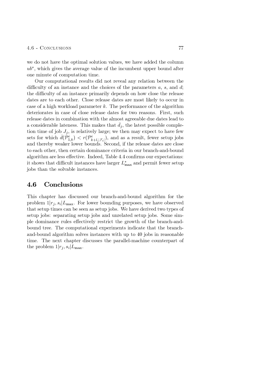#### 4.6 - CONCLUSIONS 77

we do not have the optimal solution values, we have added the column  $ub^*$ , which gives the average value of the incumbent upper bound after one minute of computation time.

Our computational results did not reveal any relation between the difficulty of an instance and the choices of the parameters  $a, s$ , and  $d$ ; the difficulty of an instance primarily depends on how close the release dates are to each other. Close release dates are most likely to occur in case of a high workload parameter  $k$ . The performance of the algorithm deteriorates in case of close release dates for two reasons. First, such release dates in combination with the almost agreeable due dates lead to a considerable lateness. This makes that  $d_j$ , the latest possible completion time of ich  $I$ , is relatively large we then mey synect to have form tion time of job  $J_j$ , is relatively large; we then may expect to have few sets for which  $d(\mathcal{P}_{1,k}^i) < r(\mathcal{P}_{k+l,|\mathcal{F}_i|}^i)$ , and as a result, fewer setup jobs and thereby weaker lower bounds. Second, if the release dates are close to each other, then certain dominance criteria in our branch-and-bound algorithm are less effective. Indeed, Table 4.4 confirms our expectations: it shows that difficult instances have larger  $L_{\max}^*$  and permit fewer setup jobs than the solvable instances.

## 4.6 Conclusions

This chapter has discussed our branch-and-bound algorithm for the problem  $1|r_i, s_i|L_{\text{max}}$ . For lower bounding purposes, we have observed that setup times can be seen as setup jobs. We have derived two types of setup jobs: separating setup jobs and unrelated setup jobs. Some simple dominance rules effectively restrict the growth of the branch-andbound tree. The computational experiments indicate that the branchand-bound algorithm solves instances with up to 40 jobs in reasonable time. The next chapter discusses the parallel-machine counterpart of the problem  $1|r_i, s_i|L_{\text{max}}$ .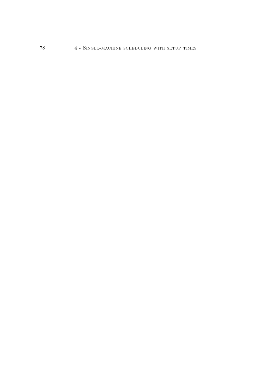78 4 - SINGLE-MACHINE SCHEDULING WITH SETUP TIMES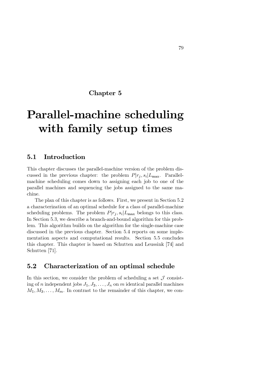## Chapter 5

# Parallel-machine scheduling with family setup times

## 5.1 Introduction

This chapter discusses the parallel-machine version of the problem discussed in the previous chapter: the problem  $P|r_i, s_i|L_{\text{max}}$ . Parallelmachine scheduling comes down to assigning each job to one of the parallel machines and sequencing the jobs assigned to the same machine.

The plan of this chapter is as follows. First, we present in Section 5.2 a characterization of an optimal schedule for a class of parallel-machine scheduling problems. The problem  $P|r_i, s_i|L_{\text{max}}$  belongs to this class. In Section 5.3, we describe a branch-and-bound algorithm for this problem. This algorithm builds on the algorithm for the single-machine case discussed in the previous chapter. Section 5.4 reports on some implementation aspects and computational results. Section 5.5 concludes this chapter. This chapter is based on Schutten and Leussink [74] and Schutten [71].

## 5.2 Characterization of an optimal schedule

In this section, we consider the problem of scheduling a set  $\mathcal J$  consisting of n independent jobs  $J_1, J_2, \ldots, J_n$  on m identical parallel machines  $M_1, M_2, \ldots, M_m$ . In contrast to the remainder of this chapter, we con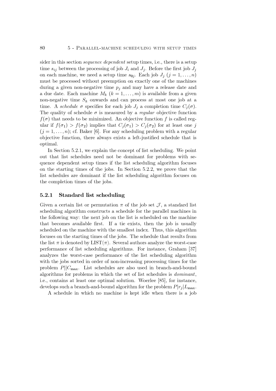sider in this section *sequence dependent* setup times, i.e., there is a setup time  $s_{ij}$  between the processing of job  $J_i$  and  $J_j$ . Before the first job  $J_j$ on each machine, we need a setup time  $s_{0j}$ . Each job  $J_j$   $(j = 1, \ldots, n)$ must be processed without preemption on exactly one of the machines during a given non-negative time  $p_j$  and may have a release date and a due date. Each machine  $M_k$   $(k = 1, \ldots, m)$  is available from a given non-negative time  $S_k$  onwards and can process at most one job at a time. A schedule  $\sigma$  specifies for each job  $J_j$  a completion time  $C_j(\sigma)$ . The quality of schedule  $\sigma$  is measured by a *regular* objective function  $f(\sigma)$  that needs to be minimized. An objective function f is called regular if  $f(\sigma_1) > f(\sigma_2)$  implies that  $C_i(\sigma_1) > C_i(\sigma_2)$  for at least one j  $(j = 1, \ldots, n)$ ; cf. Baker [6]. For any scheduling problem with a regular objective function, there always exists a left-justified schedule that is optimal.

In Section 5.2.1, we explain the concept of list scheduling. We point out that list schedules need not be dominant for problems with sequence dependent setup times if the list scheduling algorithm focuses on the starting times of the jobs. In Section 5.2.2, we prove that the list schedules are dominant if the list scheduling algorithm focuses on the completion times of the jobs.

#### 5.2.1 Standard list scheduling

Given a certain list or permutation  $\pi$  of the job set  $\mathcal{J}$ , a standard list scheduling algorithm constructs a schedule for the parallel machines in the following way: the next job on the list is scheduled on the machine that becomes available first. If a tie exists, then the job is usually scheduled on the machine with the smallest index. Thus, this algorithm focuses on the starting times of the jobs. The schedule that results from the list  $\pi$  is denoted by LIST( $\pi$ ). Several authors analyze the worst-case performance of list scheduling algorithms. For instance, Graham [37] analyzes the worst-case performance of the list scheduling algorithm with the jobs sorted in order of non-increasing processing times for the problem  $P||C_{\text{max}}$ . List schedules are also used in branch-and-bound algorithms for problems in which the set of list schedules is dominant, i.e., contains at least one optimal solution. Woerlee [85], for instance, develops such a branch-and-bound algorithm for the problem  $P|r_j|L_{\text{max}}$ .

A schedule in which no machine is kept idle when there is a job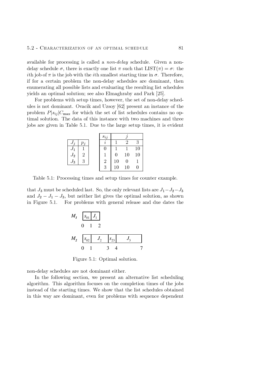available for processing is called a non-delay schedule. Given a nondelay schedule  $\sigma$ , there is exactly one list  $\pi$  such that  $LIST(\pi) = \sigma$ : the ith job of  $\pi$  is the job with the *i*th smallest starting time in  $\sigma$ . Therefore, if for a certain problem the non-delay schedules are dominant, then enumerating all possible lists and evaluating the resulting list schedules yields an optimal solution; see also Elmaghraby and Park [25].

For problems with setup times, however, the set of non-delay schedules is not dominant. Ovacik and Uzsoy [62] present an instance of the problem  $P|s_{ij}|C_{\text{max}}$  for which the set of list schedules contains no optimal solution. The data of this instance with two machines and three jobs are given in Table 5.1. Due to the large setup times, it is evident

|         |   | $s_{ij}$ |    |    |    |
|---------|---|----------|----|----|----|
|         |   |          |    |    |    |
| J1      |   | O        |    |    | 10 |
| $J_{2}$ |   |          | ∩  | 10 | 10 |
| $J_3$   | 3 | 2        | 10 | 0  |    |
|         |   | 3        | 10 | 10 |    |

Table 5.1: Processing times and setup times for counter example.

that  $J_3$  must be scheduled last. So, the only relevant lists are  $J_1-J_2-J_3$ and  $J_2 - J_1 - J_3$ , but neither list gives the optimal solution, as shown in Figure 5.1. For problems with general release and due dates the



Figure 5.1: Optimal solution.

non-delay schedules are not dominant either.

In the following section, we present an alternative list scheduling algorithm. This algorithm focuses on the completion times of the jobs instead of the starting times. We show that the list schedules obtained in this way are dominant, even for problems with sequence dependent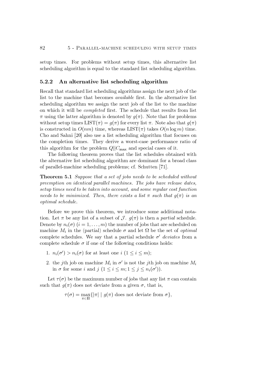setup times. For problems without setup times, this alternative list scheduling algorithm is equal to the standard list scheduling algorithm.

#### 5.2.2 An alternative list scheduling algorithm

Recall that standard list scheduling algorithms assign the next job of the list to the machine that becomes available first. In the alternative list scheduling algorithm we assign the next job of the list to the machine on which it will be completed first. The schedule that results from list  $\pi$  using the latter algorithm is denoted by  $g(\pi)$ . Note that for problems without setup times  $LIST(\pi) = g(\pi)$  for every list  $\pi$ . Note also that  $g(\pi)$ is constructed in  $O(nm)$  time, whereas LIST( $\pi$ ) takes  $O(n \log m)$  time. Cho and Sahni [20] also use a list scheduling algorithm that focuses on the completion times. They derive a worst-case performance ratio of this algorithm for the problem  $Q||C_{\text{max}}$  and special cases of it.

The following theorem proves that the list schedules obtained with the alternative list scheduling algorithm are dominant for a broad class of parallel-machine scheduling problems; cf. Schutten [71].

Theorem 5.1 Suppose that a set of jobs needs to be scheduled without preemption on identical parallel machines. The jobs have release dates, setup times need to be taken into account, and some regular cost function needs to be minimized. Then, there exists a list  $\pi$  such that  $g(\pi)$  is an optimal schedule.

Before we prove this theorem, we introduce some additional notation. Let  $\pi$  be any list of a subset of  $\mathcal{J}$ .  $g(\pi)$  is then a partial schedule. Denote by  $n_i(\sigma)$   $(i = 1, \ldots, m)$  the number of jobs that are scheduled on machine  $M_i$  in the (partial) schedule  $\sigma$  and let  $\Omega$  be the set of *optimal* complete schedules. We say that a partial schedule  $\sigma'$  deviates from a complete schedule  $\sigma$  if one of the following conditions holds:

- 1.  $n_i(\sigma') > n_i(\sigma)$  for at least one  $i$   $(1 \leq i \leq m);$
- 2. the jth job on machine  $M_i$  in  $\sigma'$  is not the jth job on machine  $M_i$ in  $\sigma$  for some i and j  $(1 \le i \le m; 1 \le j \le n_i(\sigma'))$ .

Let  $\tau(\sigma)$  be the maximum number of jobs that any list  $\pi$  can contain such that  $g(\pi)$  does not deviate from a given  $\sigma$ , that is,

$$
\tau(\sigma) = \max_{\pi \in \Pi} \{ |\pi| \mid g(\pi) \text{ does not deviate from } \sigma \},
$$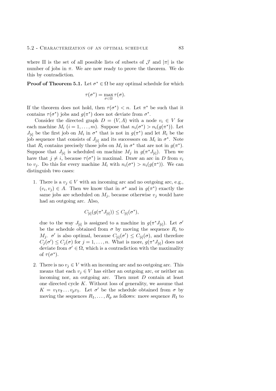where  $\Pi$  is the set of all possible lists of subsets of  $\mathcal J$  and  $|\pi|$  is the number of jobs in  $\pi$ . We are now ready to prove the theorem. We do this by contradiction.

**Proof of Theorem 5.1.** Let  $\sigma^* \in \Omega$  be any optimal schedule for which

$$
\tau(\sigma^*) = \max_{\sigma \in \Omega} \tau(\sigma).
$$

If the theorem does not hold, then  $\tau(\sigma^*) < n$ . Let  $\pi^*$  be such that it contains  $\tau(\sigma^*)$  jobs and  $g(\pi^*)$  does not deviate from  $\sigma^*$ .

Consider the directed graph  $D = (V, A)$  with a node  $v_i \in V$  for each machine  $M_i$   $(i = 1, ..., m)$ . Suppose that  $n_i(\sigma^*) > n_i(g(\pi^*))$ . Let  $J_{[i]}$  be the first job on  $M_i$  in  $\sigma^*$  that is not in  $g(\pi^*)$  and let  $R_i$  be the job sequence that consists of  $J_{[i]}$  and its successors on  $M_i$  in  $\sigma^*$ . Note that  $R_i$  contains precisely those jobs on  $M_i$  in  $\sigma^*$  that are not in  $g(\pi^*)$ . Suppose that  $J_{[i]}$  is scheduled on machine  $M_i$  in  $g(\pi^* J_{[i]})$ . Then we have that  $j \neq i$ , because  $\tau(\sigma^*)$  is maximal. Draw an arc in D from  $v_i$ to  $v_i$ . Do this for every machine  $M_i$  with  $n_i(\sigma^*) > n_i(g(\pi^*))$ . We can distinguish two cases:

1. There is a  $v_j \in V$  with an incoming arc and no outgoing arc, e.g.,  $(v_i, v_j) \in A$ . Then we know that in  $\sigma^*$  and in  $g(\pi^*)$  exactly the same jobs are scheduled on  $M_i$ , because otherwise  $v_i$  would have had an outgoing arc. Also,

$$
C_{[i]}(g(\pi^*J_{[i]})) \leq C_{[i]}(\sigma^*),
$$

due to the way  $J_{[i]}$  is assigned to a machine in  $g(\pi^* J_{[i]})$ . Let  $\sigma'$ be the schedule obtained from  $\sigma$  by moving the sequence  $R_i$  to  $M_j$ .  $\sigma'$  is also optimal, because  $C_{[i]}(\sigma') \leq C_{[i]}(\sigma)$ , and therefore  $C_j(\sigma') \leq C_j(\sigma)$  for  $j = 1, \ldots, n$ . What is more,  $g(\pi^* J_{[i]})$  does not<br>deviate from  $\sigma' \in \Omega$  which is a contradiction with the maximality deviate from  $\sigma' \in \Omega$ , which is a contradiction with the maximality of  $\tau(\sigma^*)$ .

2. There is no  $v_i \in V$  with an incoming arc and no outgoing arc. This means that each  $v_i \in V$  has either an outgoing arc, or neither an incoming nor, an outgoing arc. Then must D contain at least one directed cycle  $K$ . Without loss of generality, we assume that  $K = v_1v_2 \ldots v_p v_1$ . Let  $\sigma'$  be the schedule obtained from  $\sigma$  by moving the sequences  $R_1, \ldots, R_p$  as follows: move sequence  $R_1$  to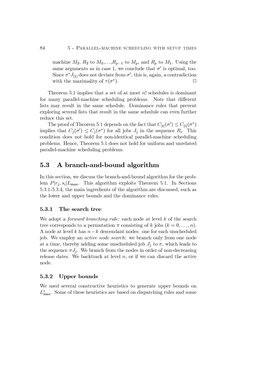machine  $M_2$ ,  $R_2$  to  $M_3$ ,..., $R_{p-1}$  to  $M_p$ , and  $R_p$  to  $M_1$ . Using the same arguments as in case 1, we conclude that  $\sigma'$  is optimal, too. Since  $\pi^* J_{[1]}$  does not deviate from  $\sigma'$ , this is, again, a contradiction with the maximality of  $\tau(\sigma^*)$ .

Theorem 5.1 implies that a set of at most  $n!$  schedules is dominant for many parallel-machine scheduling problems. Note that different lists may result in the same schedule. Dominance rules that prevent exploring several lists that result in the same schedule can even further reduce this set.

The proof of Theorem 5.1 depends on the fact that  $C_{[i]}(\sigma') \leq C_{[i]}(\sigma^*)$ <br>blue that  $C_i(\sigma') \leq C_i(\sigma^*)$  for all jobs L in the sequence  $R_i$ . This implies that  $C_j(\sigma') \leq C_j(\sigma^*)$  for all jobs  $J_j$  in the sequence  $R_i$ . This condition does not hold for non-identical parallel-machine scheduling problems. Hence, Theorem 5.1 does not hold for uniform and unrelated parallel-machine scheduling problems.

## 5.3 A branch-and-bound algorithm

In this section, we discuss the branch-and-bound algorithm for the problem  $P|r_i, s_i|L_{\text{max}}$ . This algorithm exploits Theorem 5.1. In Sections 5.3.1-5.3.4, the main ingredients of the algorithm are discussed, such as the lower and upper bounds and the dominance rules.

#### 5.3.1 The search tree

We adopt a *forward branching rule:* each node at level  $k$  of the search tree corresponds to a permutation  $\pi$  consisting of k jobs  $(k = 0, \ldots, n)$ . A node at level k has  $n-k$  descendant nodes: one for each unscheduled job. We employ an *active node search*: we branch only from one node at a time, thereby adding some unscheduled job  $J_j$  to  $\pi$ , which leads to the sequence  $\pi J_i$ . We branch from the nodes in order of non-decreasing release dates. We backtrack at level  $n$ , or if we can discard the active node.

#### 5.3.2 Upper bounds

We used several constructive heuristics to generate upper bounds on  $L_{\text{max}}^*$ . Some of these heuristics are based on dispatching rules and some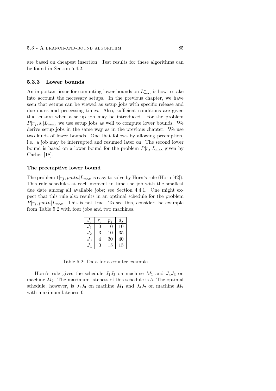are based on cheapest insertion. Test results for these algorithms can be found in Section 5.4.2.

#### 5.3.3 Lower bounds

An important issue for computing lower bounds on  $L_{\text{max}}^*$  is how to take into account the necessary setups. In the previous chapter, we have seen that setups can be viewed as setup jobs with specific release and due dates and processing times. Also, sufficient conditions are given that ensure when a setup job may be introduced. For the problem  $P|r_j, s_i|L_{\text{max}}$ , we use setup jobs as well to compute lower bounds. We derive setup jobs in the same way as in the previous chapter. We use two kinds of lower bounds. One that follows by allowing preemption, i.e., a job may be interrupted and resumed later on. The second lower bound is based on a lower bound for the problem  $P|r_j|L_{\text{max}}$  given by Carlier [18].

#### The preemptive lower bound

The problem  $1|r_j, pmtn|L_{\text{max}}$  is easy to solve by Horn's rule (Horn [42]). This rule schedules at each moment in time the job with the smallest due date among all available jobs; see Section 4.4.1. One might expect that this rule also results in an optimal schedule for the problem  $P|r_i, pmtn|L_{\text{max}}$ . This is not true. To see this, consider the example from Table 5.2 with four jobs and two machines.

|         | $r_i$ | $p_i$ | $d_i$ |
|---------|-------|-------|-------|
| $J_1$   | 0     | 10    | 10    |
| $J_{2}$ | 3     | 10    | 35    |
| $J_{3}$ | 4     | 30    | 40    |
| $J_4$   | 0     | 15    | 15    |

Table 5.2: Data for a counter example

Horn's rule gives the schedule  $J_1J_2$  on machine  $M_1$  and  $J_4J_3$  on machine  $M_2$ . The maximum lateness of this schedule is 5. The optimal schedule, however, is  $J_1J_3$  on machine  $M_1$  and  $J_4J_2$  on machine  $M_2$ with maximum lateness 0.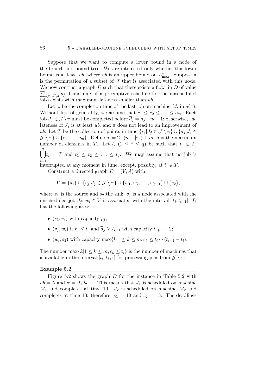Suppose that we want to compute a lower bound in a node of the branch-and-bound tree. We are interested only whether this lower bound is at least  $ub$ , where  $ub$  is an upper bound on  $L_{\text{max}}^*$ . Suppose  $\pi$ is the permutation of a subset of  $\mathcal J$  that is associated with this node.  $\sum_{J_j \in \mathcal{J} \setminus \pi} p_j$  if and only if a preemptive schedule for the unscheduled integration  $\mathcal{L}$ We now contruct a graph  $D$  such that there exists a flow in  $D$  of value jobs exists with maximum lateness smaller than ub.

Let  $c_i$  be the completion time of the last job on machine  $M_i$  in  $g(\pi)$ . Without loss of generality, we assume that  $c_1 \leq c_2 \leq \ldots \leq c_m$ . Each job  $J_j \in \mathcal{J}\setminus\pi$  must be completed before  $d_j = d_j + ub - 1$ ; otherwise, the lateness of  $J_i$  is at least ub, and  $\pi$  does not lead to an improvement of ub. Let T be the collection of points in time  $\{r_j | J_j \in \mathcal{J} \setminus \pi\} \cup \{d_j | J_j \in$  $\mathcal{J}\setminus\pi\}\cup\{c_1,\ldots,c_m\}.$  Define  $q:=2\cdot(n-|\pi|)+m; q$  is the maximum number of elements in T. Let  $t_i$  ( $1 \leq i \leq q$ ) be such that  $t_i \in T$ ,  $\bigcup_{i=1}^{n} t_i = T$  and  $t_1 \leq t_2 \leq \ldots \leq t_q$ . We may assume that no job is i=1<br>interrupted at any moment in time, except, possibly, at  $t_i \in T$ .<br>Construct a directed graph  $D = (V, 4)$  with.

Construct a directed graph  $D = (V, A)$  with:

$$
V = \{s_1\} \cup \{v_j | J_j \in \mathcal{J} \setminus \pi\} \cup \{w_1, w_2, \ldots, w_{q-1}\} \cup \{s_2\},\
$$

where  $s_1$  is the source and  $s_2$  the sink;  $v_j$  is a node associated with the unscheduled job  $J_j$ ;  $w_i \in V$  is associated with the interval  $[t_i, t_{i+1}]$ . D has the following arcs:

- $(s_1, v_i)$  with capacity  $p_i$ ;
- $(v_i, w_i)$  if  $r_i \le t_i$  and  $\overline{d}_i \ge t_{i+1}$  with capacity  $t_{i+1} t_i$ ;
- $(w_i, s_2)$  with capacity max $\{k | 1 \le k \le m, c_k \le t_i\} \cdot (t_{i+1} t_i).$

The number  $\max\{k|1 \leq k \leq m, c_k \leq t_i\}$  is the number of machines that is available in the interval  $[t_i, t_{i+1}]$  for processing jobs from  $\mathcal{J} \setminus \pi$ .

#### Example 5.2

Figure 5.2 shows the graph  $D$  for the instance in Table 5.2 with  $ub = 5$  and  $\pi = J_1 J_2$ . This means that  $J_1$  is scheduled on machine  $M_1$  and completes at time 10.  $J_2$  is scheduled on machine  $M_2$  and completes at time 13; therefore,  $c_1 = 10$  and  $c_2 = 13$ . The deadlines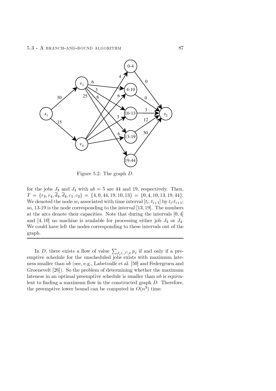

Figure 5.2: The graph D.

for the jobs  $J_3$  and  $J_4$  with  $ub = 5$  are 44 and 19, respectively. Then,  $T = \{r_3, r_4, \overline{d}_3, \overline{d}_4, c_1, c_2\} = \{4, 0, 44, 19, 10, 13\} = \{0, 4, 10, 13, 19, 44\}.$ We denoted the node  $w_i$  associated with time interval  $[t_i, t_{i+1}]$  by  $t_i-t_{i+1}$ ; so, 13-19 is the node corresponding to the interval [13, 19]. The numbers at the arcs denote their capacities. Note that during the intervals [0, 4] and  $[4, 10]$  no machine is available for processing either job  $J_3$  or  $J_4$ . We could have left the nodes corresponding to these intervals out of the graph.

In D, there exists a flow of value  $\sum_{J_j \in \mathcal{J} \setminus \pi} p_j$  if and only if a pre-<br>emptive schedule for the unscheduled jobs exists with maximum lateness smaller than ub (see, e.g., Labetoulle et al. [50] and Federgruen and Groenevelt [26]). So the problem of determining whether the maximum lateness in an optimal preemptive schedule is smaller than  $ub$  is equivalent to finding a maximum flow in the constructed graph D. Therefore, the preemptive lower bound can be computed in  $O(n^3)$  time.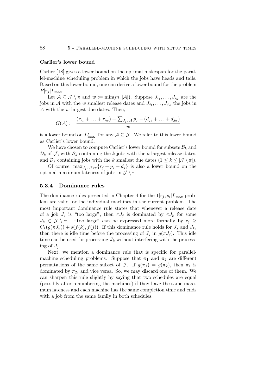#### Carlier's lower bound

Carlier [18] gives a lower bound on the optimal makespan for the parallel-machine scheduling problem in which the jobs have heads and tails. Based on this lower bound, one can derive a lower bound for the problem  $P|r_i|L_{\text{max}}.$ 

Let  $\mathcal{A} \subseteq \mathcal{J} \setminus \pi$  and  $w := \min(m, |\mathcal{A}|)$ . Suppose  $J_{i_1}, \ldots, J_{i_w}$  are the jobs in A with the w smallest release dates and  $J_{j_1}, \ldots, J_{j_w}$  the jobs in  $\mathcal A$  with the  $w$  largest due dates. Then,

$$
G(\mathcal{A}) := \frac{(r_{i_1} + \ldots + r_{i_w}) + \sum_{J_j \in \mathcal{A}} p_j - (d_{j_1} + \ldots + d_{j_w})}{w}
$$

is a lower bound on  $L^*_{\text{max}}$ , for any  $A \subseteq \mathcal{J}$ . We refer to this lower bound as Carlier's lower bound.

We have chosen to compute Carlier's lower bound for subsets  $B_k$  and  $\mathcal{D}_k$  of J, with  $\mathcal{B}_k$  containing the k jobs with the k largest release dates, and  $\mathcal{D}_k$  containing jobs with the k smallest due dates  $(1 \leq k \leq |\mathcal{J} \setminus \pi|)$ .

Of course,  $\max_{J_j \in \mathcal{J} \setminus \pi} \{r_j + p_j - d_j\}$  is also a lower bound on the optimal maximum lateness of jobs in  $\mathcal{J}\setminus\pi$ .

#### 5.3.4 Dominance rules

The dominance rules presented in Chapter 4 for the  $1|r_i, s_i|L_{\text{max}}$  problem are valid for the individual machines in the current problem. The most important dominance rule states that whenever a release date of a job  $J_i$  is "too large", then  $\pi J_i$  is dominated by  $\pi J_k$  for some  $J_k \in \mathcal{J}\setminus\pi$ . "Too large" can be expressed more formally by  $r_j \geq$  $C_k(g(\pi J_k)) + s(f(k), f(j))$ . If this dominance rule holds for  $J_i$  and  $J_k$ , then there is idle time before the processing of  $J_i$  in  $g(\pi J_i)$ . This idle time can be used for processing  $J_k$  without interfering with the processing of  $J_i$ .

Next, we mention a dominance rule that is specific for parallelmachine scheduling problems. Suppose that  $\pi_1$  and  $\pi_2$  are different permutations of the same subset of J. If  $g(\pi_1) = g(\pi_2)$ , then  $\pi_1$  is dominated by  $\pi_2$ , and vice versa. So, we may discard one of them. We can sharpen this rule slightly by saying that two schedules are equal (possibly after renumbering the machines) if they have the same maximum lateness and each machine has the same completion time and ends with a job from the same family in both schedules.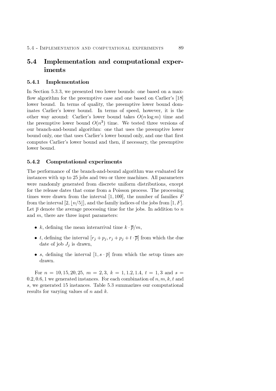## 5.4 Implementation and computational experiments

#### 5.4.1 Implementation

In Section 5.3.3, we presented two lower bounds: one based on a maxflow algorithm for the preemptive case and one based on Carlier's [18] lower bound. In terms of quality, the preemptive lower bound dominates Carlier's lower bound. In terms of speed, however, it is the other way around: Carlier's lower bound takes  $O(n \log m)$  time and the preemptive lower bound  $O(n^3)$  time. We tested three versions of our branch-and-bound algorithm: one that uses the preemptive lower bound only, one that uses Carlier's lower bound only, and one that first computes Carlier's lower bound and then, if necessary, the preemptive lower bound.

#### 5.4.2 Computational experiments

The performance of the branch-and-bound algorithm was evaluated for instances with up to 25 jobs and two or three machines. All parameters were randomly generated from discrete uniform distributions, except for the release dates that come from a Poisson process. The processing times were drawn from the interval  $[1, 100]$ , the number of families  $F$ from the interval [2,  $\lfloor n/5 \rfloor$ ], and the family indices of the jobs from [1, F]. Let  $\bar{p}$  denote the average processing time for the jobs. In addition to n and  $m$ , there are three input parameters:

- k, defining the mean interarrival time  $k \cdot \overline{p}/m$ ,
- t, defining the interval  $[r_j + p_j, r_j + p_j + t \cdot \overline{p}]$  from which the due date of job  $J_j$  is drawn,
- s, defining the interval  $[1, s \cdot \overline{p}]$  from which the setup times are drawn.

For  $n = 10, 15, 20, 25, m = 2, 3, k = 1, 1.2, 1.4, t = 1, 3$  and  $s =$ 0.2, 0.6, 1 we generated instances. For each combination of  $n, m, k, t$  and s, we generated 15 instances. Table 5.3 summarizes our computational results for varying values of  $n$  and  $k$ .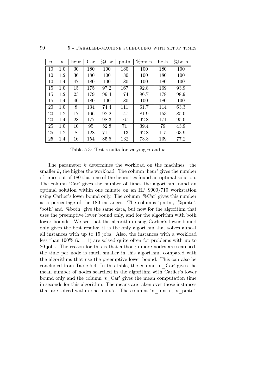| $\boldsymbol{n}$ | k   | heur | Car | $\%$ Car | pmtn | %pmtn | $_{\text{both}}$ | %both |
|------------------|-----|------|-----|----------|------|-------|------------------|-------|
| 10               | 1.0 | 30   | 180 | 100      | 180  | 100   | 180              | 100   |
| 10               | 1.2 | 36   | 180 | 100      | 180  | 100   | 180              | 100   |
| 10               | 1.4 | 47   | 180 | 100      | 180  | 100   | 180              | 100   |
| 15               | 1.0 | 15   | 175 | 97.2     | 167  | 92.8  | 169              | 93.9  |
| 15               | 1.2 | 23   | 179 | 99.4     | 174  | 96.7  | 178              | 98.9  |
| 15               | 1.4 | 40   | 180 | 100      | 180  | 100   | 180              | 100   |
| 20               | 1.0 | 8    | 134 | 74.4     | 111  | 61.7  | 114              | 63.3  |
| 20               | 1.2 | 17   | 166 | 92.2     | 147  | 81.9  | 153              | 85.0  |
| 20               | 1.4 | 28   | 177 | 98.3     | 167  | 92.8  | 171              | 95.0  |
| 25               | 1.0 | 10   | 95  | 52.8     | 71   | 39.4  | 79               | 43.9  |
| 25               | 1.2 | 8    | 128 | 71.1     | 113  | 62.8  | 115              | 63.9  |
| 25               | 1.4 | 16   | 154 | 85.6     | 132  | 73.3  | 139              | 77.2  |

Table 5.3: Test results for varying  $n$  and  $k$ .

The parameter  $k$  determines the workload on the machines: the smaller  $k$ , the higher the workload. The column 'heur' gives the number of times out of 180 that one of the heuristics found an optimal solution. The column 'Car' gives the number of times the algorithm found an optimal solution within one minute on an HP 9000/710 workstation using Carlier's lower bound only. The column '%Car' gives this number as a percentage of the 180 instances. The columns 'pmtn', '%pmtn', 'both' and '%both' give the same data, but now for the algorithm that uses the preemptive lower bound only, and for the algorithm with both lower bounds. We see that the algorithm using Carlier's lower bound only gives the best results: it is the only algorithm that solves almost all instances with up to 15 jobs. Also, the instances with a workload less than 100%  $(k = 1)$  are solved quite often for problems with up to 20 jobs. The reason for this is that although more nodes are searched, the time per node is much smaller in this algorithm, compared with the algorithms that use the preemptive lower bound. This can also be concluded from Table 5.4. In this table, the column 'n\_Car' gives the mean number of nodes searched in the algorithm with Carlier's lower bound only and the column 's\_Car' gives the mean computation time in seconds for this algorithm. The means are taken over those instances that are solved within one minute. The columns 'n\_pmtn', 's\_pmtn',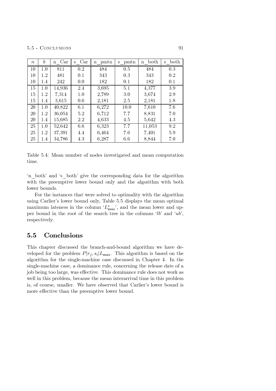#### 5.5 - CONCLUSIONS 91

| $\,n$ | $\boldsymbol{k}$ | Car<br>$\mathbf n$ | Car<br>$S_{-}$ | pmtn<br>$\mathbf n$ | pmtn<br>$S_{-}$ | both<br>n | both<br>S. |
|-------|------------------|--------------------|----------------|---------------------|-----------------|-----------|------------|
| 10    | 1.0              | 811                | 0.2            | 484                 | 0.5             | 484       | 0.3        |
| 10    | $1.2\,$          | 481                | 0.1            | 343                 | 0.3             | 343       | 0.2        |
| 10    | 1.4              | 242                | 0.0            | 182                 | 0.1             | 182       | 0.1        |
| 15    | 1.0              | 14,936             | 2.4            | 3,695               | 5.1             | 4,377     | 3.9        |
| 15    | 1.2              | 7,314              | 1.0            | 2,789               | 3.0             | 3,674     | 2.9        |
| 15    | 1.4              | 3,615              | 0.6            | 2,181               | 2.5             | 2,181     | 1.8        |
| 20    | 1.0              | 40,822             | 6.1            | 6,272               | 10.0            | 7,610     | 7.6        |
| 20    | 1.2              | 36,054             | 5.2            | 6,712               | 7.7             | 8,831     | 7.0        |
| 20    | 1.4              | 15,685             | 2.2            | 4,633               | 4.5             | 5,642     | 4.3        |
| 25    | 1.0              | 52,642             | 6.6            | 6,323               | 7.7             | 11,053    | 9.2        |
| 25    | 1.2              | 37,391             | 4.4            | 6,464               | 7.6             | 7,401     | 5.9        |
| 25    | 1.4              | 34,786             | 4.3            | 6,287               | 6.6             | 8,844     | 7.0        |

Table 5.4: Mean number of nodes investigated and mean computation time.

'n\_both' and 's\_both' give the corresponding data for the algorithm with the preemptive lower bound only and the algorithm with both lower bounds.

For the instances that were solved to optimality with the algorithm using Carlier's lower bound only, Table 5.5 displays the mean optimal maximum lateness in the column ' $L_{\text{max}}^*$ ', and the mean lower and upper bound in the root of the search tree in the columns  $'b'$  and  $'ub'$ , respectively.

## 5.5 Conclusions

This chapter discussed the branch-and-bound algorithm we have developed for the problem  $P|r_j, s_i|L_{\text{max}}$ . This algorithm is based on the algorithm for the single-machine case discussed in Chapter 4. In the single-machine case, a dominance rule, concerning the release date of a job being too large, was effective. This dominance rule does not work as well in this problem, because the mean interarrival time in this problem is, of course, smaller. We have observed that Carlier's lower bound is more effective than the preemptive lower bound.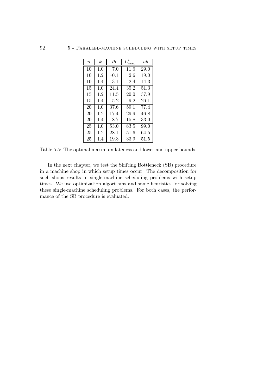| $\boldsymbol{n}$ | $\boldsymbol{k}$ | lb     | $L_{\max }^{*}$ | иb   |
|------------------|------------------|--------|-----------------|------|
| 10               | 1.0              | 7.0    | 11.6            | 29.0 |
| 10               | 1.2              | $-0.1$ | 2.6             | 19.0 |
| 10               | 1.4              | $-3.1$ | $-2.4$          | 14.3 |
| 15               | 1.0              | 24.4   | 35.2            | 51.3 |
| 15               | 1.2              | 11.5   | 20.0            | 37.9 |
| 15               | 1.4              | 5.2    | 9.2             | 26.1 |
| 20               | 1.0              | 37.6   | 59.1            | 77.4 |
| 20               | 1.2              | 17.4   | 29.9            | 46.8 |
| 20               | 1.4              | 8.7    | 15.8            | 33.0 |
| 25               | 1.0              | 53.0   | 83.5            | 99.0 |
| 25               | $1.2\,$          | 28.1   | 51.6            | 64.5 |
| 25               | 1.4              | 19.3   | 33.9            | 51.5 |

Table 5.5: The optimal maximum lateness and lower and upper bounds.

In the next chapter, we test the Shifting Bottleneck (SB) procedure in a machine shop in which setup times occur. The decomposition for such shops results in single-machine scheduling problems with setup times. We use optimization algorithms and some heuristics for solving these single-machine scheduling problems. For both cases, the performance of the SB procedure is evaluated.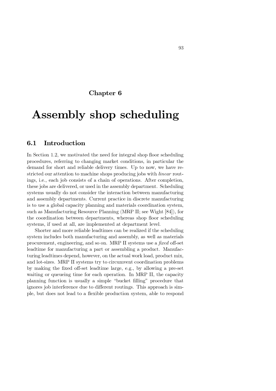## Chapter 6

# Assembly shop scheduling

## 6.1 Introduction

In Section 1.2, we motivated the need for integral shop floor scheduling procedures, referring to changing market conditions, in particular the demand for short and reliable delivery times. Up to now, we have restricted our attention to machine shops producing jobs with linear routings, i.e., each job consists of a chain of operations. After completion, these jobs are delivered, or used in the assembly department. Scheduling systems usually do not consider the interaction between manufacturing and assembly departments. Current practice in discrete manufacturing is to use a global capacity planning and materials coordination system, such as Manufacturing Resource Planning (MRP II; see Wight [84]), for the coordination between departments, whereas shop floor scheduling systems, if used at all, are implemented at department level.

Shorter and more reliable leadtimes can be realized if the scheduling system includes both manufacturing and assembly, as well as materials procurement, engineering, and so on. MRP II systems use a fixed off-set leadtime for manufacturing a part or assembling a product. Manufacturing leadtimes depend, however, on the actual work load, product mix, and lot-sizes. MRP II systems try to circumvent coordination problems by making the fixed off-set leadtime large, e.g., by allowing a pre-set waiting or queueing time for each operation. In MRP II, the capacity planning function is usually a simple "bucket filling" procedure that ignores job interference due to different routings. This approach is simple, but does not lead to a flexible production system, able to respond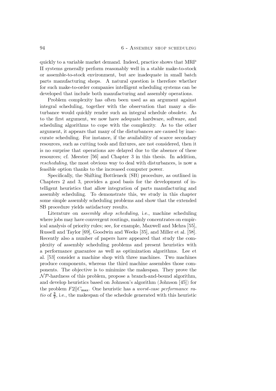quickly to a variable market demand. Indeed, practice shows that MRP II systems generally perform reasonably well in a stable make-to-stock or assemble-to-stock environment, but are inadequate in small batch parts manufacturing shops. A natural question is therefore whether for such make-to-order companies intelligent scheduling systems can be developed that include both manufacturing and assembly operations.

Problem complexity has often been used as an argument against integral scheduling, together with the observation that many a disturbance would quickly render such an integral schedule obsolete. As to the first argument, we now have adequate hardware, software, and scheduling algorithms to cope with the complexity. As to the other argument, it appears that many of the disturbances are caused by inaccurate scheduling. For instance, if the availability of scarce secondary resources, such as cutting tools and fixtures, are not considered, then it is no surprise that operations are delayed due to the absence of these resources; cf. Meester [56] and Chapter 3 in this thesis. In addition, rescheduling, the most obvious way to deal with disturbances, is now a feasible option thanks to the increased computer power.

Specifically, the Shifting Bottleneck (SB) procedure, as outlined in Chapters 2 and 3, provides a good basis for the development of intelligent heuristics that allow integration of parts manufacturing and assembly scheduling. To demonstrate this, we study in this chapter some simple assembly scheduling problems and show that the extended SB procedure yields satisfactory results.

Literature on assembly shop scheduling, i.e., machine scheduling where jobs may have convergent routings, mainly concentrates on empirical analysis of priority rules; see, for example, Maxwell and Mehra [55], Russell and Taylor [69], Goodwin and Weeks [35], and Miller et al. [58]. Recently also a number of papers have appeared that study the complexity of assembly scheduling problems and present heuristics with a performance guarantee as well as optimization algorithms. Lee et al. [53] consider a machine shop with three machines. Two machines produce components, whereas the third machine assembles those components. The objective is to minimize the makespan. They prove the  $\mathcal{NP}$ -hardness of this problem, propose a branch-and-bound algorithm, and develop heuristics based on Johnson's algorithm (Johnson [45]) for the problem  $F2||C_{\text{max}}$ . One heuristic has a *worst-case performance ra*tio of  $\frac{3}{2}$ , i.e., the makespan of the schedule generated with this heuristic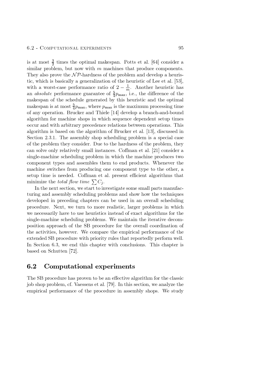is at most  $\frac{3}{2}$  times the optimal makespan. Potts et al. [64] consider a similar problem, but now with  $m$  machines that produce components. They also prove the  $\mathcal{NP}$ -hardness of the problem and develop a heuristic, which is basically a generalization of the heuristic of Lee et al. [53], with a worst-case performance ratio of  $2 - \frac{1}{m}$ . Another heuristic has an *absolute* performance guarantee of  $\frac{5}{4}p_{\text{max}}$ , i.e., the difference of the makespan of the schedule generated by this heuristic and the optimal makespan is at most  $\frac{5}{4}p_{\text{max}}$ , where  $p_{\text{max}}$  is the maximum processing time of any operation. Brucker and Thiele [14] develop a branch-and-bound algorithm for machine shops in which sequence dependent setup times occur and with arbitrary precedence relations between operations. This algorithm is based on the algorithm of Brucker et al. [13], discussed in Section 2.3.1. The assembly shop scheduling problem is a special case of the problem they consider. Due to the hardness of the problem, they can solve only relatively small instances. Coffman et al. [21] consider a single-machine scheduling problem in which the machine produces two component types and assembles them to end products. Whenever the machine switches from producing one component type to the other, a setup time is needed. Coffman et al. present efficient algorithms that minimize the *total flow time*  $\sum C_j$ .

In the next section, we start to investigate some small parts manufacturing and assembly scheduling problems and show how the techniques developed in preceding chapters can be used in an overall scheduling procedure. Next, we turn to more realistic, larger problems in which we necessarily have to use heuristics instead of exact algorithms for the single-machine scheduling problems. We maintain the iterative decomposition approach of the SB procedure for the overall coordination of the activities, however. We compare the empirical performance of the extended SB procedure with priority rules that reportedly perform well. In Section 6.3, we end this chapter with conclusions. This chapter is based on Schutten [72].

## 6.2 Computational experiments

The SB procedure has proven to be an effective algorithm for the classic job shop problem, cf. Vaessens et al. [79]. In this section, we analyze the empirical performance of the procedure in assembly shops. We study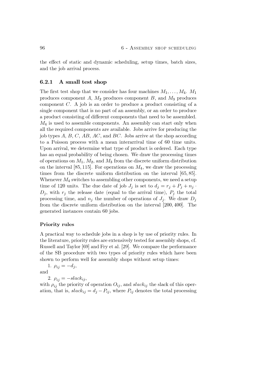the effect of static and dynamic scheduling, setup times, batch sizes, and the job arrival process.

#### 6.2.1 A small test shop

The first test shop that we consider has four machines  $M_1, \ldots, M_4$ .  $M_1$ produces component  $A$ ,  $M_2$  produces component  $B$ , and  $M_3$  produces component C. A job is an order to produce a product consisting of a single component that is no part of an assembly, or an order to produce a product consisting of different components that need to be assembled.  $M_4$  is used to assemble components. An assembly can start only when all the required components are available. Jobs arrive for producing the job types  $A, B, C, AB, AC$ , and  $BC$ . Jobs arrive at the shop according to a Poisson process with a mean interarrival time of 60 time units. Upon arrival, we determine what type of product is ordered. Each type has an equal probability of being chosen. We draw the processing times of operations on  $M_1$ ,  $M_2$ , and  $M_3$  from the discrete uniform distribution on the interval [85, 115]. For operations on  $M_4$ , we draw the processing times from the discrete uniform distribution on the interval [65, 85]. Whenever  $M_4$  switches to assembling other components, we need a setup time of 120 units. The due date of job  $J_i$  is set to  $d_i = r_i + P_i + n_i$ .  $D_i$ , with  $r_i$  the release date (equal to the arrival time),  $P_i$  the total processing time, and  $n_i$  the number of operations of  $J_i$ . We draw  $D_i$ from the discrete uniform distribution on the interval [200, 400]. The generated instances contain 60 jobs.

#### Priority rules

A practical way to schedule jobs in a shop is by use of priority rules. In the literature, priority rules are extensively tested for assembly shops, cf. Russell and Taylor [69] and Fry et al. [29]. We compare the performance of the SB procedure with two types of priority rules which have been shown to perform well for assembly shops without setup times:

1.  $\rho_{ij} = -d_j$ , and

2.  $\rho_{ij} = -slack_{ij},$ with  $\rho_{ij}$  the priority of operation  $O_{ij}$ , and slack<sub>ij</sub> the slack of this operation, that is,  $slack_{ij} = d_j - P_{ij}$ , where  $P_{ij}$  denotes the total processing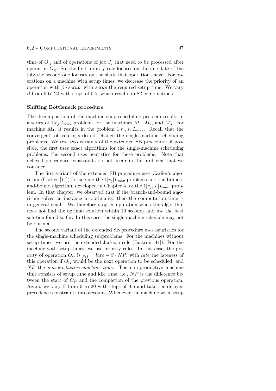time of  $O_{ij}$  and of operations of job  $J_j$  that need to be processed after operation  $O_{ij}$ . So, the first priority rule focuses on the due date of the job; the second one focuses on the slack that operations have. For operations on a machine with setup times, we decrease the priority of an operation with  $\beta \cdot setup$ , with setup the required setup time. We vary  $\beta$  from 0 to 20 with steps of 0.5, which results in 82 combinations.

#### Shifting Bottleneck procedure

The decomposition of the machine shop scheduling problem results in a series of  $1|r_j|L_{\text{max}}$  problems for the machines  $M_1$ ,  $M_2$ , and  $M_3$ . For machine  $M_4$ , it results in the problem  $1|r_i, s_i|L_{\text{max}}$ . Recall that the convergent job routings do not change the single-machine scheduling problems. We test two variants of the extended SB procedure: if possible, the first uses exact algorithms for the single-machine scheduling problems; the second uses heuristics for these problems. Note that delayed precedence constraints do not occur in the problems that we consider.

The first variant of the extended SB procedure uses Carlier's algorithm (Carlier [17]) for solving the  $1|r_j|L_{\text{max}}$  problems and the branchand-bound algorithm developed in Chapter 4 for the  $1|r_i, s_i|L_{\text{max}}$  problem. In that chapter, we observed that if the branch-and-bound algorithm solves an instance to optimality, then the computation time is in general small. We therefore stop computation when the algorithm does not find the optimal solution within 10 seconds and use the best solution found so far. In this case, the single-machine schedule may not be optimal.

The second variant of the extended SB procedure uses heuristics for the single-machine scheduling subproblems. For the machines without setup times, we use the extended Jackson rule (Jackson [44]). For the machine with setup times, we use priority rules. In this case, the priority of operation  $O_{ij}$  is  $\rho_{ij} = late - \beta \cdot NP$ , with *late* the lateness of this operation if  $O_{ij}$  would be the next operation to be scheduled, and NP the non-productive machine time. The non-productive machine time consists of setup time and idle time, i.e.,  $NP$  is the difference between the start of  $O_{ij}$  and the completion of the previous operation. Again, we vary  $\beta$  from 0 to 20 with steps of 0.5 and take the delayed precedence constraints into account. Whenever the machine with setup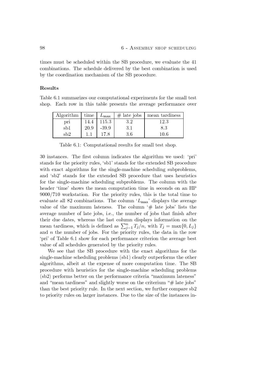times must be scheduled within the SB procedure, we evaluate the 41 combinations. The schedule delivered by the best combination is used by the coordination mechanism of the SB procedure.

#### Results

Table 6.1 summarizes our computational experiments for the small test shop. Each row in this table presents the average performance over

| Algorithm $\vert$ time |      | $L_{\rm max}$ |     | $\#$ late jobs   mean tardiness |
|------------------------|------|---------------|-----|---------------------------------|
| pri                    | 14.4 | 115.3         | 32  | 12.3                            |
| sb1                    | 20.9 | $-39.9$       | 3.1 | 83                              |
| sh2                    |      |               | 3.6 | 10.6                            |

Table 6.1: Computational results for small test shop.

30 instances. The first column indicates the algorithm we used: 'pri' stands for the priority rules, 'sb1' stands for the extended SB procedure with exact algorithms for the single-machine scheduling subproblems, and 'sb2' stands for the extended SB procedure that uses heuristics for the single-machine scheduling subproblems. The column with the header 'time' shows the mean computation time in seconds on an HP 9000/710 workstation. For the priority rules, this is the total time to evaluate all 82 combinations. The column ' $L_{\text{max}}$ ' displays the average value of the maximum lateness. The column  $#$  late jobs' lists the average number of late jobs, i.e., the number of jobs that finish after their due dates, whereas the last column displays information on the mean tardiness, which is defined as  $\sum_{j=1}^{n} T_j/n$ , with  $T_j = \max\{0, L_j\}$ <br>and n the number of jobs. For the priority rules, the data in the row and  $n$  the number of jobs. For the priority rules, the data in the row 'pri' of Table 6.1 show for each performance criterion the average best value of all schedules generated by the priority rules.

We see that the SB procedure with the exact algorithms for the single-machine scheduling problems (sb1) clearly outperforms the other algorithms, albeit at the expense of more computation time. The SB procedure with heuristics for the single-machine scheduling problems (sb2) performs better on the performance criteria "maximum lateness" and "mean tardiness" and slightly worse on the criterium "# late jobs" than the best priority rule. In the next section, we further compare sb2 to priority rules on larger instances. Due to the size of the instances in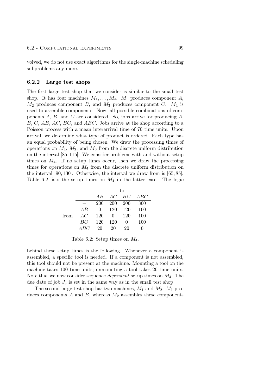volved, we do not use exact algorithms for the single-machine scheduling subproblems any more.

#### 6.2.2 Large test shops

The first large test shop that we consider is similar to the small test shop. It has four machines  $M_1, \ldots, M_4$ .  $M_1$  produces component A,  $M_2$  produces component B, and  $M_3$  produces component C.  $M_4$  is used to assemble components. Now, all possible combinations of components  $A, B$ , and  $C$  are considered. So, jobs arrive for producing  $A$ , B, C, AB, AC, BC, and ABC. Jobs arrive at the shop according to a Poisson process with a mean interarrival time of 70 time units. Upon arrival, we determine what type of product is ordered. Each type has an equal probability of being chosen. We draw the processing times of operations on  $M_1$ ,  $M_2$ , and  $M_3$  from the discrete uniform distribution on the interval [85, 115]. We consider problems with and without setup times on  $M_4$ . If no setup times occur, then we draw the processing times for operations on  $M_4$  from the discrete uniform distribution on the interval [90, 130]. Otherwise, the interval we draw from is [65, 85]. Table 6.2 lists the setup times on  $M_4$  in the latter case. The logic

|      |    |          |            | to        |     |
|------|----|----------|------------|-----------|-----|
|      |    | AB       |            | $AC$ $BC$ | ABC |
|      |    | 200      | <b>200</b> | - 200     | 300 |
|      | AB | $\theta$ | 120        | 120       | 100 |
| from | AC | 120      | $\theta$   | 120       | 100 |
|      | BС | 120      | 120        | $\theta$  | 100 |
|      |    | 20       | 20         | 20        |     |

Table 6.2: Setup times on  $M_4$ .

behind these setup times is the following. Whenever a component is assembled, a specific tool is needed. If a component is not assembled, this tool should not be present at the machine. Mounting a tool on the machine takes 100 time units; unmounting a tool takes 20 time units. Note that we now consider sequence *dependent* setup times on  $M_4$ . The due date of job  $J_i$  is set in the same way as in the small test shop.

The second large test shop has two machines,  $M_1$  and  $M_2$ .  $M_1$  produces components  $A$  and  $B$ , whereas  $M_2$  assembles these components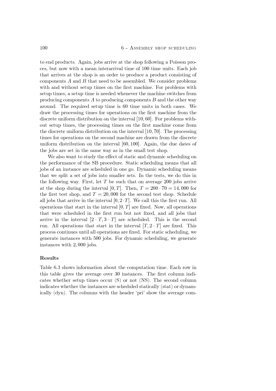to end products. Again, jobs arrive at the shop following a Poisson proces, but now with a mean interarrival time of 100 time units. Each job that arrives at the shop is an order to produce a product consisting of components  $A$  and  $B$  that need to be assembled. We consider problems with and without setup times on the first machine. For problems with setup times, a setup time is needed whenever the machine switches from producing components  $A$  to producing components  $B$  and the other way around. The required setup time is 60 time units in both cases. We draw the processing times for operations on the first machine from the discrete uniform distribution on the interval [10, 60]. For problems without setup times, the processing times on the first machine come from the discrete uniform distribution on the interval [10, 70]. The processing times for operations on the second machine are drawn from the discrete uniform distribution on the interval [60, 100]. Again, the due dates of the jobs are set in the same way as in the small test shop.

We also want to study the effect of static and dynamic scheduling on the performance of the SB procedure. Static scheduling means that all jobs of an instance are scheduled in one go. Dynamic scheduling means that we split a set of jobs into smaller sets. In the tests, we do this in the following way. First, let  $T$  be such that on average 200 jobs arrive at the shop during the interval [0, T]. Then,  $T = 200 \cdot 70 = 14,000$  for the first test shop, and  $T = 20,000$  for the second test shop. Schedule all jobs that arrive in the interval  $[0, 2 \cdot T]$ . We call this the first run. All operations that start in the interval  $[0, T]$  are fixed. Now, all operations that were scheduled in the first run but not fixed, and all jobs that arrive in the interval  $[2 \cdot T, 3 \cdot T]$  are scheduled. This is the second run. All operations that start in the interval  $[T, 2 \cdot T]$  are fixed. This process continues until all operations are fixed. For static scheduling, we generate instances with 500 jobs. For dynamic scheduling, we generate instances with 2, 000 jobs.

#### Results

Table 6.3 shows information about the computation time. Each row in this table gives the average over 30 instances. The first column indicates whether setup times occur (S) or not (NS). The second column indicates whether the instances are scheduled statically (stat) or dynamically (dyn). The columns with the header 'pri' show the average com-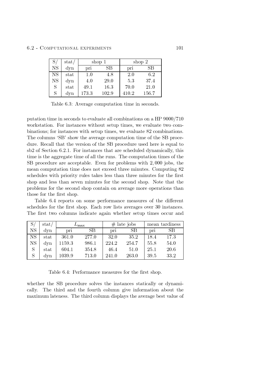| S/        | $\text{stat}/$ | shop $1$ |       |       | shop $2$  |
|-----------|----------------|----------|-------|-------|-----------|
| <b>NS</b> | dyn            | pri      | SB    | pri   | <b>SB</b> |
| <b>NS</b> | stat           | 1.0      | 4.8   | 2.0   | 6.2       |
| <b>NS</b> | $\rm dyn$      | 4.0      | 29.0  | 5.3   | 37.4      |
| S         | stat           | 49.1     | 16.3  | 70.0  | 21.0      |
| S         | dyn            | 173.3    | 102.9 | 410.2 | 156.7     |
|           |                |          |       |       |           |

Table 6.3: Average computation time in seconds.

putation time in seconds to evaluate all combinations on a HP 9000/710 workstation. For instances without setup times, we evaluate two combinations; for instances with setup times, we evaluate 82 combinations. The columns 'SB' show the average computation time of the SB procedure. Recall that the version of the SB procedure used here is equal to sb2 of Section 6.2.1. For instances that are scheduled dynamically, this time is the aggregate time of all the runs. The computation times of the SB procedure are acceptable. Even for problems with 2, 000 jobs, the mean computation time does not exceed three minutes. Computing 82 schedules with priority rules takes less than three minutes for the first shop and less than seven minutes for the second shop. Note that the problems for the second shop contain on average more operations than those for the first shop.

Table 6.4 reports on some performance measures of the different schedules for the first shop. Each row lists averages over 30 instances. The first two columns indicate again whether setup times occur and

| $#$ late jobs<br>stat/<br>$L_{\rm max}$       | mean tardiness        |
|-----------------------------------------------|-----------------------|
| <b>NS</b><br>SB<br>$_{\rm dyn}$<br>pri<br>pri | SB<br>SB<br>pri       |
| <b>NS</b><br>32.0<br>277.0<br>361.0<br>stat   | 17.3<br>35.2<br>18.4  |
| <b>NS</b><br>986.1<br>1159.3<br>224.2<br>dvn  | 254.7<br>55.8<br>54.0 |
| S<br>354.8<br>46.4<br>604.1<br>stat           | 20.6<br>25.1<br>51.0  |
| S<br>713.0<br>1039.9<br>241.0<br>dvn          | 33.2<br>263.0<br>39.5 |

Table 6.4: Performance measures for the first shop.

whether the SB procedure solves the instances statically or dynamically. The third and the fourth column give information about the maximum lateness. The third column displays the average best value of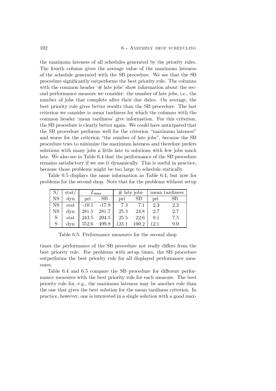the maximum lateness of all schedules generated by the priority rules. The fourth column gives the average value of the maximum lateness of the schedule generated with the SB procedure. We see that the SB procedure significantly outperforms the best priority rule. The columns with the common header  $#$  late jobs' show information about the second performance measure we consider: the number of late jobs, i.e., the number of jobs that complete after their due dates. On average, the best priority rule gives better results than the SB procedure. The last criterion we consider is mean tardiness for which the columns with the common header 'mean tardiness' give information. For this criterion, the SB procedure is clearly better again. We could have anticipated that the SB procedure performs well for the criterion "maximum lateness" and worse for the criterion "the number of late jobs", because the SB procedure tries to minimize the maximum lateness and therefore prefers solutions with many jobs a little late to solutions with few jobs much late. We also see in Table 6.4 that the performance of the SB procedure remains satisfactory if we use it dynamically. This is useful in practice, because those problems might be too large to schedule statically.

Table 6.5 displays the same information as Table 6.4, but now for problems for the second shop. Note that for the problems without setup

| S         | $\text{stat}/$ | $\rm \nu_{max}$ |         | $#$ late jobs |       |      | mean tardiness |
|-----------|----------------|-----------------|---------|---------------|-------|------|----------------|
| <b>NS</b> | dyn            | pri             | SВ      | pri           | SB    | pri  | SВ             |
| <b>NS</b> | stat           | $-10.5$         | $-17.9$ | 7.3           | 7.1   | 2.3  | 2.2            |
| <b>NS</b> | $\mathrm{dyn}$ | 281.5           | 281.7   | 25.3          | 24.8  | 2.7  | 2.7            |
| S         | stat           | 243.5           | 204.5   | 25.5          | 22.6  | 9.1  | 7.5            |
| S         | dvn            | 552.6           | 499.8   | 123.1         | 100.2 | 12.1 | 9.0            |
|           |                |                 |         |               |       |      |                |

Table 6.5: Performance measures for the second shop.

times the performance of the SB procedure not really differs from the best priority rule. For problems with setup times, the SB procedure outperforms the best priority rule for all displayed performance measures.

Table 6.4 and 6.5 compare the SB procedure for different performance measures with the best priority rule for each measure. The best priority rule for, e.g., the maximum lateness may be another rule than the one that gives the best solution for the mean tardiness criterion. In practice, however, one is interested in a single solution with a good max-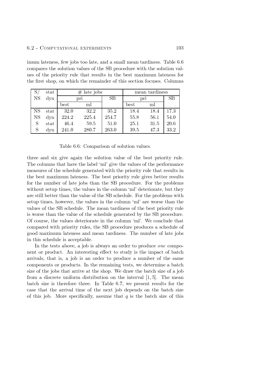#### 6.2 - COMPUTATIONAL EXPERIME

imum lateness, few jobs too late, and a small mean tardiness. Table 6.6 compares the solution values of the SB procedure with the solution values of the priority rule that results in the best maximum lateness for the first shop, on which the remainder of this section focuses. Columns

| S         | stat |       | $#$ late jobs |           |      | mean tardiness |           |
|-----------|------|-------|---------------|-----------|------|----------------|-----------|
| <b>NS</b> | dyn  |       | pri           | <b>SB</b> | pri  |                | <b>SB</b> |
|           |      | best  | ml            |           | best | ml             |           |
| <b>NS</b> | stat | 32.0  | 32.2          | 35.2      | 18.4 | 18.4           | 17.3      |
| <b>NS</b> | dyn  | 224.2 | 225.4         | 254.7     | 55.8 | 56.1           | 54.0      |
| S         | stat | 46.4  | 59.5          | 51.0      | 25.1 | 31.5           | 20.6      |
| S         | dyn  | 241.0 | 280.7         | 263.0     | 39.5 | 47.3           | 33.2      |

Table 6.6: Comparison of solution values.

three and six give again the solution value of the best priority rule. The columns that have the label 'ml' give the values of the performance measures of the schedule generated with the priority rule that results in the best maximum lateness. The best priority rule gives better results for the number of late jobs than the SB procedure. For the problems without setup times, the values in the column 'ml' deteriorate, but they are still better than the value of the SB schedule. For the problems with setup times, however, the values in the column 'ml' are worse than the values of the SB schedule. The mean tardiness of the best priority rule is worse than the value of the schedule generated by the SB procedure. Of course, the values deteriorate in the column 'ml'. We conclude that compared with priority rules, the SB procedure produces a schedule of good maximum lateness and mean tardiness. The number of late jobs in this schedule is acceptable.

In the tests above, a job is always an order to produce one component or product. An interesting effect to study is the impact of batch arrivals, that is, a job is an order to produce a number of the same components or products. In the remaining tests, we determine a batch size of the jobs that arrive at the shop. We draw the batch size of a job from a discrete uniform distribution on the interval [1, 5]. The mean batch size is therefore three. In Table 6.7, we present results for the case that the arrival time of the next job depends on the batch size of this job. More specifically, assume that  $q$  is the batch size of this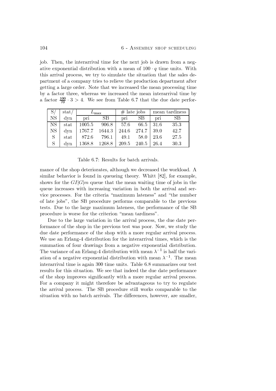job. Then, the interarrival time for the next job is drawn from a negative exponential distribution with a mean of  $100 \cdot q$  time units. With this arrival process, we try to simulate the situation that the sales department of a company tries to relieve the production department after getting a large order. Note that we increased the mean processing time by a factor three, whereas we increased the mean interarrival time by a factor  $\frac{100}{70} \cdot 3 > 4$ . We see from Table 6.7 that the due date perfor-

|             | $\text{stat}/$ |        | $\rm \nu_{max}$ |       | $#$ late jobs |      | mean tardiness |
|-------------|----------------|--------|-----------------|-------|---------------|------|----------------|
| $_{\rm NS}$ | dyn            | pri    | SB.             | pri   | <b>SB</b>     | pri  | SВ             |
| <b>NS</b>   | stat           | 1005.5 | 906.8           | 57.6  | 66.5          | 31.6 | 35.3           |
| <b>NS</b>   | $\mathrm{dyn}$ | 1767.7 | 1644.3          | 244.6 | 274.7         | 39.0 | 42.7           |
| S           | stat           | 872.6  | 796.1           | 49.1  | 58.0          | 23.6 | 27.5           |
| S           | dvn            | 1368.8 | 1268.8          | 209.5 | 240.5         | 26.4 | 30.3           |
|             |                |        |                 |       |               |      |                |

Table 6.7: Results for batch arrivals.

mance of the shop deteriorates, although we decreased the workload. A similar behavior is found in queueing theory. Whitt [82], for example, shows for the  $GI|G|m$  queue that the mean waiting time of jobs in the queue increases with increasing variation in both the arrival and service processes. For the criteria "maximum lateness" and "the number of late jobs", the SB procedure performs comparable to the previous tests. Due to the large maximum lateness, the performance of the SB procedure is worse for the criterion "mean tardiness".

Due to the large variation in the arrival process, the due date performance of the shop in the previous test was poor. Now, we study the due date performance of the shop with a more regular arrival process. We use an Erlang-4 distribution for the interarrival times, which is the summation of four drawings from a negative exponential distribution. The variance of an Erlang-4 distribution with mean  $\lambda^{-1}$  is half the variation of a negative exponential distribution with mean  $\lambda^{-1}$ . The mean interarrival time is again 300 time units. Table 6.8 summarizes our test results for this situation. We see that indeed the due date performance of the shop improves significantly with a more regular arrival process. For a company it might therefore be advantageous to try to regulate the arrival process. The SB procedure still works comparable to the situation with no batch arrivals. The differences, however, are smaller,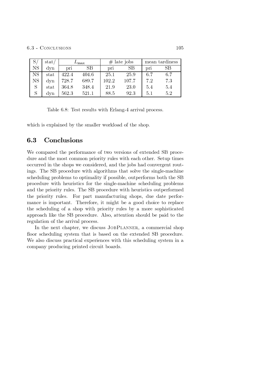#### 6.3 - CONCLUSIONS 105

|           | stat/ |       | $L_{\rm max}$ |       | $#$ late jobs |     | mean tardiness |
|-----------|-------|-------|---------------|-------|---------------|-----|----------------|
| <b>NS</b> | dyn   | pri   | SВ            | pri   | SB            | pri | SВ             |
| <b>NS</b> | stat  | 422.4 | 404.6         | 25.1  | 25.9          | 6.7 | 6.7            |
| <b>NS</b> | dyn   | 728.7 | 689.7         | 102.2 | 107.7         | 7.2 | 7.3            |
| S         | stat  | 364.8 | 348.4         | 21.9  | 23.0          | 5.4 | 5.4            |
| S         | dvn   | 562.3 | 521.1         | 88.5  | 92.3          | 5.1 | 5.2            |

Table 6.8: Test results with Erlang-4 arrival process.

which is explained by the smaller workload of the shop.

# 6.3 Conclusions

We compared the performance of two versions of extended SB procedure and the most common priority rules with each other. Setup times occurred in the shops we considered, and the jobs had convergent routings. The SB procedure with algorithms that solve the single-machine scheduling problems to optimality if possible, outperforms both the SB procedure with heuristics for the single-machine scheduling problems and the priority rules. The SB procedure with heuristics outperformed the priority rules. For part manufacturing shops, due date performance is important. Therefore, it might be a good choice to replace the scheduling of a shop with priority rules by a more sophisticated approach like the SB procedure. Also, attention should be paid to the regulation of the arrival process.

In the next chapter, we discuss JOBPLANNER, a commercial shop floor scheduling system that is based on the extended SB procedure. We also discuss practical experiences with this scheduling system in a company producing printed circuit boards.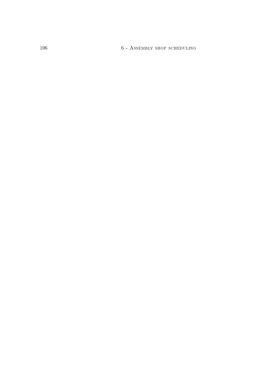106 6 - ASSEMBLY SHOP SCHEDULING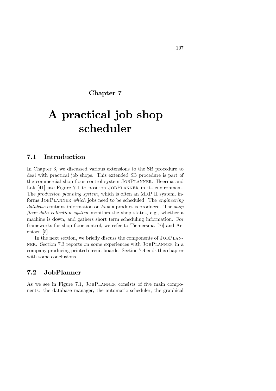Chapter 7

# A practical job shop scheduler

# 7.1 Introduction

In Chapter 3, we discussed various extensions to the SB procedure to deal with practical job shops. This extended SB procedure is part of the commercial shop floor control system JOBPLANNER. Heerma and Lok [41] use Figure 7.1 to position JOBPLANNER in its environment. The *production planning system*, which is often an MRP II system, informs JOBPLANNER which jobs need to be scheduled. The engineering database contains information on how a product is produced. The shop floor data collection system monitors the shop status, e.g., whether a machine is down, and gathers short term scheduling information. For frameworks for shop floor control, we refer to Tiemersma [76] and Arentsen [5].

In the next section, we briefly discuss the components of JOBPLAN-NER. Section 7.3 reports on some experiences with JOBPLANNER in a company producing printed circuit boards. Section 7.4 ends this chapter with some conclusions.

# 7.2 JobPlanner

As we see in Figure 7.1, JOBPLANNER consists of five main components: the database manager, the automatic scheduler, the graphical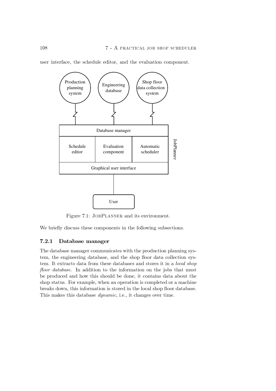

user interface, the schedule editor, and the evaluation component.

Figure 7.1: JOBPLANNER and its environment.

We briefly discuss these components in the following subsections.

#### 7.2.1 Database manager

The database manager communicates with the production planning system, the engineering database, and the shop floor data collection system. It extracts data from these databases and stores it in a local shop floor database. In addition to the information on the jobs that must be produced and how this should be done, it contains data about the shop status. For example, when an operation is completed or a machine breaks down, this information is stored in the local shop floor database. This makes this database dynamic, i.e., it changes over time.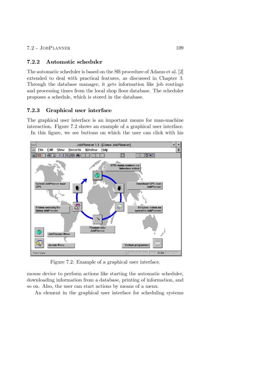#### 7.2.2 Automatic scheduler

The automatic scheduler is based on the SB procedure of Adams et al. [2] extended to deal with practical features, as discussed in Chapter 3. Through the database manager, it gets information like job routings and processing times from the local shop floor database. The scheduler proposes a schedule, which is stored in the database.

#### 7.2.3 Graphical user interface

The graphical user interface is an important means for man-machine interaction. Figure 7.2 shows an example of a graphical user interface. In this figure, we see buttons on which the user can click with his



Figure 7.2: Example of a graphical user interface.

mouse device to perform actions like starting the automatic scheduler, downloading information from a database, printing of information, and so on. Also, the user can start actions by means of a menu.

An element in the graphical user interface for scheduling systems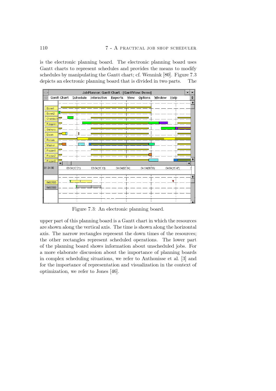is the electronic planning board. The electronic planning board uses Gantt charts to represent schedules and provides the means to modify schedules by manipulating the Gantt chart; cf. Wennink [80]. Figure 7.3 depicts an electronic planning board that is divided in two parts. The



Figure 7.3: An electronic planning board.

upper part of this planning board is a Gantt chart in which the resources are shown along the vertical axis. The time is shown along the horizontal axis. The narrow rectangles represent the down times of the resources; the other rectangles represent scheduled operations. The lower part of the planning board shows information about unscheduled jobs. For a more elaborate discussion about the importance of planning boards in complex scheduling situations, we refer to Anthonisse et al. [3] and for the importance of representation and visualization in the context of optimization, we refer to Jones [46].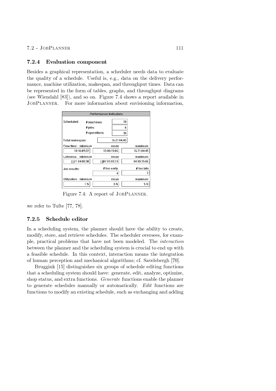#### 7.2.4 Evaluation component

Besides a graphical representation, a scheduler needs data to evaluate the quality of a schedule. Useful is, e.g., data on the delivery performance, machine utilization, makespan, and throughput times. Data can be represented in the form of tables, graphs, and throughput diagrams (see Wiendahl [83]), and so on. Figure 7.4 shows a report available in JOBPLANNER. . For more information about envisioning information,



Figure 7.4: A report of JOBPLANNER.

we refer to Tufte [77, 78].

#### 7.2.5 Schedule editor

In a scheduling system, the planner should have the ability to create, modify, store, and retrieve schedules. The scheduler oversees, for example, practical problems that have not been modeled. The interaction between the planner and the scheduling system is crucial to end up with a feasible schedule. In this context, interaction means the integration of human perception and mechanical algorithms; cf. Savelsbergh [70].

Bruggink [15] distinguishes six groups of schedule editing functions that a scheduling system should have: generate, edit, analyze, optimize, shop status, and extra functions. Generate functions enable the planner to generate schedules manually or automatically. Edit functions are functions to modify an existing schedule, such as exchanging and adding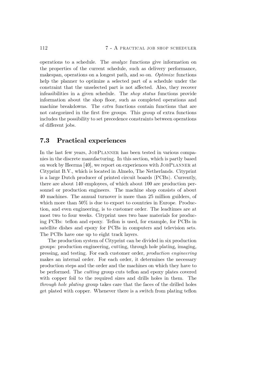operations to a schedule. The analyze functions give information on the properties of the current schedule, such as delivery performance, makespan, operations on a longest path, and so on. Optimize functions help the planner to optimize a selected part of a schedule under the constraint that the unselected part is not affected. Also, they recover infeasibilities in a given schedule. The shop status functions provide information about the shop floor, such as completed operations and machine breakdowns. The extra functions contain functions that are not categorized in the first five groups. This group of extra functions includes the possibility to set precedence constraints between operations of different jobs.

# 7.3 Practical experiences

In the last few years, JOBPLANNER has been tested in various companies in the discrete manufacturing. In this section, which is partly based on work by Heerma  $[40]$ , we report on experiences with  $\text{JOBPLANNER}$  at Cityprint B.V., which is located in Almelo, The Netherlands. Cityprint is a large Dutch producer of printed circuit boards (PCBs). Currently, there are about 140 employees, of which about 100 are production personnel or production engineers. The machine shop consists of about 40 machines. The annual turnover is more than 25 million guilders, of which more than 50% is due to export to countries in Europe. Production, and even engineering, is to customer order. The leadtimes are at most two to four weeks. Cityprint uses two base materials for producing PCBs: teflon and epoxy. Teflon is used, for example, for PCBs in satellite dishes and epoxy for PCBs in computers and television sets. The PCBs have one up to eight track layers.

The production system of Cityprint can be divided in six production groups: production engineering, cutting, through hole plating, imaging, pressing, and testing. For each customer order, production engineering makes an internal order. For each order, it determines the necessary production steps and the order and the machines on which they have to be performed. The cutting group cuts teflon and epoxy plates covered with copper foil to the required sizes and drills holes in them. The through hole plating group takes care that the faces of the drilled holes get plated with copper. Whenever there is a switch from plating teflon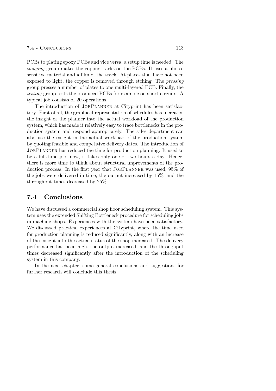#### 7.4 - CONCLUSIONS 113

PCBs to plating epoxy PCBs and vice versa, a setup time is needed. The imaging group makes the copper tracks on the PCBs. It uses a photosensitive material and a film of the track. At places that have not been exposed to light, the copper is removed through etching. The pressing group presses a number of plates to one multi-layered PCB. Finally, the testing group tests the produced PCBs for example on short-circuits. A typical job consists of 20 operations.

The introduction of JOBPLANNER at Cityprint has been satisfactory. First of all, the graphical representation of schedules has increased the insight of the planner into the actual workload of the production system, which has made it relatively easy to trace bottlenecks in the production system and respond appropriately. The sales department can also use the insight in the actual workload of the production system by quoting feasible and competitive delivery dates. The introduction of JOBPLANNER has reduced the time for production planning. It used to be a full-time job; now, it takes only one or two hours a day. Hence, there is more time to think about structural improvements of the production process. In the first year that JOBPLANNER was used, 95% of the jobs were delivered in time, the output increased by 15%, and the throughput times decreased by 25%.

### 7.4 Conclusions

We have discussed a commercial shop floor scheduling system. This system uses the extended Shifting Bottleneck procedure for scheduling jobs in machine shops. Experiences with the system have been satisfactory. We discussed practical experiences at Cityprint, where the time used for production planning is reduced significantly, along with an increase of the insight into the actual status of the shop increased. The delivery performance has been high, the output increased, and the throughput times decreased significantly after the introduction of the scheduling system in this company.

In the next chapter, some general conclusions and suggestions for further research will conclude this thesis.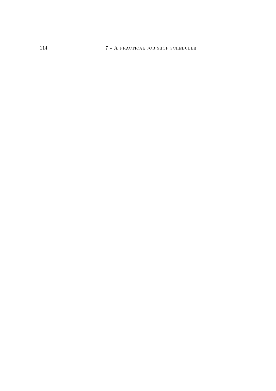114 7 - A PRACTICAL JOB SHOP SCHEDULER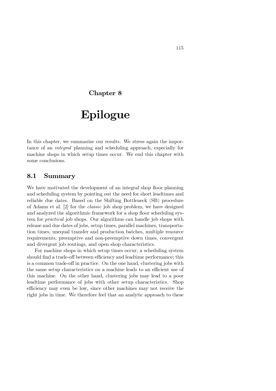### Chapter 8

# Epilogue

In this chapter, we summarize our results. We stress again the importance of an integral planning and scheduling approach, especially for machine shops in which setup times occur. We end this chapter with some conclusions.

# 8.1 Summary

We have motivated the development of an integral shop floor planning and scheduling system by pointing out the need for short leadtimes and reliable due dates. Based on the Shifting Bottleneck (SB) procedure of Adams et al. [2] for the classic job shop problem, we have designed and analyzed the algorithmic framework for a shop floor scheduling system for practical job shops. Our algorithms can handle job shops with release and due dates of jobs, setup times, parallel machines, transportation times, unequal transfer and production batches, multiple resource requirements, preemptive and non-preemptive down times, convergent and divergent job routings, and open shop characteristics.

For machine shops in which setup times occur, a scheduling system should find a trade-off between efficiency and leadtime performance; this is a common trade-off in practice. On the one hand, clustering jobs with the same setup characteristics on a machine leads to an efficient use of this machine. On the other hand, clustering jobs may lead to a poor leadtime performance of jobs with other setup characteristics. Shop efficiency may even be low, since other machines may not receive the right jobs in time. We therefore feel that an analytic approach to these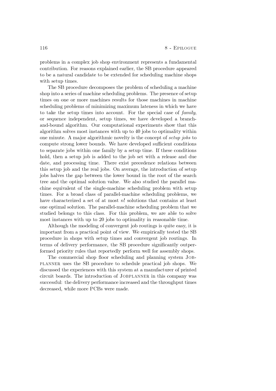problems in a complex job shop environment represents a fundamental contribution. For reasons explained earlier, the SB procedure appeared to be a natural candidate to be extended for scheduling machine shops with setup times.

The SB procedure decomposes the problem of scheduling a machine shop into a series of machine scheduling problems. The presence of setup times on one or more machines results for those machines in machine scheduling problems of minimizing maximum lateness in which we have to take the setup times into account. For the special case of family, or sequence independent, setup times, we have developed a branchand-bound algorithm. Our computational experiments show that this algorithm solves most instances with up to 40 jobs to optimality within one minute. A major algorithmic novelty is the concept of setup jobs to compute strong lower bounds. We have developed sufficient conditions to separate jobs within one family by a setup time. If these conditions hold, then a setup job is added to the job set with a release and due date, and processing time. There exist precedence relations between this setup job and the real jobs. On average, the introduction of setup jobs halves the gap between the lower bound in the root of the search tree and the optimal solution value. We also studied the parallel machine equivalent of the single-machine scheduling problem with setup times. For a broad class of parallel-machine scheduling problems, we have characterized a set of at most  $n!$  solutions that contains at least one optimal solution. The parallel-machine scheduling problem that we studied belongs to this class. For this problem, we are able to solve most instances with up to 20 jobs to optimality in reasonable time.

Although the modeling of convergent job routings is quite easy, it is important from a practical point of view. We empirically tested the SB procedure in shops with setup times and convergent job routings. In terms of delivery performance, the SB procedure significantly outperformed priority rules that reportedly perform well for assembly shops.

The commercial shop floor scheduling and planning system JOB-PLANNER uses the SB procedure to schedule practical job shops. We discussed the experiences with this system at a manufacturer of printed circuit boards. The introduction of JOBPLANNER in this company was successful: the delivery performance increased and the throughput times decreased, while more PCBs were made.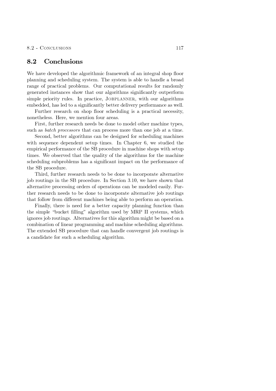### 8.2 Conclusions

We have developed the algorithmic framework of an integral shop floor planning and scheduling system. The system is able to handle a broad range of practical problems. Our computational results for randomly generated instances show that our algorithms significantly outperform simple priority rules. In practice, JOBPLANNER, with our algorithms embedded, has led to a significantly better delivery performance as well.

Further research on shop floor scheduling is a practical necessity, nonetheless. Here, we mention four areas.

First, further research needs be done to model other machine types, such as *batch processors* that can process more than one job at a time.

Second, better algorithms can be designed for scheduling machines with sequence dependent setup times. In Chapter 6, we studied the empirical performance of the SB procedure in machine shops with setup times. We observed that the quality of the algorithms for the machine scheduling subproblems has a significant impact on the performance of the SB procedure.

Third, further research needs to be done to incorporate alternative job routings in the SB procedure. In Section 3.10, we have shown that alternative processing orders of operations can be modeled easily. Further research needs to be done to incorporate alternative job routings that follow from different machines being able to perform an operation.

Finally, there is need for a better capacity planning function than the simple "bucket filling" algorithm used by MRP II systems, which ignores job routings. Alternatives for this algorithm might be based on a combination of linear programming and machine scheduling algorithms. The extended SB procedure that can handle convergent job routings is a candidate for such a scheduling algorithm.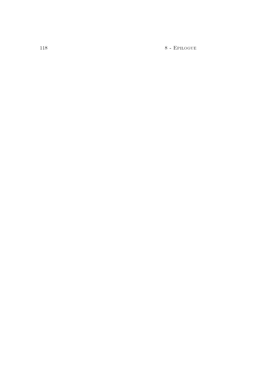118 8 - EPILOGUE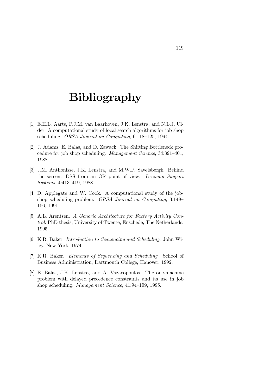# Bibliography

- [1] E.H.L. Aarts, P.J.M. van Laarhoven, J.K. Lenstra, and N.L.J. Ulder. A computational study of local search algorithms for job shop scheduling. ORSA Journal on Computing, 6:118—125, 1994.
- [2] J. Adams, E. Balas, and D. Zawack. The Shifting Bottleneck procedure for job shop scheduling. Management Science, 34:391—401, 1988.
- [3] J.M. Anthonisse, J.K. Lenstra, and M.W.P. Savelsbergh. Behind the screen: DSS from an OR point of view. Decision Support Systems, 4:413—419, 1988.
- [4] D. Applegate and W. Cook. A computational study of the jobshop scheduling problem. ORSA Journal on Computing, 3:149— 156, 1991.
- [5] A.L. Arentsen. A Generic Architecture for Factory Activity Control. PhD thesis, University of Twente, Enschede, The Netherlands, 1995.
- [6] K.R. Baker. Introduction to Sequencing and Scheduling. John Wiley, New York, 1974.
- [7] K.R. Baker. Elements of Sequencing and Scheduling. School of Business Administration, Dartmouth College, Hanover, 1992.
- [8] E. Balas, J.K. Lenstra, and A. Vazacopoulos. The one-machine problem with delayed precedence constraints and its use in job shop scheduling. Management Science, 41:94—109, 1995.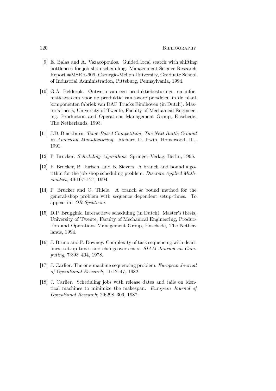- [9] E. Balas and A. Vazacopoulos. Guided local search with shifting bottleneck for job shop scheduling. Management Science Research Report #MSRR-609, Carnegie-Mellon University, Graduate School of Industrial Administration, Pittsburg, Pennsylvania, 1994.
- [10] G.A. Belderok. Ontwerp van een produktiebesturings- en informatiesysteem voor de produktie van zware persdelen in de plaat komponenten fabriek van DAF Trucks Eindhoven (in Dutch). Master's thesis, University of Twente, Faculty of Mechanical Engineering, Production and Operations Management Group, Enschede, The Netherlands, 1993.
- [11] J.D. Blackburn. Time-Based Competition, The Next Battle Ground in American Manufacturing. Richard D. Irwin, Homewood, Ill., 1991.
- [12] P. Brucker. Scheduling Algorithms. Springer-Verlag, Berlin, 1995.
- [13] P. Brucker, B. Jurisch, and B. Sievers. A branch and bound algorithm for the job-shop scheduling problem. Discrete Applied Mathematics, 49:107—127, 1994.
- [14] P. Brucker and O. Thiele. A branch & bound method for the general-shop problem with sequence dependent setup-times. To appear in: OR Spektrum.
- [15] D.P. Bruggink. Interactieve scheduling (in Dutch). Master's thesis, University of Twente, Faculty of Mechanical Engineering, Production and Operations Management Group, Enschede, The Netherlands, 1994.
- [16] J. Bruno and P. Downey. Complexity of task sequencing with deadlines, set-up times and changeover costs. SIAM Journal on Computing, 7:393—404, 1978.
- [17] J. Carlier. The one-machine sequencing problem. European Journal of Operational Research, 11:42—47, 1982.
- [18] J. Carlier. Scheduling jobs with release dates and tails on identical machines to minimize the makespan. European Journal of Operational Research, 29:298—306, 1987.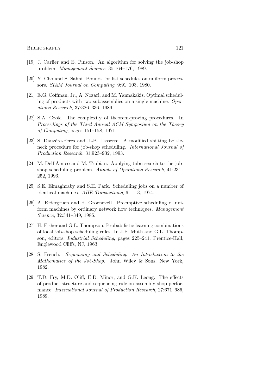- [19] J. Carlier and E. Pinson. An algorithm for solving the job-shop problem. Management Science, 35:164—176, 1989.
- [20] Y. Cho and S. Sahni. Bounds for list schedules on uniform processors. SIAM Journal on Computing, 9:91—103, 1980.
- [21] E.G. Coffman, Jr., A. Nozari, and M. Yannakakis. Optimal scheduling of products with two subassemblies on a single machine. Operations Research, 37:326—336, 1989.
- [22] S.A. Cook. The complexity of theorem-proving procedures. In Proceedings of the Third Annual ACM Symposium on the Theory of Computing, pages 151—158, 1971.
- [23] S. Dauzère-Peres and J.-B. Lasserre. A modified shifting bottleneck procedure for job-shop scheduling. International Journal of Production Research, 31:923—932, 1993.
- [24] M. Dell'Amico and M. Trubian. Applying tabu search to the jobshop scheduling problem. Annals of Operations Research, 41:231— 252, 1993.
- [25] S.E. Elmaghraby and S.H. Park. Scheduling jobs on a number of identical machines. AIIE Transactions, 6:1—13, 1974.
- [26] A. Federgruen and H. Groenevelt. Preemptive scheduling of uniform machines by ordinary network flow techniques. Management Science, 32:341—349, 1986.
- [27] H. Fisher and G.L. Thompson. Probabilistic learning combinations of local job-shop scheduling rules. In J.F. Muth and G.L. Thompson, editors, Industrial Scheduling, pages 225—241. Prentice-Hall, Englewood Cliffs, NJ, 1963.
- [28] S. French. Sequencing and Scheduling: An Introduction to the Mathematics of the Job-Shop. John Wiley & Sons, New York, 1982.
- [29] T.D. Fry, M.D. Oliff, E.D. Minor, and G.K. Leong. The effects of product structure and sequencing rule on assembly shop performance. International Journal of Production Research, 27:671—686, 1989.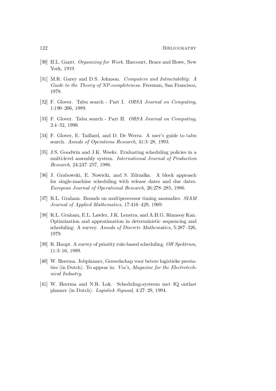- [30] H.L. Gantt. Organizing for Work. Harcourt, Brace and Howe, New York, 1919.
- [31] M.R. Garey and D.S. Johnson. Computers and Intractability: A Guide to the Theory of NP-completeness. Freeman, San Francisco, 1979.
- [32] F. Glover. Tabu search Part I. ORSA Journal on Computing, 1:190—206, 1989.
- [33] F. Glover. Tabu search Part II. ORSA Journal on Computing, 2:4—32, 1990.
- [34] F. Glover, E. Taillard, and D. De Werra. A user's guide to tabu search. Annals of Operations Research, 41:3—28, 1993.
- [35] J.S. Goodwin and J.K. Weeks. Evaluating scheduling policies in a multi-level assembly system. International Journal of Production Research, 24:247—257, 1986.
- [36] J. Grabowski, E. Nowicki, and S. Zdrzalka. A block approach for single-machine scheduling with release dates and due dates. European Journal of Operational Research, 26:278—285, 1986.
- [37] R.L. Graham. Bounds on multiprocessor timing anomalies. SIAM Journal of Applied Mathematics, 17:416—429, 1969.
- [38] R.L. Graham, E.L. Lawler, J.K. Lenstra, and A.H.G. Rinnooy Kan. Optimization and approximation in deterministic sequencing and scheduling: A survey. Annals of Discrete Mathematics, 5:287—326, 1979.
- [39] R. Haupt. A survey of priority rule-based scheduling. OR Spektrum, 11:3—16, 1989.
- [40] W. Heerma. Jobplanner, Gereedschap voor betere logistieke prestaties (in Dutch). To appear in: Via's, Magazine for the Electrotechnical Industry.
- [41] W. Heerma and N.R. Lok. Scheduling-systeem met IQ ontlast planner (in Dutch). Logistiek Signaal, 4:27—29, 1994.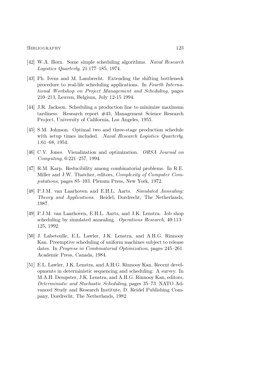- [42] W.A. Horn. Some simple scheduling algorithms. Naval Research Logistics Quarterly, 21:177—185, 1974.
- [43] Ph. Ivens and M. Lambrecht. Extending the shifting bottleneck procedure to real-life scheduling applications. In Fourth International Workshop on Project Management and Scheduling, pages 210—213, Leuven, Belgium, July 12-15 1994.
- [44] J.R. Jackson. Scheduling a production line to minimize maximum tardiness. Research report #43, Management Science Research Project, University of California, Los Angeles, 1955.
- [45] S.M. Johnson. Optimal two and three-stage production schedule with setup times included. Naval Research Logistics Quarterly, 1:61—68, 1954.
- [46] C.V. Jones. Visualization and optimization. ORSA Journal on Computing, 6:221—257, 1994.
- [47] R.M. Karp. Reducibility among combinatorial problems. In R.E. Miller and J.W. Thatcher, editors, Complexity of Computer Computations, pages 85—103. Plenum Press, New York, 1972.
- [48] P.J.M. van Laarhoven and E.H.L. Aarts. Simulated Annealing: Theory and Applications. Reidel, Dordrecht, The Netherlands, 1987.
- [49] P.J.M. van Laarhoven, E.H.L. Aarts, and J.K. Lenstra. Job shop scheduling by simulated annealing. Operations Research, 40:113— 125, 1992.
- [50] J. Labetoulle, E.L. Lawler, J.K. Lenstra, and A.H.G. Rinnooy Kan. Preemptive scheduling of uniform machines subject to release dates. In Progress in Combinatorial Optimization, pages 245—261. Academic Press, Canada, 1984.
- [51] E.L. Lawler, J.K. Lenstra, and A.H.G. Rinnooy Kan. Recent developments in deterministic sequencing and scheduling: A survey. In M.A.H. Dempster, J.K. Lenstra, and A.H.G. Rinnooy Kan, editors, Deterministic and Stochastic Scheduling, pages 35—73. NATO Advanced Study and Research Institute, D. Reidel Publishing Company, Dordrecht, The Netherlands, 1982.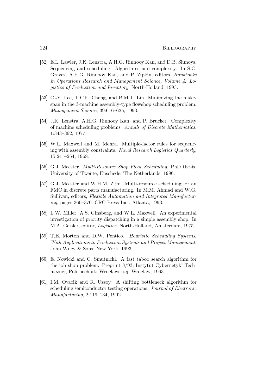- [52] E.L. Lawler, J.K. Lenstra, A.H.G. Rinnooy Kan, and D.B. Shmoys. Sequencing and scheduling: Algorithms and complexity. In S.C. Graves, A.H.G. Rinnooy Kan, and P. Zipkin, editors, Hankbooks in Operations Research and Management Science, Volume 4: Logistics of Production and Inventory. North-Holland, 1993.
- [53] C.-Y. Lee, T.C.E. Cheng, and B.M.T. Lin. Minimizing the makespan in the 3-machine assembly-type flowshop scheduling problem. Management Science, 39:616—625, 1993.
- [54] J.K. Lenstra, A.H.G. Rinnooy Kan, and P. Brucker. Complexity of machine scheduling problems. Annals of Discrete Mathematics, 1:343—362, 1977.
- [55] W.L. Maxwell and M. Mehra. Multiple-factor rules for sequencing with assembly constraints. Naval Research Logistics Quarterly, 15:241—254, 1968.
- [56] G.J. Meester. *Multi-Resource Shop Floor Scheduling*. PhD thesis, University of Twente, Enschede, The Netherlands, 1996.
- [57] G.J. Meester and W.H.M. Zijm. Multi-resource scheduling for an FMC in discrete parts manufacturing. In M.M. Ahmad and W.G. Sullivan, editors, Flexible Automation and Integrated Manufacturing, pages 360—370. CRC Press Inc., Atlanta, 1993.
- [58] L.W. Miller, A.S. Ginsberg, and W.L. Maxwell. An experimental investigation of priority dispatching in a simple assembly shop. In M.A. Geisler, editor, Logistics. North-Holland, Amsterdam, 1975.
- [59] T.E. Morton and D.W. Pentico. Heuristic Scheduling Systems: With Applications to Production Systems and Project Management. John Wiley & Sons, New York, 1993.
- [60] E. Nowicki and C. Smutnicki. A fast taboo search algorithm for the job shop problem. Preprint 8/93, Instytut Cybernetyki Technicznej, Politnechniki Wroclawskiej, Wroclaw, 1993.
- [61] I.M. Ovacik and R. Uzsoy. A shifting bottleneck algorithm for scheduling semiconductor testing operations. Journal of Electronic Manufacturing, 2:119—134, 1992.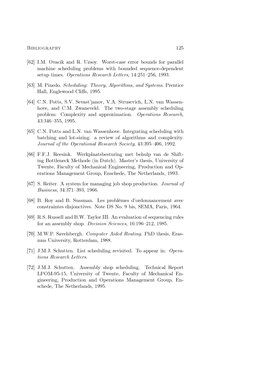- [62] I.M. Ovacik and R. Uzsoy. Worst-case error bounds for parallel machine scheduling problems with bounded sequence-dependent setup times. Operations Research Letters, 14:251—256, 1993.
- [63] M. Pinedo. Scheduling: Theory, Algorithms, and Systems. Prentice Hall, Englewood Cliffs, 1995.
- [64] C.N. Potts, S.V. Sevast'janov, V.A. Strusevich, L.N. van Wassenhove, and C.M. Zwaneveld. The two-stage assembly scheduling problem: Complexity and approximation. Operations Research, 43:346—355, 1995.
- [65] C.N. Potts and L.N. van Wassenhove. Integrating scheduling with batching and lot-sizing: a review of algorithms and complexity. Journal of the Operational Research Society, 43:395—406, 1992.
- [66] F.F.J. Reesink. Werkplaatsbesturing met behulp van de Shifting Bottleneck Methode (in Dutch). Master's thesis, University of Twente, Faculty of Mechanical Engineering, Production and Operations Management Group, Enschede, The Netherlands, 1993.
- [67] S. Reiter. A system for managing job shop production. Journal of Business, 34:371—393, 1966.
- [68] B. Roy and B. Sussman. Les problèmes d'ordonnancement avec constraintes disjonctives. Note DS No. 9 bis, SEMA, Paris, 1964.
- [69] R.S. Russell and B.W. Taylor III. An evaluation of sequencing rules for an assembly shop. Decision Sciences, 16:196—212, 1985.
- [70] M.W.P. Savelsbergh. Computer Aided Routing. PhD thesis, Erasmus University, Rotterdam, 1988.
- [71] J.M.J. Schutten. List scheduling revisited. To appear in: Operations Research Letters.
- [72] J.M.J. Schutten. Assembly shop scheduling. Technical Report LPOM-95-15, University of Twente, Faculty of Mechanical Engineering, Production and Operations Management Group, Enschede, The Netherlands, 1995.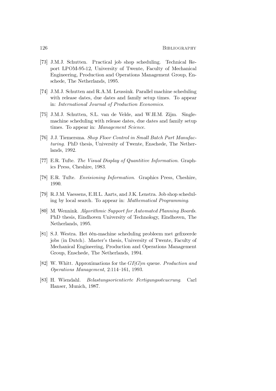- [73] J.M.J. Schutten. Practical job shop scheduling. Technical Report LPOM-95-12, University of Twente, Faculty of Mechanical Engineering, Production and Operations Management Group, Enschede, The Netherlands, 1995.
- [74] J.M.J. Schutten and R.A.M. Leussink. Parallel machine scheduling with release dates, due dates and family setup times. To appear in: International Journal of Production Economics.
- [75] J.M.J. Schutten, S.L. van de Velde, and W.H.M. Zijm. Singlemachine scheduling with release dates, due dates and family setup times. To appear in: Management Science.
- [76] J.J. Tiemersma. Shop Floor Control in Small Batch Part Manufacturing. PhD thesis, University of Twente, Enschede, The Netherlands, 1992.
- [77] E.R. Tufte. The Visual Display of Quantitive Information. Graphics Press, Cheshire, 1983.
- [78] E.R. Tufte. Envisioning Information. Graphics Press, Cheshire, 1990.
- [79] R.J.M. Vaessens, E.H.L. Aarts, and J.K. Lenstra. Job shop scheduling by local search. To appear in: Mathematical Programming.
- [80] M. Wennink. Algorithmic Support for Automated Planning Boards. PhD thesis, Eindhoven University of Technology, Eindhoven, The Netherlands, 1995.
- [81] S.J. Westra. Het één-machine scheduling probleem met gefixeerde jobs (in Dutch). Master's thesis, University of Twente, Faculty of Mechanical Engineering, Production and Operations Management Group, Enschede, The Netherlands, 1994.
- [82] W. Whitt. Approximations for the GI|G|m queue. Production and Operations Management, 2:114—161, 1993.
- [83] H. Wiendahl. Belastungsorientierte Fertigungssteuerung. Carl Hanser, Munich, 1987.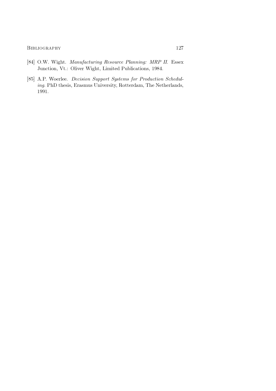- [84] O.W. Wight. Manufacturing Resource Planning: MRP II. Essex Junction, Vt.: Oliver Wight, Limited Publications, 1984.
- [85] A.P. Woerlee. Decision Support Systems for Production Scheduling. PhD thesis, Erasmus University, Rotterdam, The Netherlands, 1991.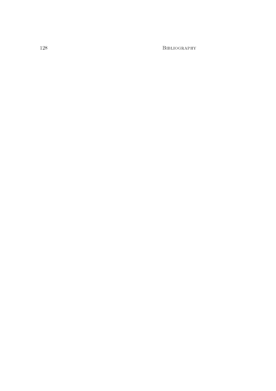128 BIBLIOGRAPHY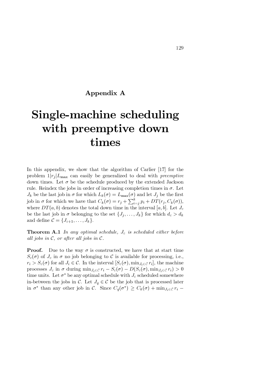# Appendix A

# Single-machine scheduling with preemptive down times

In this appendix, we show that the algorithm of Carlier [17] for the problem  $1|r_i|L_{\text{max}}$  can easily be generalized to deal with *preemptive* down times. Let  $\sigma$  be the schedule produced by the extended Jackson rule. Reindex the jobs in order of increasing completion times in  $\sigma$ . Let  $J_k$  be the last job in  $\sigma$  for which  $L_k(\sigma) = L_{\text{max}}(\sigma)$  and let  $J_j$  be the first job in  $\sigma$  for which we have that  $C_k(\sigma) = r_j + \sum_{i=j}^k p_i + DT(r_j, C_k(\sigma)),$ <br>where  $DT(a, b)$  denotes the total down time in the interval [a, b]. Let I where  $DT(a, b)$  denotes the total down time in the interval [a, b]. Let  $J_c$ be the last job in  $\sigma$  belonging to the set  $\{J_j, \ldots, J_k\}$  for which  $d_c > d_k$ and define  $\mathcal{C} = \{J_{c+1}, \ldots, J_k\}.$ 

**Theorem A.1** In any optimal schedule,  $J_c$  is scheduled either before all jobs in  $\mathcal{C}$ , or after all jobs in  $\mathcal{C}$ .

**Proof.** Due to the way  $\sigma$  is constructed, we have that at start time  $S_c(\sigma)$  of  $J_c$  in  $\sigma$  no job belonging to C is available for processing, i.e.,  $r_i > S_c(\sigma)$  for all  $J_i \in \mathcal{C}$ . In the interval  $[S_c(\sigma), \min_{J_i \in \mathcal{C}} r_i]$ , the machine processes  $J_c$  in  $\sigma$  during  $\min_{J_i \in \mathcal{C}} r_i - S_c(\sigma) - D(S_c(\sigma), \min_{J_i \in \mathcal{C}} r_i) > 0$ time units. Let  $\sigma^*$  be any optimal schedule with  $J_c$  scheduled somewhere in-between the jobs in C. Let  $J_q \in \mathcal{C}$  be the job that is processed later in  $\sigma^*$  than any other job in C. Since  $C_q(\sigma^*) \geq C_k(\sigma) + \min_{J_i \in \mathcal{C}} r_i$  –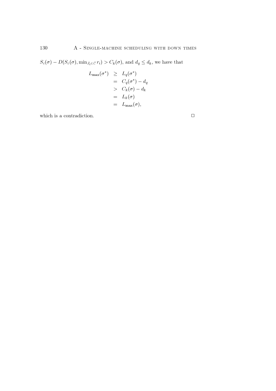$S_c(\sigma) - D(S_c(\sigma), \min_{J_i \in \mathcal{C}} r_i) > C_k(\sigma)$ , and  $d_q \leq d_k$ , we have that

$$
L_{\max}(\sigma^*) \geq L_q(\sigma^*)
$$
  
=  $C_q(\sigma^*) - d_q$   
>  $C_k(\sigma) - d_k$   
=  $L_k(\sigma)$   
=  $L_{\max}(\sigma)$ ,

which is a contradiction.  $\hfill \Box$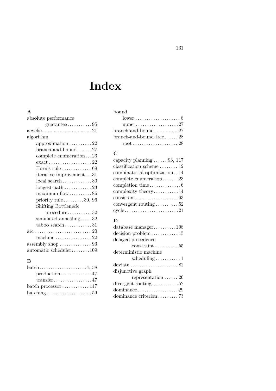# Index

### A

### absolute performance guarantee ...........95 acyclic ...................... 21 algorithm approximation .......... 22 branch-and-bound ...... 27 complete enumeration...23 exact ................... 22 Horn's rule ............. 69 iterative improvement...31 local search ............. 30 longest path ................ 23 maximum flow .......... 86 priority rule ......... 30, 96 Shifting Bottleneck procedure...........32 simulated annealing ..... 32 taboo search ............ 31 arc ......................... 20 machine ................ 22 assembly shop .............. 93 automatic scheduler........109

### B

| $production \ldots \ldots \ldots \ldots 47$      |  |
|--------------------------------------------------|--|
| transfer47                                       |  |
| batch processor $\dots \dots \dots \dots 117$    |  |
| $batching \ldots \ldots \ldots \ldots \ldots 59$ |  |

#### bound

| $lower \ldots \ldots \ldots \ldots \ldots \ldots 8$ |  |
|-----------------------------------------------------|--|
|                                                     |  |
| $branch$ -and-bound  27                             |  |
| branch-and-bound tree $28$                          |  |
|                                                     |  |

### C

| capacity planning $\ldots \ldots 93, 117$ |
|-------------------------------------------|
| classification scheme $\dots \dots 12$    |
| combinatorial optimization14              |
| complete enumeration23                    |
|                                           |
| complexity theory14                       |
|                                           |
| convergent routing $52$                   |
|                                           |
|                                           |

#### D

| database manager $108$                                        |
|---------------------------------------------------------------|
| decision problem $\dots\dots\dots\dots 15$                    |
| delayed precedence                                            |
| $\text{constraint} \dots \dots \dots \dots 55$                |
| deterministic machine                                         |
| scheduling $\ldots \ldots \ldots 1$                           |
| deviate $\ldots \ldots \ldots \ldots \ldots \ldots \ldots 82$ |
| disjunctive graph                                             |
| representation $\ldots \ldots 20$                             |
| divergent routing52                                           |
|                                                               |
| dominance criterion73                                         |
|                                                               |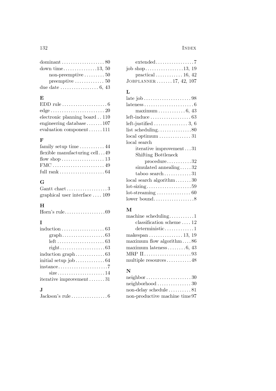#### $132$  INDE INDEX

| dominant $\ldots \ldots \ldots \ldots \ldots$ . 80 |  |
|----------------------------------------------------|--|
|                                                    |  |
| non-preemptive $50$                                |  |
| preemptive $\dots \dots \dots \dots 50$            |  |
| due date $\dots\dots\dots\dots\dots\dots$ 6, 43    |  |

# E

| EDD rule $\dots\dots\dots\dots\dots\dots\dots$                   |  |
|------------------------------------------------------------------|--|
| $\text{edge} \dots \dots \dots \dots \dots \dots \dots \dots 20$ |  |
| electronic planning board110                                     |  |
| engineering database $107$                                       |  |
| evaluation component111                                          |  |

# F

| family setup time $\dots \dots \dots 44$                 |
|----------------------------------------------------------|
| flexible manufacturing cell $49$                         |
| flow shop $\dots \dots \dots \dots \dots \dots 13$       |
|                                                          |
| full rank $\ldots \ldots \ldots \ldots \ldots \ldots 64$ |

# G

| graphical user interface $\dots$ 109 |  |
|--------------------------------------|--|

# H

# I

| induction $\ldots \ldots \ldots \ldots \ldots \ldots \ldots 63$    |
|--------------------------------------------------------------------|
| $graph \ldots \ldots \ldots \ldots \ldots \ldots \ldots 63$        |
| $left. \ldots \ldots \ldots \ldots \ldots \ldots \ldots \ldots 63$ |
| $right \ldots \ldots \ldots \ldots \ldots \ldots \ldots 63$        |
|                                                                    |
| initial setup job $\dots \dots \dots \dots 64$                     |
| $instance \ldots \ldots \ldots \ldots \ldots \ldots \ldots 7$      |
| size14                                                             |
| iterative improvement31                                            |
|                                                                    |

# J

| Jackson's rule $\dots\dots\dots\dots\dots6$ |  |  |
|---------------------------------------------|--|--|
|---------------------------------------------|--|--|

| job shop13, 19                                 |  |
|------------------------------------------------|--|
| practical $\ldots \ldots \ldots \ldots 16, 42$ |  |
| JOBPLANNER  17, 42, 107                        |  |

# $\mathbf{L}$

| late $job \ldots \ldots \ldots \ldots \ldots \ldots 98$          |
|------------------------------------------------------------------|
|                                                                  |
| $\text{maximum} \dots \dots \dots \dots 6, 43$                   |
| left-induce $\dots\dots\dots\dots\dots\dots$ 63                  |
|                                                                  |
| list scheduling80                                                |
| $local$ optimum  31                                              |
| local search                                                     |
| iterative improvement31                                          |
| <b>Shifting Bottleneck</b>                                       |
| $procedure \ldots \ldots \ldots \ldots 32$                       |
| simulated annealing $\ldots$ 32                                  |
| taboo search 31                                                  |
| $local search algorithm \ldots \ldots 30$                        |
| $lot\text{-sizing} \dots \dots \dots \dots \dots \dots \dots 59$ |
| $lot\text{-}streaming \ldots \ldots \ldots \ldots \ldots 60$     |
| lower bound8                                                     |
|                                                                  |

# M

| machine scheduling1                                       |
|-----------------------------------------------------------|
| classification scheme $12$                                |
| $deterministic$ 1                                         |
| makespan $\ldots \ldots \ldots \ldots 13, 19$             |
| $maximum flow algorithm \dots 86$                         |
| $\text{maximum} \text{ lateness} \dots \dots \dots 6, 43$ |
|                                                           |
| multiple resources48                                      |

# N

| $neighbourhood \ldots \ldots \ldots \ldots 30$ |  |
|------------------------------------------------|--|
| non-delay schedule $\ldots \ldots \ldots 81$   |  |
| non-productive machine time 97                 |  |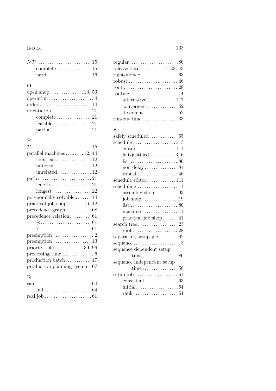#### $\sqrt{\text{INDEX}}$

| complete15 |
|------------|
|            |

## O

| open shop $\dots \dots \dots \dots \dots 13, 53$      |  |
|-------------------------------------------------------|--|
| operation $\ldots \ldots \ldots \ldots \ldots \ldots$ |  |
| order  14                                             |  |
| orientation21                                         |  |
| $complete \ldots \ldots \ldots \ldots \ldots 21$      |  |
| feasible $\ldots \ldots \ldots \ldots \ldots 21$      |  |
|                                                       |  |

# P

| parallel machines $12, 44$                                 |
|------------------------------------------------------------|
| identical $\ldots \ldots \ldots \ldots 12$                 |
| uniform12                                                  |
| unrelated $\ldots \ldots \ldots \ldots 12$                 |
| $path \ldots \ldots \ldots \ldots \ldots \ldots \ldots 21$ |
| $\text{length} \ldots \ldots \ldots \ldots \ldots 21$      |
|                                                            |
| polynomially solvable $\ldots \ldots 14$                   |
| practical job shop $\dots \dots 16, 42$                    |
| precedence graph $\ldots \ldots \ldots$ 68                 |
|                                                            |
|                                                            |
|                                                            |
| preemption $\ldots \ldots \ldots \ldots \ldots 2$          |
| preemption $\dots \dots \dots \dots \dots 13$              |
| priority rule $\ldots \ldots \ldots \ldots 30, 96$         |
| processing time $\dots \dots \dots \dots 6$                |
| production batch47                                         |
| production planning system 107                             |
|                                                            |

# R

| $\mathrm{rank} \ldots \ldots \ldots \ldots \ldots \ldots \ldots \ldots 64$ |  |  |
|----------------------------------------------------------------------------|--|--|
|                                                                            |  |  |
|                                                                            |  |  |

| $regular \ldots \ldots \ldots \ldots \ldots \ldots \ldots 80$ |
|---------------------------------------------------------------|
|                                                               |
|                                                               |
| robust $\ldots \ldots \ldots \ldots \ldots \ldots \ldots 46$  |
|                                                               |
| routing $\ldots \ldots \ldots \ldots \ldots \ldots \ldots 4$  |
| $alternative \ldots \ldots \ldots \ldots 117$                 |
| convergent $\ldots \ldots \ldots \ldots 52$                   |
| divergent $\ldots \ldots \ldots \ldots 52$                    |
| run-out time33                                                |

### S

| safely scheduled65                                         |
|------------------------------------------------------------|
| $\text{schedule} \dots \dots \dots \dots \dots \dots 3$    |
| $editor \ldots \ldots \ldots \ldots \ldots 111$            |
| left-justified $\ldots \ldots \ldots 3, 6$                 |
| $list \ldots \ldots \ldots \ldots \ldots \ldots \ldots 80$ |
| $non-delay \ldots \ldots \ldots \ldots 81$                 |
| robust $\ldots \ldots \ldots \ldots \ldots 46$             |
| schedule editor111                                         |
|                                                            |
| assembly shop $\ldots \ldots \ldots 93$                    |
| job shop $\ldots \ldots \ldots \ldots \ldots 19$           |
| $list \ldots \ldots \ldots \ldots \ldots \ldots \ldots 80$ |
| machine $\dots \dots \dots \dots \dots 1$                  |
| practical job shop $\dots$ 41                              |
|                                                            |
| $root \dots \dots \dots \dots \dots \dots 28$              |
| separating setup job62                                     |
| sequence $\dots\dots\dots\dots\dots\dots\dots$             |
| sequence dependent setup                                   |
| $time \ldots \ldots \ldots \ldots \ldots 80$               |
| sequence independent setup                                 |
| $time \ldots \ldots \ldots \ldots \ldots 58$               |
|                                                            |
|                                                            |
|                                                            |
|                                                            |
|                                                            |

#### x 133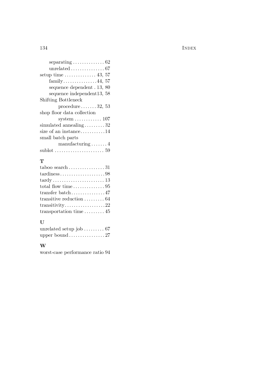$134$  INDE **INDEX** 

| separating $\ldots \ldots \ldots \ldots 62$       |
|---------------------------------------------------|
| unrelated $\ldots \ldots \ldots \ldots \ldots 67$ |
| setup time $43, 57$                               |
| family44, 57                                      |
| sequence dependent . 13, 80                       |
| sequence independent13, 58                        |
| Shifting Bottleneck                               |
| $procedure \ldots \ldots 32, 53$                  |
| shop floor data collection                        |
| system $\dots \dots \dots \dots 107$              |
| simulated annealing $32$                          |
| size of an instance14                             |
| small batch parts                                 |
| $manufacturing \ldots \ldots 4$                   |
|                                                   |

# T

| $taboo search \ldots \ldots \ldots \ldots 31$                   |
|-----------------------------------------------------------------|
| $tardiness \ldots \ldots \ldots \ldots \ldots \ldots \ldots 98$ |
| $\text{tardy} \ldots \ldots \ldots \ldots \ldots \ldots 13$     |
|                                                                 |
|                                                                 |
| transitive reduction $\ldots \ldots \ldots 64$                  |
|                                                                 |
| transportation time $\dots \dots \dots 45$                      |

## $\mathbf U$

| unrelated setup job $\ldots \ldots \ldots 67$ |  |
|-----------------------------------------------|--|
|                                               |  |

## W

worst-case performance ratio 9 4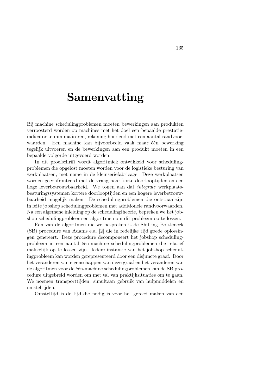# Samenvatting

Bij machine schedulingproblemen moeten bewerkingen aan produkten verroosterd worden op machines met het doel een bepaalde prestatieindicator te minimaliseren, rekening houdend met een aantal randvoorwaarden. Een machine kan bijvoorbeeld vaak maar één bewerking tegelijk uitvoeren en de bewerkingen aan een produkt moeten in een bepaalde volgorde uitgevoerd worden.

In dit proefschrift wordt algoritmiek ontwikkeld voor schedulingproblemen die opgelost moeten worden voor de logistieke besturing van werkplaatsen, met name in de kleinseriefabricage. Deze werkplaatsen worden geconfronteerd met de vraag naar korte doorlooptijden en een hoge leverbetrouwbaarheid. We tonen aan dat integrale werkplaatsbesturingssystemen kortere doorlooptijden en een hogere leverbetrouwbaarheid mogelijk maken. De schedulingproblemen die ontstaan zijn in feite jobshop schedulingproblemen met additionele randvoorwaarden. Na een algemene inleiding op de schedulingtheorie, bepreken we het jobshop schedulingprobleem en algoritmen om dit probleem op te lossen.

Een van de algoritmen die we bespreken is de Shifting Bottleneck (SB) procedure van Adams e.a. [2] die in redelijke tijd goede oplossingen genereert. Deze procedure decomponeert het jobshop schedulingprobleem in een aantal één-machine schedulingproblemen die relatief makkelijk op te lossen zijn. Iedere instantie van het jobshop schedulingprobleem kan worden gerepresenteerd door een disjuncte graaf. Door het veranderen van eigenschappen van deze graaf en het veranderen van de algoritmen voor de één-machine schedulingproblemen kan de SB procedure uitgebreid worden om met tal van praktijksituaties om te gaan. We noemen transporttijden, simultaan gebruik van hulpmiddelen en omsteltijden.

Omsteltijd is de tijd die nodig is voor het gereed maken van een